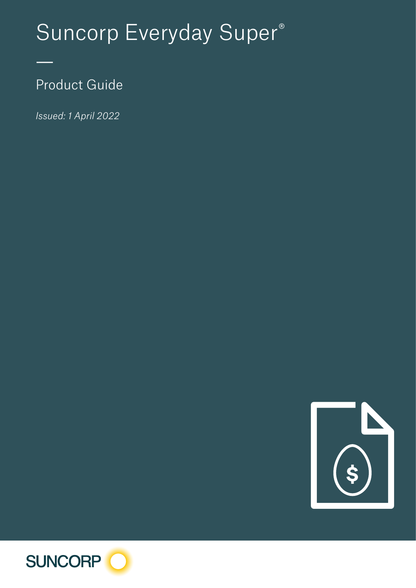# Suncorp Everyday Super®

# Product Guide

—

*Issued: 1 April 2022*



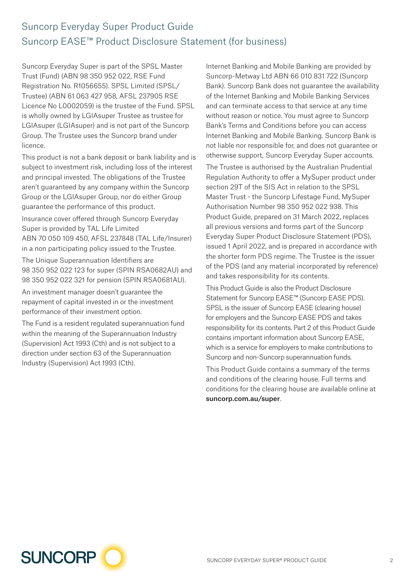# Suncorp Everyday Super Product Guide Suncorp EASE™ Product Disclosure Statement (for business)

Suncorp Everyday Super is part of the SPSL Master Trust (Fund) (ABN 98 350 952 022, RSE Fund Registration No. R1056655). SPSL Limited (SPSL/ Trustee) (ABN 61 063 427 958, AFSL 237905 RSE Licence No L0002059) is the trustee of the Fund. SPSL is wholly owned by LGIAsuper Trustee as trustee for LGIAsuper (LGIAsuper) and is not part of the Suncorp Group. The Trustee uses the Suncorp brand under licence.

This product is not a bank deposit or bank liability and is subject to investment risk, including loss of the interest and principal invested. The obligations of the Trustee aren't guaranteed by any company within the Suncorp Group or the LGIAsuper Group, nor do either Group guarantee the performance of this product.

Insurance cover offered through Suncorp Everyday Super is provided by TAL Life Limited ABN 70 050 109 450, AFSL 237848 (TAL Life/Insurer) in a non participating policy issued to the Trustee.

The Unique Superannuation Identifiers are 98 350 952 022 123 for super (SPIN RSA0682AU) and 98 350 952 022 321 for pension (SPIN RSA0681AU).

An investment manager doesn't guarantee the repayment of capital invested in or the investment performance of their investment option.

The Fund is a resident regulated superannuation fund within the meaning of the Superannuation Industry (Supervision) Act 1993 (Cth) and is not subject to a direction under section 63 of the Superannuation Industry (Supervision) Act 1993 (Cth).

Internet Banking and Mobile Banking are provided by Suncorp-Metway Ltd ABN 66 010 831 722 (Suncorp Bank). Suncorp Bank does not guarantee the availability of the Internet Banking and Mobile Banking Services and can terminate access to that service at any time without reason or notice. You must agree to Suncorp Bank's Terms and Conditions before you can access Internet Banking and Mobile Banking. Suncorp Bank is not liable nor responsible for, and does not guarantee or otherwise support, Suncorp Everyday Super accounts.

The Trustee is authorised by the Australian Prudential Regulation Authority to offer a MySuper product under section 29T of the SIS Act in relation to the SPSL Master Trust - the Suncorp Lifestage Fund, MySuper Authorisation Number 98 350 952 022 938. This Product Guide, prepared on 31 March 2022, replaces all previous versions and forms part of the Suncorp Everyday Super Product Disclosure Statement (PDS), issued 1 April 2022, and is prepared in accordance with the shorter form PDS regime. The Trustee is the issuer of the PDS (and any material incorporated by reference) and takes responsibility for its contents.

This Product Guide is also the Product Disclosure Statement for Suncorp EASE™ (Suncorp EASE PDS). SPSL is the issuer of Suncorp EASE (clearing house) for employers and the Suncorp EASE PDS and takes responsibility for its contents. Part 2 of this Product Guide contains important information about Suncorp EASE, which is a service for employers to make contributions to Suncorp and non-Suncorp superannuation funds.

This Product Guide contains a summary of the terms and conditions of the clearing house. Full terms and conditions for the clearing house are available online at suncorp.com.au/super.

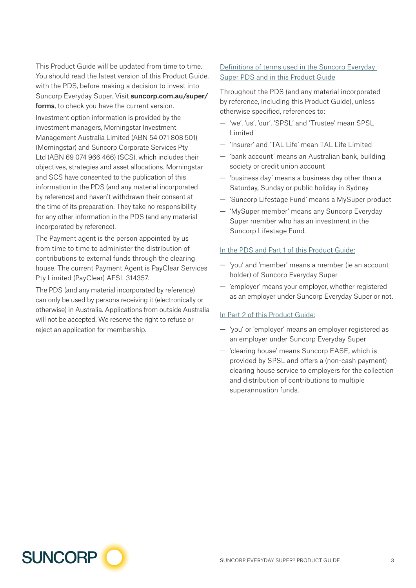This Product Guide will be updated from time to time. You should read the latest version of this Product Guide, with the PDS, before making a decision to invest into Suncorp Everyday Super. Visit suncorp.com.au/super/ forms, to check you have the current version.

Investment option information is provided by the investment managers, Morningstar Investment Management Australia Limited (ABN 54 071 808 501) (Morningstar) and Suncorp Corporate Services Pty Ltd (ABN 69 074 966 466) (SCS), which includes their objectives, strategies and asset allocations. Morningstar and SCS have consented to the publication of this information in the PDS (and any material incorporated by reference) and haven't withdrawn their consent at the time of its preparation. They take no responsibility for any other information in the PDS (and any material incorporated by reference).

The Payment agent is the person appointed by us from time to time to administer the distribution of contributions to external funds through the clearing house. The current Payment Agent is PayClear Services Pty Limited (PayClear) AFSL 314357.

The PDS (and any material incorporated by reference) can only be used by persons receiving it (electronically or otherwise) in Australia. Applications from outside Australia will not be accepted. We reserve the right to refuse or reject an application for membership.

#### Definitions of terms used in the Suncorp Everyday Super PDS and in this Product Guide

Throughout the PDS (and any material incorporated by reference, including this Product Guide), unless otherwise specified, references to:

- 'we', 'us', 'our', 'SPSL' and 'Trustee' mean SPSL Limited
- 'Insurer' and 'TAL Life' mean TAL Life Limited
- 'bank account' means an Australian bank, building society or credit union account
- 'business day' means a business day other than a Saturday, Sunday or public holiday in Sydney
- 'Suncorp Lifestage Fund' means a MySuper product
- 'MySuper member' means any Suncorp Everyday Super member who has an investment in the Suncorp Lifestage Fund.

#### In the PDS and Part 1 of this Product Guide:

- 'you' and 'member' means a member (ie an account holder) of Suncorp Everyday Super
- 'employer' means your employer, whether registered as an employer under Suncorp Everyday Super or not.

#### In Part 2 of this Product Guide:

- 'you' or 'employer' means an employer registered as an employer under Suncorp Everyday Super
- 'clearing house' means Suncorp EASE, which is provided by SPSL and offers a (non-cash payment) clearing house service to employers for the collection and distribution of contributions to multiple superannuation funds.

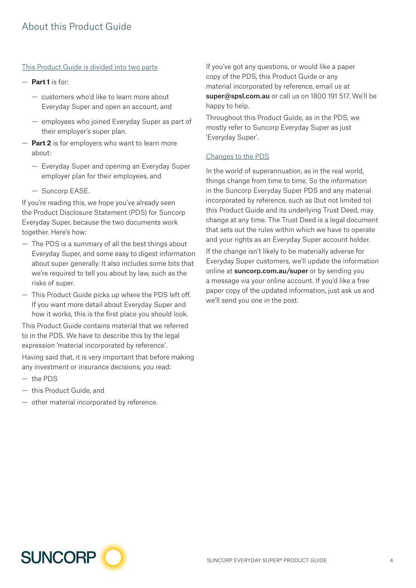#### This Product Guide is divided into two parts

- **Part 1** is for:
	- customers who'd like to learn more about Everyday Super and open an account, and
	- employees who joined Everyday Super as part of their employer's super plan.
- **Part 2** is for employers who want to learn more about:
	- Everyday Super and opening an Everyday Super employer plan for their employees, and
	- Suncorp EASE.

If you're reading this, we hope you've already seen the Product Disclosure Statement (PDS) for Suncorp Everyday Super, because the two documents work together. Here's how:

- The PDS is a summary of all the best things about Everyday Super, and some easy to digest information about super generally. It also includes some bits that we're required to tell you about by law, such as the risks of super.
- This Product Guide picks up where the PDS left off. If you want more detail about Everyday Super and how it works, this is the first place you should look.

This Product Guide contains material that we referred to in the PDS. We have to describe this by the legal expression 'material incorporated by reference'.

Having said that, it is very important that before making any investment or insurance decisions, you read:

- the PDS
- this Product Guide, and
- other material incorporated by reference.

If you've got any questions, or would like a paper copy of the PDS, this Product Guide or any material incorporated by reference, email us at super@spsl.com.au or call us on 1800 191 517. We'll be happy to help.

Throughout this Product Guide, as in the PDS, we mostly refer to Suncorp Everyday Super as just 'Everyday Super'.

#### Changes to the PDS

In the world of superannuation, as in the real world, things change from time to time. So the information in the Suncorp Everyday Super PDS and any material incorporated by reference, such as (but not limited to) this Product Guide and its underlying Trust Deed, may change at any time. The Trust Deed is a legal document that sets out the rules within which we have to operate and your rights as an Everyday Super account holder.

If the change isn't likely to be materially adverse for Everyday Super customers, we'll update the information online at suncorp.com.au/super or by sending you a message via your online account. If you'd like a free paper copy of the updated information, just ask us and we'll send you one in the post.

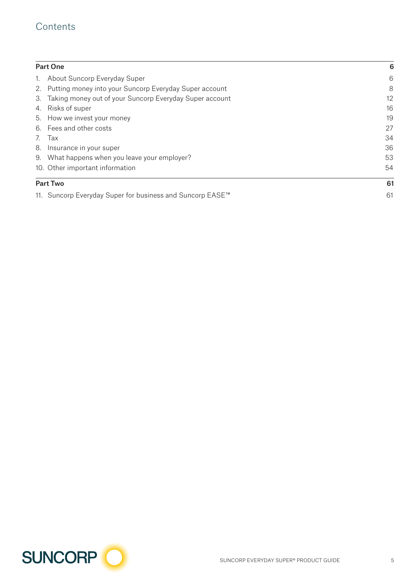### **Contents**

| <b>Part One</b> |                                                                       | 6  |
|-----------------|-----------------------------------------------------------------------|----|
| 1.              | About Suncorp Everyday Super                                          | 6  |
|                 | 2. Putting money into your Suncorp Everyday Super account             | 8  |
| 3.              | Taking money out of your Suncorp Everyday Super account               | 12 |
|                 | 4. Risks of super                                                     | 16 |
|                 | 5. How we invest your money                                           | 19 |
|                 | 6. Fees and other costs                                               | 27 |
| 7.              | Tax                                                                   | 34 |
| 8.              | Insurance in your super                                               | 36 |
|                 | 9. What happens when you leave your employer?                         | 53 |
|                 | 10. Other important information                                       | 54 |
| <b>Part Two</b> |                                                                       | 61 |
|                 | 11. Suncorp Everyday Super for business and Suncorp EASE <sup>™</sup> | 61 |

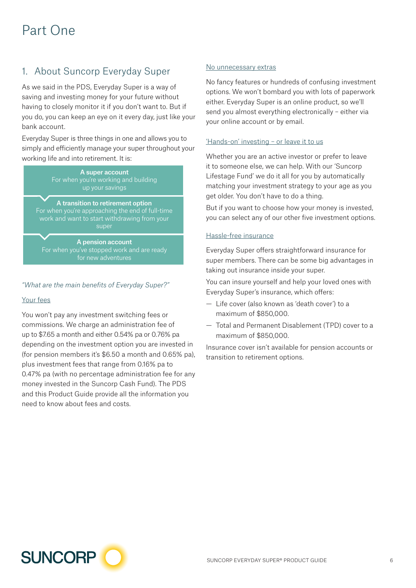# Part One

# 1. About Suncorp Everyday Super

As we said in the PDS, Everyday Super is a way of saving and investing money for your future without having to closely monitor it if you don't want to. But if you do, you can keep an eye on it every day, just like your bank account.

Everyday Super is three things in one and allows you to simply and efficiently manage your super throughout your working life and into retirement. It is:



#### *"What are the main benefits of Everyday Super?"*

#### Your fees

You won't pay any investment switching fees or commissions. We charge an administration fee of up to \$7.65 a month and either 0.54% pa or 0.76% pa depending on the investment option you are invested in (for pension members it's \$6.50 a month and 0.65% pa), plus investment fees that range from 0.16% pa to 0.47% pa (with no percentage administration fee for any money invested in the Suncorp Cash Fund). The PDS and this Product Guide provide all the information you need to know about fees and costs.

#### No unnecessary extras

No fancy features or hundreds of confusing investment options. We won't bombard you with lots of paperwork either. Everyday Super is an online product, so we'll send you almost everything electronically – either via your online account or by email.

#### 'Hands-on' investing – or leave it to us

Whether you are an active investor or prefer to leave it to someone else, we can help. With our 'Suncorp Lifestage Fund' we do it all for you by automatically matching your investment strategy to your age as you get older. You don't have to do a thing.

But if you want to choose how your money is invested, you can select any of our other five investment options.

#### Hassle-free insurance

Everyday Super offers straightforward insurance for super members. There can be some big advantages in taking out insurance inside your super.

You can insure yourself and help your loved ones with Everyday Super's insurance, which offers:

- Life cover (also known as 'death cover') to a maximum of \$850,000.
- Total and Permanent Disablement (TPD) cover to a maximum of \$850,000.

Insurance cover isn't available for pension accounts or transition to retirement options.

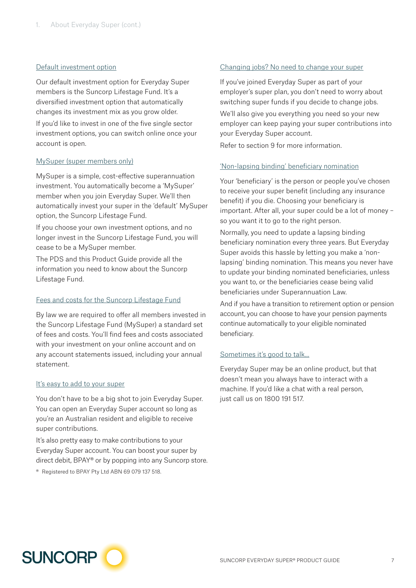#### Default investment option

Our default investment option for Everyday Super members is the Suncorp Lifestage Fund. It's a diversified investment option that automatically changes its investment mix as you grow older.

If you'd like to invest in one of the five single sector investment options, you can switch online once your account is open.

#### MySuper (super members only)

MySuper is a simple, cost-effective superannuation investment. You automatically become a 'MySuper' member when you join Everyday Super. We'll then automatically invest your super in the 'default' MySuper option, the Suncorp Lifestage Fund.

If you choose your own investment options, and no longer invest in the Suncorp Lifestage Fund, you will cease to be a MySuper member.

The PDS and this Product Guide provide all the information you need to know about the Suncorp Lifestage Fund.

#### Fees and costs for the Suncorp Lifestage Fund

By law we are required to offer all members invested in the Suncorp Lifestage Fund (MySuper) a standard set of fees and costs. You'll find fees and costs associated with your investment on your online account and on any account statements issued, including your annual statement.

#### It's easy to add to your super

You don't have to be a big shot to join Everyday Super. You can open an Everyday Super account so long as you're an Australian resident and eligible to receive super contributions.

It's also pretty easy to make contributions to your Everyday Super account. You can boost your super by direct debit, BPAY® or by popping into any Suncorp store.

® Registered to BPAY Pty Ltd ABN 69 079 137 518.

#### Changing jobs? No need to change your super

If you've joined Everyday Super as part of your employer's super plan, you don't need to worry about switching super funds if you decide to change jobs.

We'll also give you everything you need so your new employer can keep paying your super contributions into your Everyday Super account.

Refer to section 9 for more information.

#### 'Non-lapsing binding' beneficiary nomination

Your 'beneficiary' is the person or people you've chosen to receive your super benefit (including any insurance benefit) if you die. Choosing your beneficiary is important. After all, your super could be a lot of money – so you want it to go to the right person.

Normally, you need to update a lapsing binding beneficiary nomination every three years. But Everyday Super avoids this hassle by letting you make a 'nonlapsing' binding nomination. This means you never have to update your binding nominated beneficiaries, unless you want to, or the beneficiaries cease being valid beneficiaries under Superannuation Law.

And if you have a transition to retirement option or pension account, you can choose to have your pension payments continue automatically to your eligible nominated beneficiary.

#### Sometimes it's good to talk...

Everyday Super may be an online product, but that doesn't mean you always have to interact with a machine. If you'd like a chat with a real person, just call us on 1800 191 517.

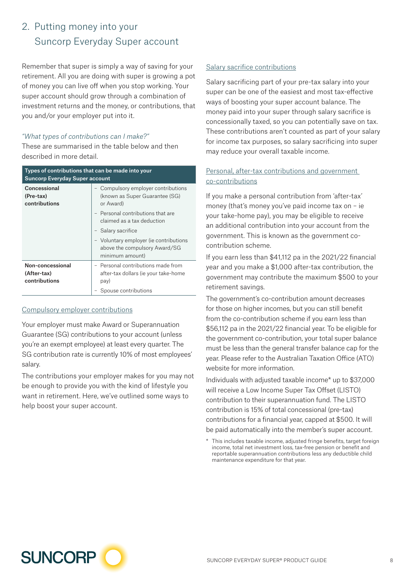# 2. Putting money into your Suncorp Everyday Super account

Remember that super is simply a way of saving for your retirement. All you are doing with super is growing a pot of money you can live off when you stop working. Your super account should grow through a combination of investment returns and the money, or contributions, that you and/or your employer put into it.

#### *"What types of contributions can I make?"*

These are summarised in the table below and then described in more detail.

| Types of contributions that can be made into your<br><b>Suncorp Everyday Super account</b> |                                                                                                            |  |
|--------------------------------------------------------------------------------------------|------------------------------------------------------------------------------------------------------------|--|
| Concessional<br>(Pre-tax)<br>contributions                                                 | - Compulsory employer contributions<br>(known as Super Guarantee (SG)<br>or Award)                         |  |
|                                                                                            | - Personal contributions that are<br>claimed as a tax deduction                                            |  |
|                                                                                            | - Salary sacrifice                                                                                         |  |
|                                                                                            | - Voluntary employer (ie contributions<br>above the compulsory Award/SG<br>minimum amount)                 |  |
| Non-concessional<br>(After-tax)<br>contributions                                           | - Personal contributions made from<br>after-tax dollars (ie your take-home<br>pay)<br>Spouse contributions |  |

#### Compulsory employer contributions

Your employer must make Award or Superannuation Guarantee (SG) contributions to your account (unless you're an exempt employee) at least every quarter. The SG contribution rate is currently 10% of most employees' salary.

The contributions your employer makes for you may not be enough to provide you with the kind of lifestyle you want in retirement. Here, we've outlined some ways to help boost your super account.

#### Salary sacrifice contributions

Salary sacrificing part of your pre-tax salary into your super can be one of the easiest and most tax-effective ways of boosting your super account balance. The money paid into your super through salary sacrifice is concessionally taxed, so you can potentially save on tax. These contributions aren't counted as part of your salary for income tax purposes, so salary sacrificing into super may reduce your overall taxable income.

#### Personal, after-tax contributions and government co-contributions

If you make a personal contribution from 'after-tax' money (that's money you've paid income tax on – ie your take-home pay), you may be eligible to receive an additional contribution into your account from the government. This is known as the government cocontribution scheme.

If you earn less than \$41,112 pa in the 2021/22 financial year and you make a \$1,000 after-tax contribution, the government may contribute the maximum \$500 to your retirement savings.

The government's co-contribution amount decreases for those on higher incomes, but you can still benefit from the co-contribution scheme if you earn less than \$56,112 pa in the 2021/22 financial year. To be eligible for the government co-contribution, your total super balance must be less than the general transfer balance cap for the year. Please refer to the Australian Taxation Office (ATO) website for more information.

Individuals with adjusted taxable income\* up to \$37,000 will receive a Low Income Super Tax Offset (LISTO) contribution to their superannuation fund. The LISTO contribution is 15% of total concessional (pre-tax) contributions for a financial year, capped at \$500. It will be paid automatically into the member's super account.



<sup>\*</sup> This includes taxable income, adjusted fringe benefits, target foreign income, total net investment loss, tax-free pension or benefit and reportable superannuation contributions less any deductible child maintenance expenditure for that year.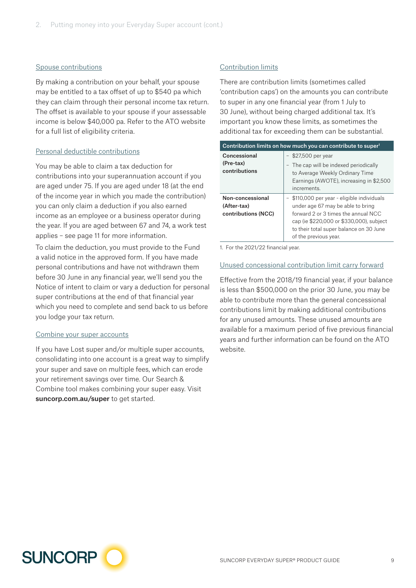#### Spouse contributions

By making a contribution on your behalf, your spouse may be entitled to a tax offset of up to \$540 pa which they can claim through their personal income tax return. The offset is available to your spouse if your assessable income is below \$40,000 pa. Refer to the ATO website for a full list of eligibility criteria.

#### Personal deductible contributions

You may be able to claim a tax deduction for contributions into your superannuation account if you are aged under 75. If you are aged under 18 (at the end of the income year in which you made the contribution) you can only claim a deduction if you also earned income as an employee or a business operator during the year. If you are aged between 67 and 74, a work test applies – see page 11 for more information.

To claim the deduction, you must provide to the Fund a valid notice in the approved form. If you have made personal contributions and have not withdrawn them before 30 June in any financial year, we'll send you the Notice of intent to claim or vary a deduction for personal super contributions at the end of that financial year which you need to complete and send back to us before you lodge your tax return.

#### Combine your super accounts

If you have Lost super and/or multiple super accounts, consolidating into one account is a great way to simplify your super and save on multiple fees, which can erode your retirement savings over time. Our Search & Combine tool makes combining your super easy. Visit suncorp.com.au/super to get started.

#### Contribution limits

There are contribution limits (sometimes called 'contribution caps') on the amounts you can contribute to super in any one financial year (from 1 July to 30 June), without being charged additional tax. It's important you know these limits, as sometimes the additional tax for exceeding them can be substantial.

| Contribution limits on how much you can contribute to super <sup>1</sup> |                                                                                                                                                                                                                                         |  |
|--------------------------------------------------------------------------|-----------------------------------------------------------------------------------------------------------------------------------------------------------------------------------------------------------------------------------------|--|
| Concessional<br>$(Pre-tax)$                                              | \$27,500 per year                                                                                                                                                                                                                       |  |
| contributions                                                            | - The cap will be indexed periodically<br>to Average Weekly Ordinary Time<br>Earnings (AWOTE), increasing in \$2,500<br><i>increments</i>                                                                                               |  |
| Non-concessional<br>(After-tax)<br>contributions (NCC)                   | - \$110,000 per year - eligible individuals<br>under age 67 may be able to bring<br>forward 2 or 3 times the annual NCC<br>cap (ie \$220,000 or \$330,000), subject<br>to their total super balance on 30 June<br>of the previous year. |  |

1. For the 2021/22 financial year.

#### Unused concessional contribution limit carry forward

Effective from the 2018/19 financial year, if your balance is less than \$500,000 on the prior 30 June, you may be able to contribute more than the general concessional contributions limit by making additional contributions for any unused amounts. These unused amounts are available for a maximum period of five previous financial years and further information can be found on the ATO website.

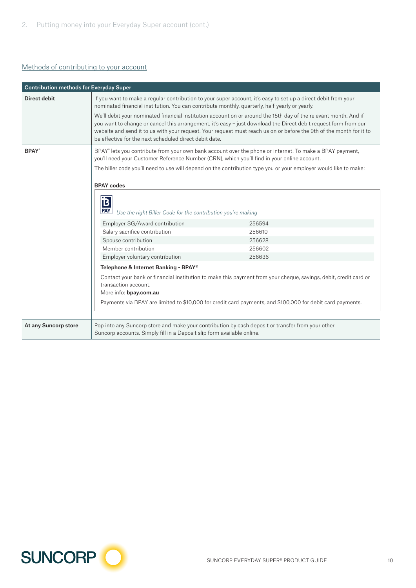#### Methods of contributing to your account

| <b>Contribution methods for Everyday Super</b> |                                                                                                                                                                                                                                                                                                                                                                                                                                                                                                                                                                                                                                          |        |  |
|------------------------------------------------|------------------------------------------------------------------------------------------------------------------------------------------------------------------------------------------------------------------------------------------------------------------------------------------------------------------------------------------------------------------------------------------------------------------------------------------------------------------------------------------------------------------------------------------------------------------------------------------------------------------------------------------|--------|--|
| Direct debit                                   | If you want to make a regular contribution to your super account, it's easy to set up a direct debit from your<br>nominated financial institution. You can contribute monthly, quarterly, half-yearly or yearly.<br>We'll debit your nominated financial institution account on or around the 15th day of the relevant month. And if<br>you want to change or cancel this arrangement, it's easy - just download the Direct debit request form from our<br>website and send it to us with your request. Your request must reach us on or before the 9th of the month for it to<br>be effective for the next scheduled direct debit date. |        |  |
| <b>BPAY</b> <sup>®</sup>                       | BPAY® lets you contribute from your own bank account over the phone or internet. To make a BPAY payment,<br>you'll need your Customer Reference Number (CRN), which you'll find in your online account.<br>The biller code you'll need to use will depend on the contribution type you or your employer would like to make:<br><b>BPAY codes</b>                                                                                                                                                                                                                                                                                         |        |  |
|                                                | $\bf B$<br><b>PAY</b><br>Use the right Biller Code for the contribution you're making                                                                                                                                                                                                                                                                                                                                                                                                                                                                                                                                                    |        |  |
|                                                | Employer SG/Award contribution                                                                                                                                                                                                                                                                                                                                                                                                                                                                                                                                                                                                           | 256594 |  |
|                                                | Salary sacrifice contribution                                                                                                                                                                                                                                                                                                                                                                                                                                                                                                                                                                                                            | 256610 |  |
|                                                | Spouse contribution                                                                                                                                                                                                                                                                                                                                                                                                                                                                                                                                                                                                                      | 256628 |  |
|                                                | Member contribution                                                                                                                                                                                                                                                                                                                                                                                                                                                                                                                                                                                                                      | 256602 |  |
|                                                | Employer voluntary contribution                                                                                                                                                                                                                                                                                                                                                                                                                                                                                                                                                                                                          | 256636 |  |
|                                                | Telephone & Internet Banking - BPAY®                                                                                                                                                                                                                                                                                                                                                                                                                                                                                                                                                                                                     |        |  |
|                                                | Contact your bank or financial institution to make this payment from your cheque, savings, debit, credit card or<br>transaction account.<br>More info: bpay.com.au<br>Payments via BPAY are limited to \$10,000 for credit card payments, and \$100,000 for debit card payments.                                                                                                                                                                                                                                                                                                                                                         |        |  |
| At any Suncorp store                           | Pop into any Suncorp store and make your contribution by cash deposit or transfer from your other<br>Suncorp accounts. Simply fill in a Deposit slip form available online.                                                                                                                                                                                                                                                                                                                                                                                                                                                              |        |  |

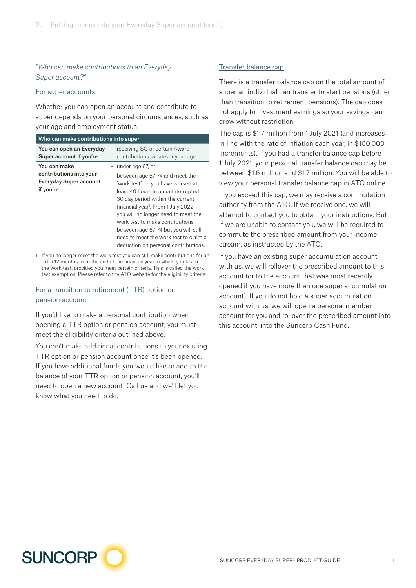#### *"Who can make contributions to an Everyday Super account?"*

#### For super accounts

Whether you can open an account and contribute to super depends on your personal circumstances, such as your age and employment status:

| Who can make contributions into super                                          |                                                                                                                                                                                                                                                                                                                                                                                                                            |
|--------------------------------------------------------------------------------|----------------------------------------------------------------------------------------------------------------------------------------------------------------------------------------------------------------------------------------------------------------------------------------------------------------------------------------------------------------------------------------------------------------------------|
| You can open an Everyday<br>Super account if you're                            | - receiving SG or certain Award<br>contributions, whatever your age.                                                                                                                                                                                                                                                                                                                                                       |
| You can make<br>contributions into your<br>Everyday Super account<br>if you're | - under age 67, or<br>between age 67-74 and meet the<br>'work test' i.e. you have worked at<br>least 40 hours in an uninterrupted<br>30 day period within the current<br>financial year <sup>1</sup> . From 1 July 2022<br>you will no longer need to meet the<br>work test to make contributions<br>between age 67-74 but you will still<br>need to meet the work test to claim a<br>deduction on personal contributions. |

1 If you no longer meet the work test you can still make contributions for an extra 12 months from the end of the financial year in which you last met the work test, provided you meet certain criteria. This is called the work test exemption. Please refer to the ATO website for the eligibility criteria.

#### For a transition to retirement (TTR) option or pension account

If you'd like to make a personal contribution when opening a TTR option or pension account, you must meet the eligibility criteria outlined above.

You can't make additional contributions to your existing TTR option or pension account once it's been opened. If you have additional funds you would like to add to the balance of your TTR option or pension account, you'll need to open a new account. Call us and we'll let you know what you need to do.

#### Transfer balance cap

There is a transfer balance cap on the total amount of super an individual can transfer to start pensions (other than transition to retirement pensions). The cap does not apply to investment earnings so your savings can grow without restriction.

The cap is \$1.7 million from 1 July 2021 (and increases in line with the rate of inflation each year, in \$100,000 increments). If you had a transfer balance cap before 1 July 2021, your personal transfer balance cap may be between \$1.6 million and \$1.7 million. You will be able to view your personal transfer balance cap in ATO online.

If you exceed this cap, we may receive a commutation authority from the ATO. If we receive one, we will attempt to contact you to obtain your instructions. But if we are unable to contact you, we will be required to commute the prescribed amount from your income stream, as instructed by the ATO.

If you have an existing super accumulation account with us, we will rollover the prescribed amount to this account (or to the account that was most recently opened if you have more than one super accumulation account). If you do not hold a super accumulation account with us, we will open a personal member account for you and rollover the prescribed amount into this account, into the Suncorp Cash Fund.

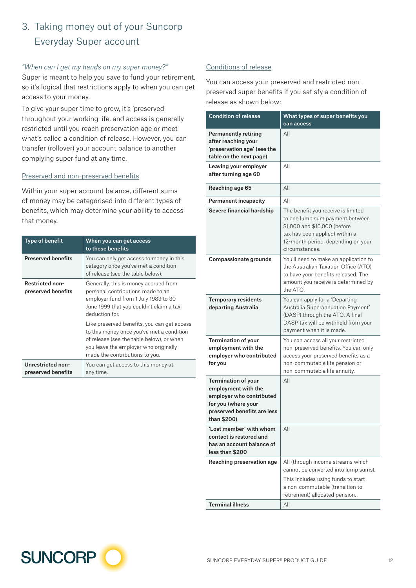# 3. Taking money out of your Suncorp Everyday Super account

#### *"When can I get my hands on my super money?"*

Super is meant to help you save to fund your retirement, so it's logical that restrictions apply to when you can get access to your money.

To give your super time to grow, it's 'preserved' throughout your working life, and access is generally restricted until you reach preservation age or meet what's called a condition of release. However, you can transfer (rollover) your account balance to another complying super fund at any time.

#### Preserved and non-preserved benefits

Within your super account balance, different sums of money may be categorised into different types of benefits, which may determine your ability to access that money.

| <b>Type of benefit</b>                       | When you can get access<br>to these benefits                                                                                                                                                                     |
|----------------------------------------------|------------------------------------------------------------------------------------------------------------------------------------------------------------------------------------------------------------------|
| <b>Preserved benefits</b>                    | You can only get access to money in this<br>category once you've met a condition<br>of release (see the table below).                                                                                            |
| <b>Restricted non-</b><br>preserved benefits | Generally, this is money accrued from<br>personal contributions made to an<br>employer fund from 1 July 1983 to 30<br>June 1999 that you couldn't claim a tax<br>deduction for                                   |
|                                              | Like preserved benefits, you can get access<br>to this money once you've met a condition<br>of release (see the table below), or when<br>you leave the employer who originally<br>made the contributions to you. |
| Unrestricted non-<br>preserved benefits      | You can get access to this money at<br>any time.                                                                                                                                                                 |

#### Conditions of release

You can access your preserved and restricted nonpreserved super benefits if you satisfy a condition of release as shown below:

| <b>Condition of release</b>                                                                                                                        | What types of super benefits you<br>can access                                                                                                                                                  |
|----------------------------------------------------------------------------------------------------------------------------------------------------|-------------------------------------------------------------------------------------------------------------------------------------------------------------------------------------------------|
| <b>Permanently retiring</b><br>after reaching your<br>'preservation age' (see the<br>table on the next page)                                       | All                                                                                                                                                                                             |
| Leaving your employer<br>after turning age 60                                                                                                      | All                                                                                                                                                                                             |
| Reaching age 65                                                                                                                                    | All                                                                                                                                                                                             |
| <b>Permanent incapacity</b>                                                                                                                        | AII                                                                                                                                                                                             |
| Severe financial hardship                                                                                                                          | The benefit you receive is limited<br>to one lump sum payment between<br>\$1,000 and \$10,000 (before<br>tax has been applied) within a<br>12-month period, depending on your<br>circumstances. |
| <b>Compassionate grounds</b>                                                                                                                       | You'll need to make an application to<br>the Australian Taxation Office (ATO)<br>to have your benefits released. The<br>amount you receive is determined by<br>the ATO.                         |
| <b>Temporary residents</b><br>departing Australia                                                                                                  | You can apply for a 'Departing<br>Australia Superannuation Payment'<br>(DASP) through the ATO. A final<br>DASP tax will be withheld from your<br>payment when it is made.                       |
| <b>Termination of your</b><br>employment with the<br>employer who contributed<br>for you                                                           | You can access all your restricted<br>non-preserved benefits. You can only<br>access your preserved benefits as a<br>non-commutable life pension or<br>non-commutable life annuity.             |
| <b>Termination of your</b><br>employment with the<br>employer who contributed<br>for you (where your<br>preserved benefits are less<br>than \$200) | All                                                                                                                                                                                             |
| 'Lost member' with whom<br>contact is restored and<br>has an account balance of<br>less than \$200                                                 | All                                                                                                                                                                                             |
| Reaching preservation age<br><b>Terminal illness</b>                                                                                               | All (through income streams which<br>cannot be converted into lump sums).<br>This includes using funds to start<br>a non-commutable (transition to<br>retirement) allocated pension.<br>All     |

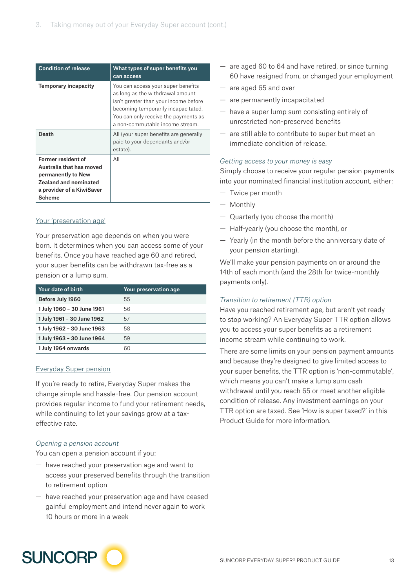| <b>Condition of release</b>                                                                                                                 | What types of super benefits you<br>can access                                                                                                                                                                                    |
|---------------------------------------------------------------------------------------------------------------------------------------------|-----------------------------------------------------------------------------------------------------------------------------------------------------------------------------------------------------------------------------------|
| <b>Temporary incapacity</b>                                                                                                                 | You can access your super benefits<br>as long as the withdrawal amount<br>isn't greater than your income before<br>becoming temporarily incapacitated.<br>You can only receive the payments as<br>a non-commutable income stream. |
| Death                                                                                                                                       | All (your super benefits are generally<br>paid to your dependants and/or<br>estate).                                                                                                                                              |
| Former resident of<br>Australia that has moved<br>permanently to New<br><b>Zealand and nominated</b><br>a provider of a KiwiSaver<br>Scheme | All                                                                                                                                                                                                                               |

#### Your 'preservation age'

Your preservation age depends on when you were born. It determines when you can access some of your benefits. Once you have reached age 60 and retired, your super benefits can be withdrawn tax-free as a pension or a lump sum.

| Your preservation age |
|-----------------------|
| 55                    |
| 56                    |
| 57                    |
| 58                    |
| 59                    |
| 60                    |
|                       |

#### Everyday Super pension

If you're ready to retire, Everyday Super makes the change simple and hassle-free. Our pension account provides regular income to fund your retirement needs, while continuing to let your savings grow at a taxeffective rate.

#### *Opening a pension account*

You can open a pension account if you:

- have reached your preservation age and want to access your preserved benefits through the transition to retirement option
- have reached your preservation age and have ceased gainful employment and intend never again to work 10 hours or more in a week
- are aged 60 to 64 and have retired, or since turning 60 have resigned from, or changed your employment
- are aged 65 and over
- are permanently incapacitated
- have a super lump sum consisting entirely of unrestricted non-preserved benefits
- are still able to contribute to super but meet an immediate condition of release.

#### *Getting access to your money is easy*

Simply choose to receive your regular pension payments into your nominated financial institution account, either:

- Twice per month
- Monthly
- Quarterly (you choose the month)
- Half-yearly (you choose the month), or
- Yearly (in the month before the anniversary date of your pension starting).

We'll make your pension payments on or around the 14th of each month (and the 28th for twice-monthly payments only).

#### *Transition to retirement (TTR) option*

Have you reached retirement age, but aren't yet ready to stop working? An Everyday Super TTR option allows you to access your super benefits as a retirement income stream while continuing to work.

There are some limits on your pension payment amounts and because they're designed to give limited access to your super benefits, the TTR option is 'non-commutable', which means you can't make a lump sum cash withdrawal until you reach 65 or meet another eligible condition of release. Any investment earnings on your TTR option are taxed. See 'How is super taxed?' in this Product Guide for more information.

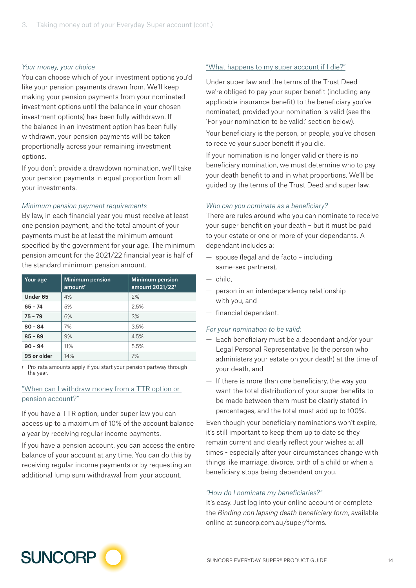#### *Your money, your choice*

You can choose which of your investment options you'd like your pension payments drawn from. We'll keep making your pension payments from your nominated investment options until the balance in your chosen investment option(s) has been fully withdrawn. If the balance in an investment option has been fully withdrawn, your pension payments will be taken proportionally across your remaining investment options.

If you don't provide a drawdown nomination, we'll take your pension payments in equal proportion from all your investments.

#### *Minimum pension payment requirements*

By law, in each financial year you must receive at least one pension payment, and the total amount of your payments must be at least the minimum amount specified by the government for your age. The minimum pension amount for the 2021/22 financial year is half of the standard minimum pension amount.

| Your age    | <b>Minimum pension</b><br>amount <sup>t</sup> | <b>Minimum pension</b><br>amount 2021/22 <sup>t</sup> |
|-------------|-----------------------------------------------|-------------------------------------------------------|
| Under 65    | 4%                                            | 2%                                                    |
| $65 - 74$   | 5%                                            | 2.5%                                                  |
| $75 - 79$   | 6%                                            | 3%                                                    |
| $80 - 84$   | 7%                                            | 3.5%                                                  |
| $85 - 89$   | 9%                                            | 4.5%                                                  |
| $90 - 94$   | 11%                                           | 5.5%                                                  |
| 95 or older | 14%                                           | 7%                                                    |

† Pro-rata amounts apply if you start your pension partway through the year.

#### "When can I withdraw money from a TTR option or pension account?"

If you have a TTR option, under super law you can access up to a maximum of 10% of the account balance a year by receiving regular income payments.

If you have a pension account, you can access the entire balance of your account at any time. You can do this by receiving regular income payments or by requesting an additional lump sum withdrawal from your account.

#### "What happens to my super account if I die?"

Under super law and the terms of the Trust Deed we're obliged to pay your super benefit (including any applicable insurance benefit) to the beneficiary you've nominated, provided your nomination is valid (see the 'For your nomination to be valid:' section below).

Your beneficiary is the person, or people, you've chosen to receive your super benefit if you die.

If your nomination is no longer valid or there is no beneficiary nomination, we must determine who to pay your death benefit to and in what proportions. We'll be guided by the terms of the Trust Deed and super law.

#### *Who can you nominate as a beneficiary?*

There are rules around who you can nominate to receive your super benefit on your death – but it must be paid to your estate or one or more of your dependants. A dependant includes a:

- spouse (legal and de facto including same-sex partners),
- child,
- person in an interdependency relationship with you, and
- financial dependant.

#### *For your nomination to be valid:*

- Each beneficiary must be a dependant and/or your Legal Personal Representative (ie the person who administers your estate on your death) at the time of your death, and
- If there is more than one beneficiary, the way you want the total distribution of your super benefits to be made between them must be clearly stated in percentages, and the total must add up to 100%.

Even though your beneficiary nominations won't expire, it's still important to keep them up to date so they remain current and clearly reflect your wishes at all times - especially after your circumstances change with things like marriage, divorce, birth of a child or when a beneficiary stops being dependent on you.

#### *"How do I nominate my beneficiaries?"*

It's easy. Just log into your online account or complete the *Binding non lapsing death beneficiary form*, available online at suncorp.com.au/super/forms.

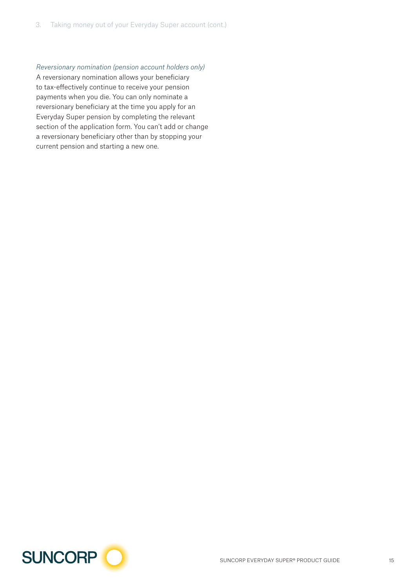#### *Reversionary nomination (pension account holders only)*

A reversionary nomination allows your beneficiary to tax-effectively continue to receive your pension payments when you die. You can only nominate a reversionary beneficiary at the time you apply for an Everyday Super pension by completing the relevant section of the application form. You can't add or change a reversionary beneficiary other than by stopping your current pension and starting a new one.

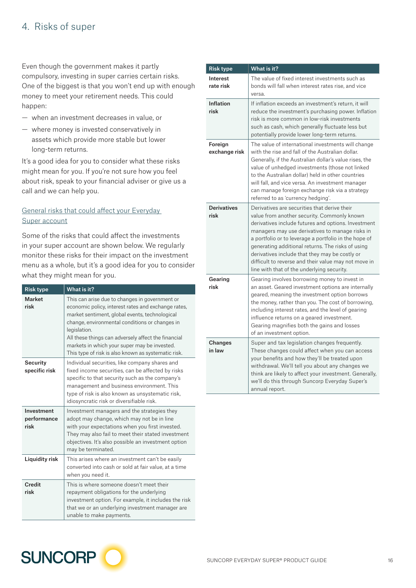### 4. Risks of super

Even though the government makes it partly compulsory, investing in super carries certain risks. One of the biggest is that you won't end up with enough money to meet your retirement needs. This could happen:

- when an investment decreases in value, or
- where money is invested conservatively in assets which provide more stable but lower long-term returns.

It's a good idea for you to consider what these risks might mean for you. If you're not sure how you feel about risk, speak to your financial adviser or give us a call and we can help you.

#### General risks that could affect your Everyday Super account

Some of the risks that could affect the investments in your super account are shown below. We regularly monitor these risks for their impact on the investment menu as a whole, but it's a good idea for you to consider what they might mean for you.

| <b>Risk type</b>                  | What is it?                                                                                                                                                                                                                                                                                                                                                                             |
|-----------------------------------|-----------------------------------------------------------------------------------------------------------------------------------------------------------------------------------------------------------------------------------------------------------------------------------------------------------------------------------------------------------------------------------------|
| <b>Market</b><br>risk             | This can arise due to changes in government or<br>economic policy, interest rates and exchange rates,<br>market sentiment, global events, technological<br>change, environmental conditions or changes in<br>legislation.<br>All these things can adversely affect the financial<br>markets in which your super may be invested.<br>This type of risk is also known as systematic risk. |
| <b>Security</b><br>specific risk  | Individual securities, like company shares and<br>fixed income securities, can be affected by risks<br>specific to that security such as the company's<br>management and business environment. This<br>type of risk is also known as unsystematic risk,<br>idiosyncratic risk or diversifiable risk.                                                                                    |
| Investment<br>performance<br>risk | Investment managers and the strategies they<br>adopt may change, which may not be in line<br>with your expectations when you first invested.<br>They may also fail to meet their stated investment<br>objectives. It's also possible an investment option<br>may be terminated.                                                                                                         |
| Liquidity risk                    | This arises where an investment can't be easily<br>converted into cash or sold at fair value, at a time<br>when you need it.                                                                                                                                                                                                                                                            |
| Credit<br>risk                    | This is where someone doesn't meet their<br>repayment obligations for the underlying<br>investment option. For example, it includes the risk<br>that we or an underlying investment manager are<br>unable to make payments.                                                                                                                                                             |

| <b>Risk type</b>           | What is it?                                                                                                                                                                                                                                                                                                                                                                                                                                                                 |
|----------------------------|-----------------------------------------------------------------------------------------------------------------------------------------------------------------------------------------------------------------------------------------------------------------------------------------------------------------------------------------------------------------------------------------------------------------------------------------------------------------------------|
| Interest<br>rate risk      | The value of fixed interest investments such as<br>bonds will fall when interest rates rise, and vice<br>versa.                                                                                                                                                                                                                                                                                                                                                             |
| <b>Inflation</b><br>risk   | If inflation exceeds an investment's return, it will<br>reduce the investment's purchasing power. Inflation<br>risk is more common in low-risk investments<br>such as cash, which generally fluctuate less but<br>potentially provide lower long-term returns.                                                                                                                                                                                                              |
| Foreign<br>exchange risk   | The value of international investments will change<br>with the rise and fall of the Australian dollar.<br>Generally, if the Australian dollar's value rises, the<br>value of unhedged investments (those not linked<br>to the Australian dollar) held in other countries<br>will fall, and vice versa. An investment manager<br>can manage foreign exchange risk via a strategy<br>referred to as 'currency hedging'.                                                       |
| <b>Derivatives</b><br>risk | Derivatives are securities that derive their<br>value from another security. Commonly known<br>derivatives include futures and options. Investment<br>managers may use derivatives to manage risks in<br>a portfolio or to leverage a portfolio in the hope of<br>generating additional returns. The risks of using<br>derivatives include that they may be costly or<br>difficult to reverse and their value may not move in<br>line with that of the underlying security. |
| Gearing<br>risk            | Gearing involves borrowing money to invest in<br>an asset. Geared investment options are internally<br>geared, meaning the investment option borrows<br>the money, rather than you. The cost of borrowing,<br>including interest rates, and the level of gearing<br>influence returns on a geared investment.<br>Gearing magnifies both the gains and losses<br>of an investment option.                                                                                    |
| <b>Changes</b><br>in law   | Super and tax legislation changes frequently.<br>These changes could affect when you can access<br>your benefits and how they'll be treated upon<br>withdrawal. We'll tell you about any changes we<br>think are likely to affect your investment. Generally,<br>we'll do this through Suncorp Everyday Super's<br>annual report.                                                                                                                                           |

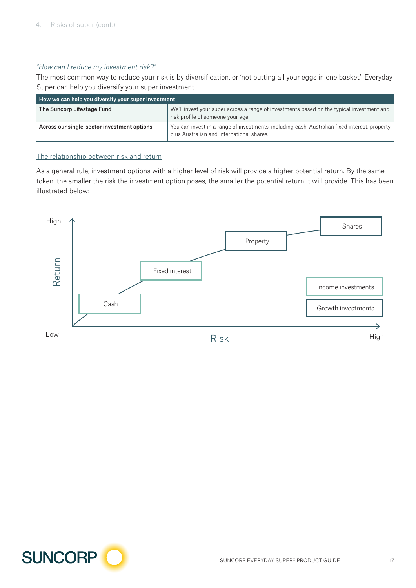#### *"How can I reduce my investment risk?"*

The most common way to reduce your risk is by diversification, or 'not putting all your eggs in one basket'. Everyday Super can help you diversify your super investment.

| How we can help you diversify your super investment |                                                                                                                                            |  |  |  |
|-----------------------------------------------------|--------------------------------------------------------------------------------------------------------------------------------------------|--|--|--|
| The Suncorp Lifestage Fund                          | We'll invest your super across a range of investments based on the typical investment and<br>risk profile of someone your age.             |  |  |  |
| Across our single-sector investment options         | You can invest in a range of investments, including cash, Australian fixed interest, property<br>plus Australian and international shares. |  |  |  |

#### The relationship between risk and return

As a general rule, investment options with a higher level of risk will provide a higher potential return. By the same token, the smaller the risk the investment option poses, the smaller the potential return it will provide. This has been illustrated below:



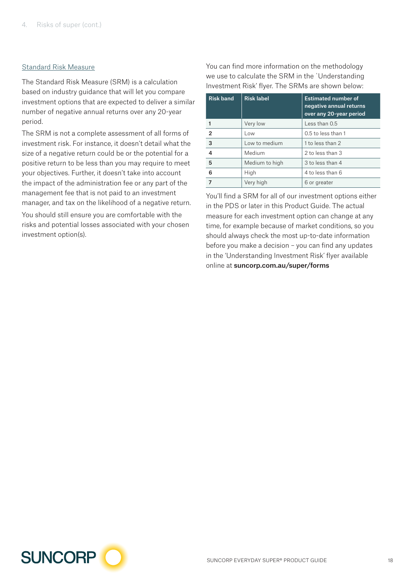#### Standard Risk Measure

The Standard Risk Measure (SRM) is a calculation based on industry guidance that will let you compare investment options that are expected to deliver a similar number of negative annual returns over any 20-year period.

The SRM is not a complete assessment of all forms of investment risk. For instance, it doesn't detail what the size of a negative return could be or the potential for a positive return to be less than you may require to meet your objectives. Further, it doesn't take into account the impact of the administration fee or any part of the management fee that is not paid to an investment manager, and tax on the likelihood of a negative return.

You should still ensure you are comfortable with the risks and potential losses associated with your chosen investment option(s).

You can find more information on the methodology we use to calculate the SRM in the `Understanding Investment Risk' flyer. The SRMs are shown below:

| <b>Risk band</b> | <b>Risk label</b> | <b>Estimated number of</b><br>negative annual returns<br>over any 20-year period |
|------------------|-------------------|----------------------------------------------------------------------------------|
|                  | Very low          | Less than $0.5$                                                                  |
| $\overline{2}$   | Low               | 0.5 to less than 1                                                               |
| 3                | Low to medium     | 1 to less than 2                                                                 |
| 4                | Medium            | 2 to less than 3                                                                 |
| 5                | Medium to high    | 3 to less than 4                                                                 |
| 6                | High              | 4 to less than 6                                                                 |
|                  | Very high         | 6 or greater                                                                     |

You'll find a SRM for all of our investment options either in the PDS or later in this Product Guide. The actual measure for each investment option can change at any time, for example because of market conditions, so you should always check the most up-to-date information before you make a decision – you can find any updates in the 'Understanding Investment Risk' flyer available online at suncorp.com.au/super/forms

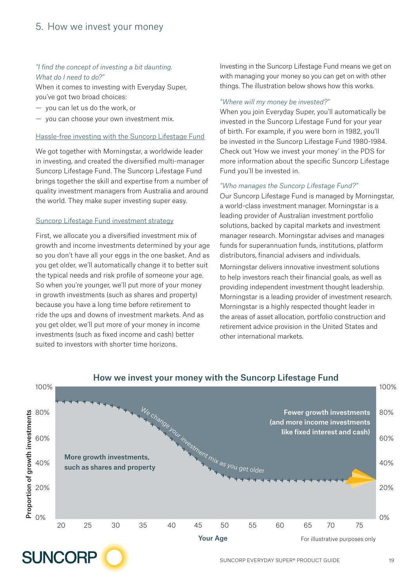#### *"I find the concept of investing a bit daunting. What do I need to do?"*

When it comes to investing with Everyday Super, you've got two broad choices:

- you can let us do the work, or
- you can choose your own investment mix.

#### Hassle-free investing with the Suncorp Lifestage Fund

We got together with Morningstar, a worldwide leader in investing, and created the diversified multi-manager Suncorp Lifestage Fund. The Suncorp Lifestage Fund brings together the skill and expertise from a number of quality investment managers from Australia and around the world. They make super investing super easy.

#### Suncorp Lifestage Fund investment strategy

**SUNCORP** 

First, we allocate you a diversified investment mix of growth and income investments determined by your age so you don't have all your eggs in the one basket. And as you get older, we'll automatically change it to better suit the typical needs and risk profile of someone your age. So when you're younger, we'll put more of your money in growth investments (such as shares and property) because you have a long time before retirement to ride the ups and downs of investment markets. And as you get older, we'll put more of your money in income investments (such as fixed income and cash) better suited to investors with shorter time horizons.

Investing in the Suncorp Lifestage Fund means we get on with managing your money so you can get on with other things. The illustration below shows how this works.

#### *"Where will my money be invested?"*

When you join Everyday Super, you'll automatically be invested in the Suncorp Lifestage Fund for your year of birth. For example, if you were born in 1982, you'll be invested in the Suncorp Lifestage Fund 1980-1984. Check out 'How we invest your money' in the PDS for more information about the specific Suncorp Lifestage Fund you'll be invested in.

#### *"Who manages the Suncorp Lifestage Fund?"*

Our Suncorp Lifestage Fund is managed by Morningstar, a world-class investment manager. Morningstar is a leading provider of Australian investment portfolio solutions, backed by capital markets and investment manager research. Morningstar advises and manages funds for superannuation funds, institutions, platform distributors, financial advisers and individuals.

Morningstar delivers innovative investment solutions to help investors reach their financial goals, as well as providing independent investment thought leadership. Morningstar is a leading provider of investment research. Morningstar is a highly respected thought leader in the areas of asset allocation, portfolio construction and retirement advice provision in the United States and other international markets.



#### How we invest your money with the Suncorp Lifestage Fund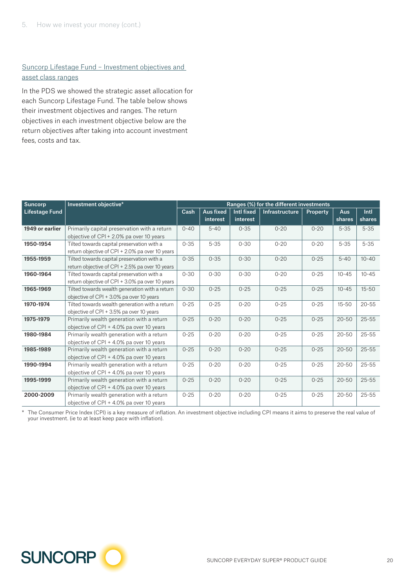#### Suncorp Lifestage Fund – Investment objectives and asset class ranges

In the PDS we showed the strategic asset allocation for each Suncorp Lifestage Fund. The table below shows their investment objectives and ranges. The return objectives in each investment objective below are the return objectives after taking into account investment fees, costs and tax.

| <b>Suncorp</b>        | Investment objective*                           |          |                  |                   | Ranges (%) for the different investments |          |            |           |
|-----------------------|-------------------------------------------------|----------|------------------|-------------------|------------------------------------------|----------|------------|-----------|
| <b>Lifestage Fund</b> |                                                 | Cash     | <b>Aus fixed</b> | <b>Intl fixed</b> | Infrastructure                           | Property | <b>Aus</b> | Intl      |
|                       |                                                 |          | interest         | interest          |                                          |          | shares     | shares    |
| 1949 or earlier       | Primarily capital preservation with a return    | $0 - 40$ | $5 - 40$         | $0 - 35$          | $0 - 20$                                 | $0 - 20$ | $5 - 35$   | $5 - 35$  |
|                       | objective of CPI + 2.0% pa over 10 years        |          |                  |                   |                                          |          |            |           |
| 1950-1954             | Tilted towards capital preservation with a      | $0 - 35$ | $5 - 35$         | $0 - 30$          | $0 - 20$                                 | $0 - 20$ | $5 - 35$   | $5 - 35$  |
|                       | return objective of CPI + 2.0% pa over 10 years |          |                  |                   |                                          |          |            |           |
| 1955-1959             | Tilted towards capital preservation with a      | $0 - 35$ | $0 - 35$         | $0 - 30$          | $0 - 20$                                 | $0 - 25$ | $5 - 40$   | $10 - 40$ |
|                       | return objective of CPI + 2.5% pa over 10 years |          |                  |                   |                                          |          |            |           |
| 1960-1964             | Tilted towards capital preservation with a      | $0 - 30$ | $0 - 30$         | $0 - 30$          | $0 - 20$                                 | $0 - 25$ | $10 - 45$  | $10 - 45$ |
|                       | return objective of CPI + 3.0% pa over 10 years |          |                  |                   |                                          |          |            |           |
| 1965-1969             | Tilted towards wealth generation with a return  | $0 - 30$ | $0 - 25$         | $0 - 25$          | $0 - 25$                                 | $0 - 25$ | $10 - 45$  | $15 - 50$ |
|                       | objective of CPI + 3.0% pa over 10 years        |          |                  |                   |                                          |          |            |           |
| 1970-1974             | Tilted towards wealth generation with a return  | $0 - 25$ | $0 - 25$         | $0 - 20$          | $0 - 25$                                 | $0 - 25$ | $15 - 50$  | $20 - 55$ |
|                       | objective of CPI + 3.5% pa over 10 years        |          |                  |                   |                                          |          |            |           |
| 1975-1979             | Primarily wealth generation with a return       | $0 - 25$ | $0 - 20$         | $0 - 20$          | $0 - 25$                                 | $0 - 25$ | $20 - 50$  | $25 - 55$ |
|                       | objective of CPI + 4.0% pa over 10 years        |          |                  |                   |                                          |          |            |           |
| 1980-1984             | Primarily wealth generation with a return       | $0 - 25$ | $0 - 20$         | $0 - 20$          | $0 - 25$                                 | $0 - 25$ | $20 - 50$  | $25 - 55$ |
|                       | objective of CPI + 4.0% pa over 10 years        |          |                  |                   |                                          |          |            |           |
| 1985-1989             | Primarily wealth generation with a return       | $0 - 25$ | $0 - 20$         | $0 - 20$          | $0 - 25$                                 | $0 - 25$ | $20 - 50$  | $25 - 55$ |
|                       | objective of CPI $+$ 4.0% pa over 10 years      |          |                  |                   |                                          |          |            |           |
| 1990-1994             | Primarily wealth generation with a return       | $0 - 25$ | $0 - 20$         | $0 - 20$          | $0 - 25$                                 | $0 - 25$ | $20 - 50$  | $25 - 55$ |
|                       | objective of CPI + 4.0% pa over 10 years        |          |                  |                   |                                          |          |            |           |
| 1995-1999             | Primarily wealth generation with a return       | $0 - 25$ | $0 - 20$         | $0 - 20$          | $0 - 25$                                 | $0 - 25$ | $20 - 50$  | $25 - 55$ |
|                       | objective of CPI + 4.0% pa over 10 years        |          |                  |                   |                                          |          |            |           |
| 2000-2009             | Primarily wealth generation with a return       | $0 - 25$ | $0 - 20$         | $0 - 20$          | $0 - 25$                                 | $0 - 25$ | $20 - 50$  | $25 - 55$ |
|                       | objective of CPI + 4.0% pa over 10 years        |          |                  |                   |                                          |          |            |           |

\* The Consumer Price Index (CPI) is a key measure of inflation. An investment objective including CPI means it aims to preserve the real value of your investment. (ie to at least keep pace with inflation).

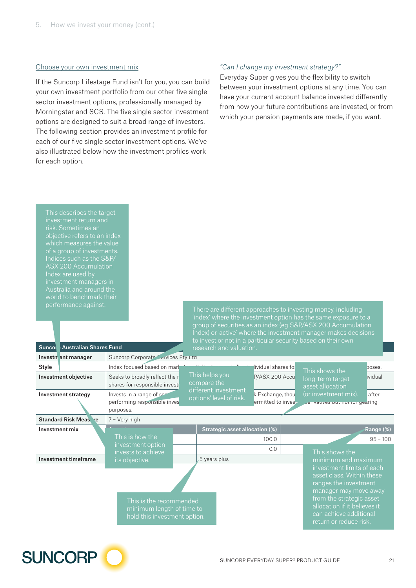#### Choose your own investment mix

If the Suncorp Lifestage Fund isn't for you, you can build your own investment portfolio from our other five single sector investment options, professionally managed by Morningstar and SCS. The five single sector investment options are designed to suit a broad range of investors. The following section provides an investment profile for each of our five single sector investment options. We've also illustrated below how the investment profiles work for each option.

#### *"Can I change my investment strategy?"*

Everyday Super gives you the flexibility to switch between your investment options at any time. You can have your current account balance invested differently from how your future contributions are invested, or from which your pension payments are made, if you want.

This describes the target Indices such as the S&P/ ASX 200 Accumulation Index are used by investment managers in performance against.

There are different approaches to investing money, including group of securities as an index (eg S&P/ASX 200 Accumulation Index) or 'active' where the investment manager makes decisions to invest or not in a particular security based on their own

| Australian Shares Fund<br><b>Suncol</b> |                                                                                      | research and valuation.                         |                                        |                                                                                                                                                                                                                          |            |
|-----------------------------------------|--------------------------------------------------------------------------------------|-------------------------------------------------|----------------------------------------|--------------------------------------------------------------------------------------------------------------------------------------------------------------------------------------------------------------------------|------------|
| Investn ent manager                     | Suncorp Corporate Services Pty Ltd                                                   |                                                 |                                        |                                                                                                                                                                                                                          |            |
| <b>Style</b>                            | Index-focused based on mark                                                          |                                                 | lividual shares for                    | This shows the                                                                                                                                                                                                           | poses.     |
| Investment objective                    | Seeks to broadly reflect the r<br>shares for responsible invest                      | This helps you<br>compare the                   | P/ASX 200 Accu                         | long-term target<br>asset allocation                                                                                                                                                                                     | ividual    |
| <b>Investment strategy</b>              | Invests in a range of sec<br>performing responsible inves<br>purposes.               | different investment<br>options' level of risk. | k Exchange, thou<br>ermitted to inves. | (or investment mix).<br><b><i><u>Lerivatives but not for gearing</u></i></b>                                                                                                                                             | after      |
| <b>Standard Risk Meas</b><br>re         | 7 - Very high                                                                        |                                                 |                                        |                                                                                                                                                                                                                          |            |
| Investment mix                          |                                                                                      | Strategic asset allocation (%)                  |                                        |                                                                                                                                                                                                                          | Range (%)  |
|                                         | This is how the                                                                      |                                                 | 100.0                                  |                                                                                                                                                                                                                          | $95 - 100$ |
|                                         | investment option<br>invests to achieve                                              |                                                 | 0.0                                    | This shows the                                                                                                                                                                                                           |            |
| <b>Investment timeframe</b>             | its objective.                                                                       | 5 years plus                                    |                                        | minimum and maximum                                                                                                                                                                                                      |            |
|                                         | This is the recommended<br>minimum length of time to<br>hold this investment option. |                                                 |                                        | investment limits of each<br>asset class. Within these<br>ranges the investment<br>manager may move away<br>from the strategic asset<br>allocation if it believes it<br>can achieve additional<br>return or reduce risk. |            |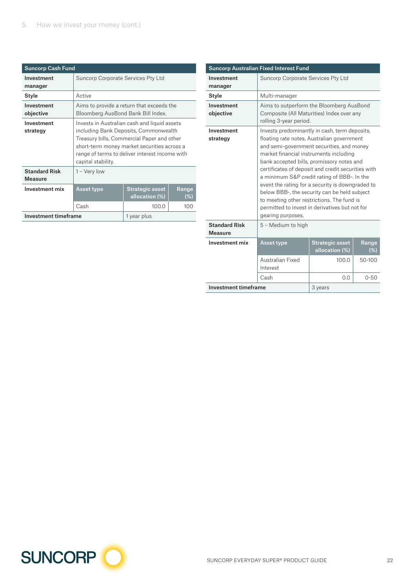|                                 | <b>Suncorp Cash Fund</b>                                                                                                                                                                                                                                   |             |  |  |  |
|---------------------------------|------------------------------------------------------------------------------------------------------------------------------------------------------------------------------------------------------------------------------------------------------------|-------------|--|--|--|
| Investment<br>manager           | Suncorp Corporate Services Pty Ltd                                                                                                                                                                                                                         |             |  |  |  |
| Style                           | Active                                                                                                                                                                                                                                                     |             |  |  |  |
| Investment<br>objective         | Aims to provide a return that exceeds the<br>Bloomberg AusBond Bank Bill Index.                                                                                                                                                                            |             |  |  |  |
| Investment<br>strategy          | Invests in Australian cash and liquid assets<br>including Bank Deposits, Commonwealth<br>Treasury bills, Commercial Paper and other<br>short-term money market securities across a<br>range of terms to deliver interest income with<br>capital stability. |             |  |  |  |
| <b>Standard Risk</b><br>Measure | 1 - Very low                                                                                                                                                                                                                                               |             |  |  |  |
| Investment mix                  | <b>Strategic asset</b><br>Range<br><b>Asset type</b><br>allocation (%)<br>$(\%)$                                                                                                                                                                           |             |  |  |  |
|                                 | Cash<br>100.0<br>100                                                                                                                                                                                                                                       |             |  |  |  |
| <b>Investment timeframe</b>     |                                                                                                                                                                                                                                                            | 1 year plus |  |  |  |

|                                        | <b>Suncorp Australian Fixed Interest Fund</b>                                                                                                                                                                                                                                                                                                                                                                                                                                                                                            |         |          |  |  |
|----------------------------------------|------------------------------------------------------------------------------------------------------------------------------------------------------------------------------------------------------------------------------------------------------------------------------------------------------------------------------------------------------------------------------------------------------------------------------------------------------------------------------------------------------------------------------------------|---------|----------|--|--|
| Investment<br>manager                  | Suncorp Corporate Services Pty Ltd                                                                                                                                                                                                                                                                                                                                                                                                                                                                                                       |         |          |  |  |
| <b>Style</b>                           | Multi-manager                                                                                                                                                                                                                                                                                                                                                                                                                                                                                                                            |         |          |  |  |
| Investment<br>objective                | Aims to outperform the Bloomberg AusBond<br>Composite (All Maturities) Index over any<br>rolling 3-year period.                                                                                                                                                                                                                                                                                                                                                                                                                          |         |          |  |  |
| Investment<br>strategy                 | Invests predominantly in cash, term deposits,<br>floating rate notes, Australian government<br>and semi-government securities, and money<br>market financial instruments including<br>bank accepted bills, promissory notes and<br>certificates of deposit and credit securities with<br>a minimum S&P credit rating of BBB-. In the<br>event the rating for a security is downgraded to<br>below BBB-, the security can be held subject<br>to meeting other restrictions. The fund is<br>permitted to invest in derivatives but not for |         |          |  |  |
| <b>Standard Risk</b><br><b>Measure</b> | gearing purposes.<br>5 - Medium to high                                                                                                                                                                                                                                                                                                                                                                                                                                                                                                  |         |          |  |  |
| <b>Investment mix</b>                  | <b>Strategic asset</b><br><b>Asset type</b><br>Range<br>allocation (%)<br>$(\%)$                                                                                                                                                                                                                                                                                                                                                                                                                                                         |         |          |  |  |
|                                        | 100.0                                                                                                                                                                                                                                                                                                                                                                                                                                                                                                                                    | 50-100  |          |  |  |
|                                        | Cash                                                                                                                                                                                                                                                                                                                                                                                                                                                                                                                                     | 0.0     | $0 - 50$ |  |  |
| <b>Investment timeframe</b>            |                                                                                                                                                                                                                                                                                                                                                                                                                                                                                                                                          | 3 years |          |  |  |

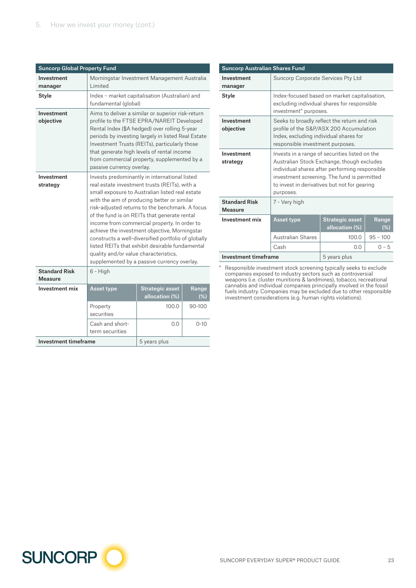| <b>Suncorp Global Property Fund</b> |                                                                                                                                                                                                                                                                                                                                                                                                                                                                                                                                                                                                        |                                          |                 |  |  |
|-------------------------------------|--------------------------------------------------------------------------------------------------------------------------------------------------------------------------------------------------------------------------------------------------------------------------------------------------------------------------------------------------------------------------------------------------------------------------------------------------------------------------------------------------------------------------------------------------------------------------------------------------------|------------------------------------------|-----------------|--|--|
| Investment<br>manager               | Morningstar Investment Management Australia<br>Limited                                                                                                                                                                                                                                                                                                                                                                                                                                                                                                                                                 |                                          |                 |  |  |
| <b>Style</b>                        | Index - market capitalisation (Australian) and<br>fundamental (global)                                                                                                                                                                                                                                                                                                                                                                                                                                                                                                                                 |                                          |                 |  |  |
| Investment<br>objective             | Aims to deliver a similar or superior risk-return<br>profile to the FTSE EPRA/NAREIT Developed<br>Rental Index (\$A hedged) over rolling 5-year<br>periods by investing largely in listed Real Estate<br>Investment Trusts (REITs), particularly those<br>that generate high levels of rental income<br>from commercial property, supplemented by a<br>passive currency overlay.                                                                                                                                                                                                                       |                                          |                 |  |  |
| Investment<br>strategy              | Invests predominantly in international listed<br>real estate investment trusts (REITs), with a<br>small exposure to Australian listed real estate<br>with the aim of producing better or similar<br>risk-adjusted returns to the benchmark. A focus<br>of the fund is on REITs that generate rental<br>income from commercial property. In order to<br>achieve the investment objective, Morningstar<br>constructs a well-diversified portfolio of globally<br>listed REITs that exhibit desirable fundamental<br>quality and/or value characteristics,<br>supplemented by a passive currency overlay. |                                          |                 |  |  |
| <b>Standard Risk</b><br>Measure     | 6 - High                                                                                                                                                                                                                                                                                                                                                                                                                                                                                                                                                                                               |                                          |                 |  |  |
| <b>Investment mix</b>               | <b>Asset type</b>                                                                                                                                                                                                                                                                                                                                                                                                                                                                                                                                                                                      | <b>Strategic asset</b><br>allocation (%) | Range<br>$(\%)$ |  |  |
|                                     | $90 - 100$<br>Property<br>100.0<br>securities<br>Cash and short-<br>0.0<br>$0 - 10$<br>term securities                                                                                                                                                                                                                                                                                                                                                                                                                                                                                                 |                                          |                 |  |  |
|                                     |                                                                                                                                                                                                                                                                                                                                                                                                                                                                                                                                                                                                        |                                          |                 |  |  |
| <b>Investment timeframe</b>         |                                                                                                                                                                                                                                                                                                                                                                                                                                                                                                                                                                                                        | 5 years plus                             |                 |  |  |

| <b>Suncorp Australian Shares Fund</b> |                                                                                                                                                                                                                                                            |              |  |  |  |
|---------------------------------------|------------------------------------------------------------------------------------------------------------------------------------------------------------------------------------------------------------------------------------------------------------|--------------|--|--|--|
| Investment<br>manager                 | Suncorp Corporate Services Pty Ltd                                                                                                                                                                                                                         |              |  |  |  |
| Style                                 | Index-focused based on market capitalisation,<br>excluding individual shares for responsible<br>investment <sup>^</sup> purposes.                                                                                                                          |              |  |  |  |
| Investment<br>objective               | Seeks to broadly reflect the return and risk<br>profile of the S&P/ASX 200 Accumulation<br>Index, excluding individual shares for<br>responsible investment purposes.                                                                                      |              |  |  |  |
| Investment<br>strategy                | Invests in a range of securities listed on the<br>Australian Stock Exchange, though excludes<br>individual shares after performing responsible<br>investment screening. The fund is permitted<br>to invest in derivatives but not for gearing<br>purposes. |              |  |  |  |
| <b>Standard Risk</b><br>Measure       | 7 - Very high                                                                                                                                                                                                                                              |              |  |  |  |
| Investment mix                        | <b>Asset type</b><br><b>Strategic asset</b><br>Range<br>allocation (%)<br>$(\%)$                                                                                                                                                                           |              |  |  |  |
|                                       | Australian Shares<br>100.0<br>$95 - 100$                                                                                                                                                                                                                   |              |  |  |  |
|                                       | $0 - 5$<br>Cash<br>0.0                                                                                                                                                                                                                                     |              |  |  |  |
| <b>Investment timeframe</b>           |                                                                                                                                                                                                                                                            | 5 years plus |  |  |  |

^ Responsible investment stock screening typically seeks to exclude companies exposed to industry sectors such as controversial weapons (i.e. cluster munitions & landmines), tobacco, recreational cannabis and individual companies principally involved in the fossil fuels industry. Companies may be excluded due to other responsible investment considerations (e.g. human rights violations).

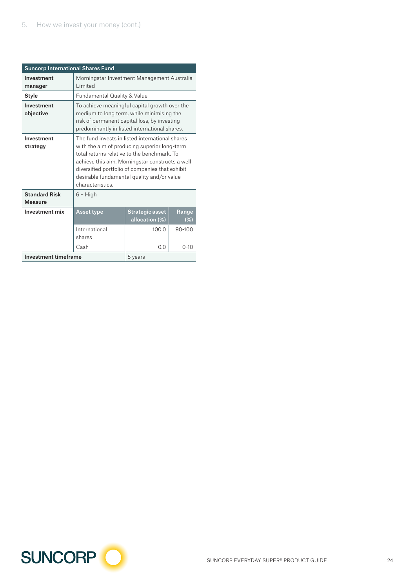| <b>Suncorp International Shares Fund</b> |                                                                                                                                                                                                                                                                                                                       |         |  |  |  |
|------------------------------------------|-----------------------------------------------------------------------------------------------------------------------------------------------------------------------------------------------------------------------------------------------------------------------------------------------------------------------|---------|--|--|--|
| Investment<br>manager                    | Morningstar Investment Management Australia<br>I imited                                                                                                                                                                                                                                                               |         |  |  |  |
| <b>Style</b>                             | Fundamental Quality & Value                                                                                                                                                                                                                                                                                           |         |  |  |  |
| Investment<br>objective                  | To achieve meaningful capital growth over the<br>medium to long term, while minimising the<br>risk of permanent capital loss, by investing<br>predominantly in listed international shares.                                                                                                                           |         |  |  |  |
| Investment<br>strategy                   | The fund invests in listed international shares<br>with the aim of producing superior long-term<br>total returns relative to the benchmark. To<br>achieve this aim, Morningstar constructs a well<br>diversified portfolio of companies that exhibit<br>desirable fundamental quality and/or value<br>characteristics |         |  |  |  |
| <b>Standard Risk</b><br><b>Measure</b>   | $6 - High$                                                                                                                                                                                                                                                                                                            |         |  |  |  |
| Investment mix                           | <b>Strategic asset</b><br><b>Asset type</b><br>Range<br>allocation (%)<br>$(\%)$<br>100.0<br>$90 - 100$<br>International<br>shares<br>Cash<br>$0 - 10$<br>0.0                                                                                                                                                         |         |  |  |  |
|                                          |                                                                                                                                                                                                                                                                                                                       |         |  |  |  |
|                                          |                                                                                                                                                                                                                                                                                                                       |         |  |  |  |
| <b>Investment timeframe</b>              |                                                                                                                                                                                                                                                                                                                       | 5 years |  |  |  |

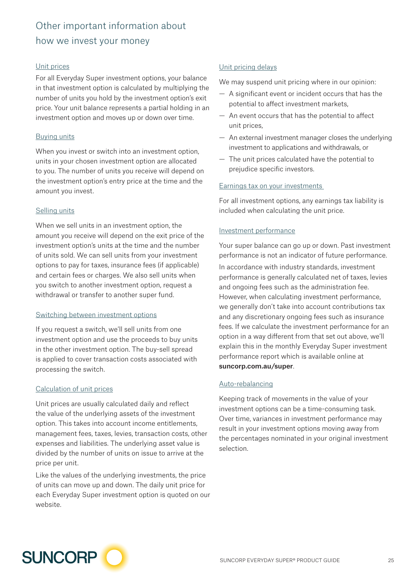# Other important information about how we invest your money

#### Unit prices

For all Everyday Super investment options, your balance in that investment option is calculated by multiplying the number of units you hold by the investment option's exit price. Your unit balance represents a partial holding in an investment option and moves up or down over time.

#### Buying units

When you invest or switch into an investment option, units in your chosen investment option are allocated to you. The number of units you receive will depend on the investment option's entry price at the time and the amount you invest.

#### Selling units

When we sell units in an investment option, the amount you receive will depend on the exit price of the investment option's units at the time and the number of units sold. We can sell units from your investment options to pay for taxes, insurance fees (if applicable) and certain fees or charges. We also sell units when you switch to another investment option, request a withdrawal or transfer to another super fund.

#### Switching between investment options

If you request a switch, we'll sell units from one investment option and use the proceeds to buy units in the other investment option. The buy-sell spread is applied to cover transaction costs associated with processing the switch.

#### Calculation of unit prices

Unit prices are usually calculated daily and reflect the value of the underlying assets of the investment option. This takes into account income entitlements, management fees, taxes, levies, transaction costs, other expenses and liabilities. The underlying asset value is divided by the number of units on issue to arrive at the price per unit.

Like the values of the underlying investments, the price of units can move up and down. The daily unit price for each Everyday Super investment option is quoted on our website.

#### Unit pricing delays

We may suspend unit pricing where in our opinion:

- A significant event or incident occurs that has the potential to affect investment markets,
- An event occurs that has the potential to affect unit prices,
- An external investment manager closes the underlying investment to applications and withdrawals, or
- The unit prices calculated have the potential to prejudice specific investors.

#### Earnings tax on your investments

For all investment options, any earnings tax liability is included when calculating the unit price.

#### Investment performance

Your super balance can go up or down. Past investment performance is not an indicator of future performance. In accordance with industry standards, investment performance is generally calculated net of taxes, levies and ongoing fees such as the administration fee. However, when calculating investment performance, we generally don't take into account contributions tax and any discretionary ongoing fees such as insurance fees. If we calculate the investment performance for an option in a way different from that set out above, we'll explain this in the monthly Everyday Super investment performance report which is available online at suncorp.com.au/super.

#### Auto-rebalancing

Keeping track of movements in the value of your investment options can be a time-consuming task. Over time, variances in investment performance may result in your investment options moving away from the percentages nominated in your original investment selection.

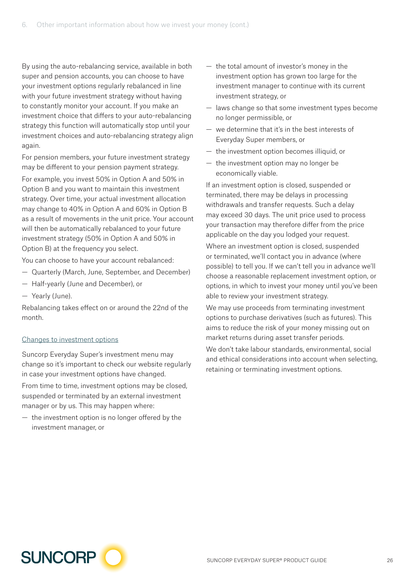By using the auto-rebalancing service, available in both super and pension accounts, you can choose to have your investment options regularly rebalanced in line with your future investment strategy without having to constantly monitor your account. If you make an investment choice that differs to your auto-rebalancing strategy this function will automatically stop until your investment choices and auto-rebalancing strategy align again.

For pension members, your future investment strategy may be different to your pension payment strategy.

For example, you invest 50% in Option A and 50% in Option B and you want to maintain this investment strategy. Over time, your actual investment allocation may change to 40% in Option A and 60% in Option B as a result of movements in the unit price. Your account will then be automatically rebalanced to your future investment strategy (50% in Option A and 50% in Option B) at the frequency you select.

You can choose to have your account rebalanced:

- Quarterly (March, June, September, and December)
- Half-yearly (June and December), or
- Yearly (June).

Rebalancing takes effect on or around the 22nd of the month.

#### Changes to investment options

Suncorp Everyday Super's investment menu may change so it's important to check our website regularly in case your investment options have changed.

From time to time, investment options may be closed, suspended or terminated by an external investment manager or by us. This may happen where:

— the investment option is no longer offered by the investment manager, or

- the total amount of investor's money in the investment option has grown too large for the investment manager to continue with its current investment strategy, or
- laws change so that some investment types become no longer permissible, or
- we determine that it's in the best interests of Everyday Super members, or
- the investment option becomes illiquid, or
- the investment option may no longer be economically viable.

If an investment option is closed, suspended or terminated, there may be delays in processing withdrawals and transfer requests. Such a delay may exceed 30 days. The unit price used to process your transaction may therefore differ from the price applicable on the day you lodged your request. Where an investment option is closed, suspended or terminated, we'll contact you in advance (where possible) to tell you. If we can't tell you in advance we'll choose a reasonable replacement investment option, or options, in which to invest your money until you've been

able to review your investment strategy. We may use proceeds from terminating investment options to purchase derivatives (such as futures). This aims to reduce the risk of your money missing out on market returns during asset transfer periods.

We don't take labour standards, environmental, social and ethical considerations into account when selecting, retaining or terminating investment options.

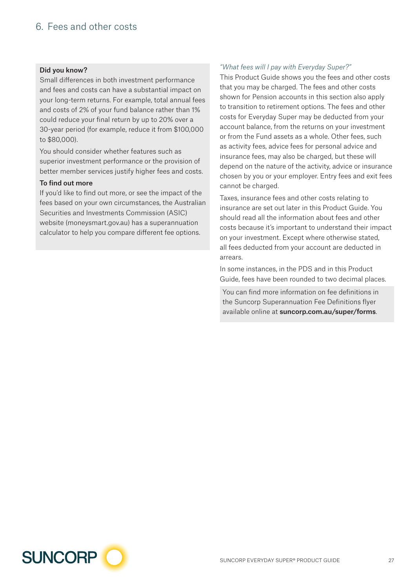#### Did you know?

Small differences in both investment performance and fees and costs can have a substantial impact on your long-term returns. For example, total annual fees and costs of 2% of your fund balance rather than 1% could reduce your final return by up to 20% over a 30-year period (for example, reduce it from \$100,000 to \$80,000).

You should consider whether features such as superior investment performance or the provision of better member services justify higher fees and costs.

#### To find out more

If you'd like to find out more, or see the impact of the fees based on your own circumstances, the Australian Securities and Investments Commission (ASIC) website (moneysmart.gov.au) has a superannuation calculator to help you compare different fee options.

#### *"What fees will I pay with Everyday Super?"*

This Product Guide shows you the fees and other costs that you may be charged. The fees and other costs shown for Pension accounts in this section also apply to transition to retirement options. The fees and other costs for Everyday Super may be deducted from your account balance, from the returns on your investment or from the Fund assets as a whole. Other fees, such as activity fees, advice fees for personal advice and insurance fees, may also be charged, but these will depend on the nature of the activity, advice or insurance chosen by you or your employer. Entry fees and exit fees cannot be charged.

Taxes, insurance fees and other costs relating to insurance are set out later in this Product Guide. You should read all the information about fees and other costs because it's important to understand their impact on your investment. Except where otherwise stated, all fees deducted from your account are deducted in arrears.

In some instances, in the PDS and in this Product Guide, fees have been rounded to two decimal places.

You can find more information on fee definitions in the Suncorp Superannuation Fee Definitions flyer available online at suncorp.com.au/super/forms.

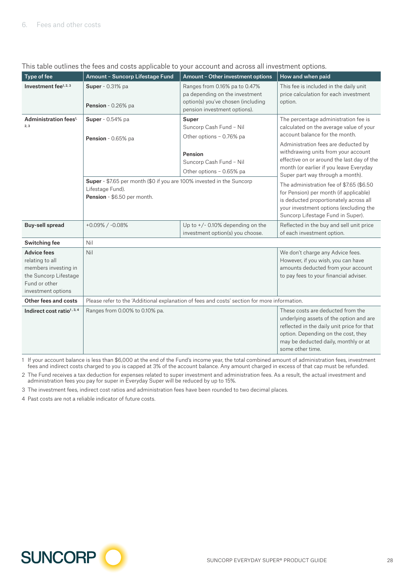| Type of fee                                                                                                                   | Amount - Suncorp Lifestage Fund                                                                                                                                           | Amount - Other investment options                                                                                                     | How and when paid                                                                                                                                                                                                                                                                                                                                                                                                                                                                                                                           |
|-------------------------------------------------------------------------------------------------------------------------------|---------------------------------------------------------------------------------------------------------------------------------------------------------------------------|---------------------------------------------------------------------------------------------------------------------------------------|---------------------------------------------------------------------------------------------------------------------------------------------------------------------------------------------------------------------------------------------------------------------------------------------------------------------------------------------------------------------------------------------------------------------------------------------------------------------------------------------------------------------------------------------|
| Investment fee <sup>1, 2, 3</sup>                                                                                             | <b>Super</b> - 0.31% pa<br>Pension - 0.26% pa                                                                                                                             | Ranges from 0.16% pa to 0.47%<br>pa depending on the investment<br>option(s) you've chosen (including<br>pension investment options). | This fee is included in the daily unit<br>price calculation for each investment<br>option.                                                                                                                                                                                                                                                                                                                                                                                                                                                  |
| Administration fees <sup>1,</sup><br>2.3                                                                                      | <b>Super</b> - 0.54% pa<br>Pension - 0.65% pa<br>Super - \$7.65 per month (\$0 if you are 100% invested in the Suncorp<br>Lifestage Fund).<br>Pension - \$6.50 per month. | <b>Super</b><br>Suncorp Cash Fund - Nil<br>Other options - 0.76% pa<br>Pension<br>Suncorp Cash Fund - Nil<br>Other options - 0.65% pa | The percentage administration fee is<br>calculated on the average value of your<br>account balance for the month.<br>Administration fees are deducted by<br>withdrawing units from your account<br>effective on or around the last day of the<br>month (or earlier if you leave Everyday<br>Super part way through a month).<br>The administration fee of \$7.65 (\$6.50<br>for Pension) per month (if applicable)<br>is deducted proportionately across all<br>your investment options (excluding the<br>Suncorp Lifestage Fund in Super). |
| <b>Buy-sell spread</b>                                                                                                        | $+0.09\%$ / $-0.08\%$                                                                                                                                                     | Up to $+/-$ 0.10% depending on the<br>investment option(s) you choose.                                                                | Reflected in the buy and sell unit price<br>of each investment option.                                                                                                                                                                                                                                                                                                                                                                                                                                                                      |
| Switching fee                                                                                                                 | Nil                                                                                                                                                                       |                                                                                                                                       |                                                                                                                                                                                                                                                                                                                                                                                                                                                                                                                                             |
| <b>Advice fees</b><br>relating to all<br>members investing in<br>the Suncorp Lifestage<br>Fund or other<br>investment options | Nil                                                                                                                                                                       |                                                                                                                                       | We don't charge any Advice fees.<br>However, if you wish, you can have<br>amounts deducted from your account<br>to pay fees to your financial adviser.                                                                                                                                                                                                                                                                                                                                                                                      |
| Other fees and costs                                                                                                          |                                                                                                                                                                           | Please refer to the 'Additional explanation of fees and costs' section for more information.                                          |                                                                                                                                                                                                                                                                                                                                                                                                                                                                                                                                             |
| Indirect cost ratio <sup>1, 3, 4</sup>                                                                                        | Ranges from 0.00% to 0.10% pa.                                                                                                                                            |                                                                                                                                       | These costs are deducted from the<br>underlying assets of the option and are<br>reflected in the daily unit price for that<br>option. Depending on the cost, they<br>may be deducted daily, monthly or at<br>some other time.                                                                                                                                                                                                                                                                                                               |

#### This table outlines the fees and costs applicable to your account and across all investment options.

1 If your account balance is less than \$6,000 at the end of the Fund's income year, the total combined amount of administration fees, investment fees and indirect costs charged to you is capped at 3% of the account balance. Any amount charged in excess of that cap must be refunded.

2 The Fund receives a tax deduction for expenses related to super investment and administration fees. As a result, the actual investment and administration fees you pay for super in Everyday Super will be reduced by up to 15%.

3 The investment fees, indirect cost ratios and administration fees have been rounded to two decimal places.

4 Past costs are not a reliable indicator of future costs.

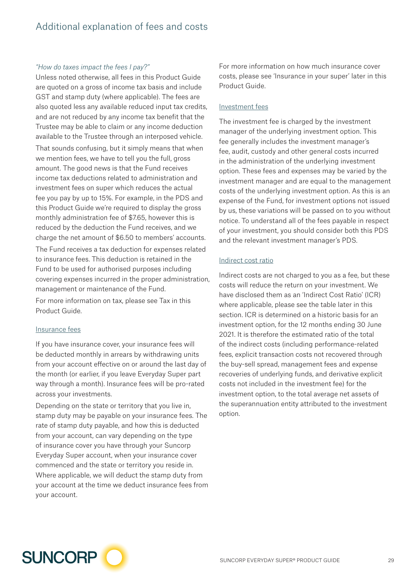#### *"How do taxes impact the fees I pay?"*

Unless noted otherwise, all fees in this Product Guide are quoted on a gross of income tax basis and include GST and stamp duty (where applicable). The fees are also quoted less any available reduced input tax credits, and are not reduced by any income tax benefit that the Trustee may be able to claim or any income deduction available to the Trustee through an interposed vehicle.

That sounds confusing, but it simply means that when we mention fees, we have to tell you the full, gross amount. The good news is that the Fund receives income tax deductions related to administration and investment fees on super which reduces the actual fee you pay by up to 15%. For example, in the PDS and this Product Guide we're required to display the gross monthly administration fee of \$7.65, however this is reduced by the deduction the Fund receives, and we charge the net amount of \$6.50 to members' accounts.

The Fund receives a tax deduction for expenses related to insurance fees. This deduction is retained in the Fund to be used for authorised purposes including covering expenses incurred in the proper administration, management or maintenance of the Fund.

For more information on tax, please see Tax in this Product Guide.

#### Insurance fees

If you have insurance cover, your insurance fees will be deducted monthly in arrears by withdrawing units from your account effective on or around the last day of the month (or earlier, if you leave Everyday Super part way through a month). Insurance fees will be pro-rated across your investments.

Depending on the state or territory that you live in, stamp duty may be payable on your insurance fees. The rate of stamp duty payable, and how this is deducted from your account, can vary depending on the type of insurance cover you have through your Suncorp Everyday Super account, when your insurance cover commenced and the state or territory you reside in. Where applicable, we will deduct the stamp duty from your account at the time we deduct insurance fees from your account.

For more information on how much insurance cover costs, please see 'Insurance in your super' later in this Product Guide.

#### Investment fees

The investment fee is charged by the investment manager of the underlying investment option. This fee generally includes the investment manager's fee, audit, custody and other general costs incurred in the administration of the underlying investment option. These fees and expenses may be varied by the investment manager and are equal to the management costs of the underlying investment option. As this is an expense of the Fund, for investment options not issued by us, these variations will be passed on to you without notice. To understand all of the fees payable in respect of your investment, you should consider both this PDS and the relevant investment manager's PDS.

#### Indirect cost ratio

Indirect costs are not charged to you as a fee, but these costs will reduce the return on your investment. We have disclosed them as an 'Indirect Cost Ratio' (ICR) where applicable, please see the table later in this section. ICR is determined on a historic basis for an investment option, for the 12 months ending 30 June 2021. It is therefore the estimated ratio of the total of the indirect costs (including performance-related fees, explicit transaction costs not recovered through the buy-sell spread, management fees and expense recoveries of underlying funds, and derivative explicit costs not included in the investment fee) for the investment option, to the total average net assets of the superannuation entity attributed to the investment option.

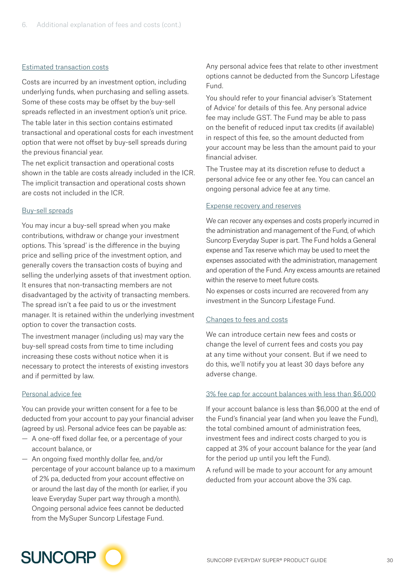#### Estimated transaction costs

Costs are incurred by an investment option, including underlying funds, when purchasing and selling assets. Some of these costs may be offset by the buy-sell spreads reflected in an investment option's unit price. The table later in this section contains estimated transactional and operational costs for each investment option that were not offset by buy-sell spreads during the previous financial year.

The net explicit transaction and operational costs shown in the table are costs already included in the ICR. The implicit transaction and operational costs shown are costs not included in the ICR.

#### Buy-sell spreads

You may incur a buy-sell spread when you make contributions, withdraw or change your investment options. This 'spread' is the difference in the buying price and selling price of the investment option, and generally covers the transaction costs of buying and selling the underlying assets of that investment option. It ensures that non-transacting members are not disadvantaged by the activity of transacting members. The spread isn't a fee paid to us or the investment manager. It is retained within the underlying investment option to cover the transaction costs.

The investment manager (including us) may vary the buy-sell spread costs from time to time including increasing these costs without notice when it is necessary to protect the interests of existing investors and if permitted by law.

#### Personal advice fee

You can provide your written consent for a fee to be deducted from your account to pay your financial adviser (agreed by us). Personal advice fees can be payable as:

- A one-off fixed dollar fee, or a percentage of your account balance, or
- An ongoing fixed monthly dollar fee, and/or percentage of your account balance up to a maximum of 2% pa, deducted from your account effective on or around the last day of the month (or earlier, if you leave Everyday Super part way through a month). Ongoing personal advice fees cannot be deducted from the MySuper Suncorp Lifestage Fund.

Any personal advice fees that relate to other investment options cannot be deducted from the Suncorp Lifestage Fund.

You should refer to your financial adviser's 'Statement of Advice' for details of this fee. Any personal advice fee may include GST. The Fund may be able to pass on the benefit of reduced input tax credits (if available) in respect of this fee, so the amount deducted from your account may be less than the amount paid to your financial adviser.

The Trustee may at its discretion refuse to deduct a personal advice fee or any other fee. You can cancel an ongoing personal advice fee at any time.

#### Expense recovery and reserves

We can recover any expenses and costs properly incurred in the administration and management of the Fund, of which Suncorp Everyday Super is part. The Fund holds a General expense and Tax reserve which may be used to meet the expenses associated with the administration, management and operation of the Fund. Any excess amounts are retained within the reserve to meet future costs.

No expenses or costs incurred are recovered from any investment in the Suncorp Lifestage Fund.

#### Changes to fees and costs

We can introduce certain new fees and costs or change the level of current fees and costs you pay at any time without your consent. But if we need to do this, we'll notify you at least 30 days before any adverse change.

#### 3% fee cap for account balances with less than \$6,000

If your account balance is less than \$6,000 at the end of the Fund's financial year (and when you leave the Fund), the total combined amount of administration fees, investment fees and indirect costs charged to you is capped at 3% of your account balance for the year (and for the period up until you left the Fund).

A refund will be made to your account for any amount deducted from your account above the 3% cap.

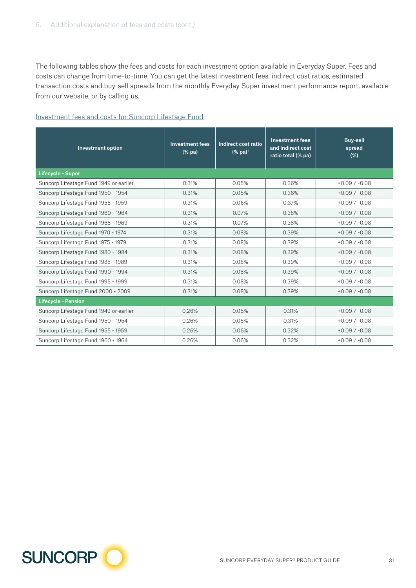The following tables show the fees and costs for each investment option available in Everyday Super. Fees and costs can change from time-to-time. You can get the latest investment fees, indirect cost ratios, estimated transaction costs and buy-sell spreads from the monthly Everyday Super investment performance report, available from our website, or by calling us.

| Investment option                      | <b>Investment fees</b><br>(% | Indirect cost ratio<br>$(\%$ pa) <sup>1</sup> | <b>Investment fees</b><br>and indirect cost<br>ratio total (% pa) | <b>Buy-sell</b><br>spread<br>(%) |
|----------------------------------------|------------------------------|-----------------------------------------------|-------------------------------------------------------------------|----------------------------------|
| <b>Lifecycle - Super</b>               |                              |                                               |                                                                   |                                  |
| Suncorp Lifestage Fund 1949 or earlier | 0.31%                        | 0.05%                                         | 0.36%                                                             | $+0.09 / -0.08$                  |
| Suncorp Lifestage Fund 1950 - 1954     | 0.31%                        | 0.05%                                         | 0.36%                                                             | $+0.09 / -0.08$                  |
| Suncorp Lifestage Fund 1955 - 1959     | 0.31%                        | 0.06%                                         | 0.37%                                                             | $+0.09 / -0.08$                  |
| Suncorp Lifestage Fund 1960 - 1964     | 0.31%                        | 0.07%                                         | 0.38%                                                             | $+0.09 / -0.08$                  |
| Suncorp Lifestage Fund 1965 - 1969     | 0.31%                        | 0.07%                                         | 0.38%                                                             | $+0.09 / -0.08$                  |
| Suncorp Lifestage Fund 1970 - 1974     | 0.31%                        | 0.08%                                         | 0.39%                                                             | $+0.09 / -0.08$                  |
| Suncorp Lifestage Fund 1975 - 1979     | 0.31%                        | 0.08%                                         | 0.39%                                                             | $+0.09 / -0.08$                  |
| Suncorp Lifestage Fund 1980 - 1984     | 0.31%                        | 0.08%                                         | 0.39%                                                             | $+0.09 / -0.08$                  |
| Suncorp Lifestage Fund 1985 - 1989     | 0.31%                        | 0.08%                                         | 0.39%                                                             | $+0.09 / -0.08$                  |
| Suncorp Lifestage Fund 1990 - 1994     | 0.31%                        | 0.08%                                         | 0.39%                                                             | $+0.09 / -0.08$                  |
| Suncorp Lifestage Fund 1995 - 1999     | 0.31%                        | 0.08%                                         | 0.39%                                                             | $+0.09 / -0.08$                  |
| Suncorp Lifestage Fund 2000 - 2009     | 0.31%                        | 0.08%                                         | 0.39%                                                             | $+0.09 / -0.08$                  |
| <b>Lifecycle - Pension</b>             |                              |                                               |                                                                   |                                  |
| Suncorp Lifestage Fund 1949 or earlier | 0.26%                        | 0.05%                                         | 0.31%                                                             | $+0.09 / -0.08$                  |
| Suncorp Lifestage Fund 1950 - 1954     | 0.26%                        | 0.05%                                         | 0.31%                                                             | $+0.09 / -0.08$                  |
| Suncorp Lifestage Fund 1955 - 1959     | 0.26%                        | 0.06%                                         | 0.32%                                                             | $+0.09 / -0.08$                  |
| Suncorp Lifestage Fund 1960 - 1964     | 0.26%                        | 0.06%                                         | 0.32%                                                             | $+0.09 / -0.08$                  |

#### Investment fees and costs for Suncorp Lifestage Fund

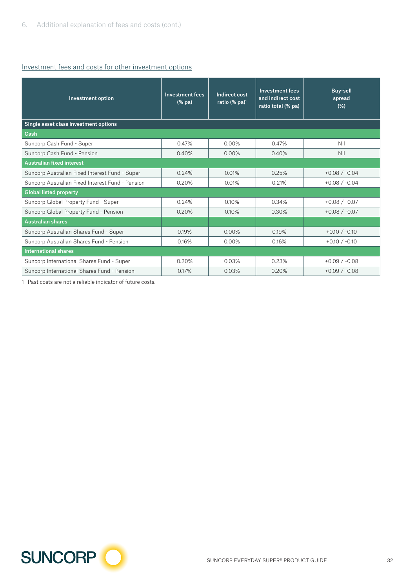#### Investment fees and costs for other investment options

| <b>Investment option</b>                         | <b>Investment fees</b><br>$(\%$ pa) | Indirect cost<br>ratio $(\%$ pa) <sup>1</sup> | <b>Investment fees</b><br>and indirect cost<br>ratio total (% pa) | <b>Buy-sell</b><br>spread<br>(%) |
|--------------------------------------------------|-------------------------------------|-----------------------------------------------|-------------------------------------------------------------------|----------------------------------|
| Single asset class investment options            |                                     |                                               |                                                                   |                                  |
| Cash                                             |                                     |                                               |                                                                   |                                  |
| Suncorp Cash Fund - Super                        | 0.47%                               | 0.00%                                         | 0.47%                                                             | Nil                              |
| Suncorp Cash Fund - Pension                      | 0.40%                               | $0.00\%$                                      | 0.40%                                                             | Nil                              |
| <b>Australian fixed interest</b>                 |                                     |                                               |                                                                   |                                  |
| Suncorp Australian Fixed Interest Fund - Super   | 0.24%                               | 0.01%                                         | 0.25%                                                             | $+0.08 / -0.04$                  |
| Suncorp Australian Fixed Interest Fund - Pension | 0.20%                               | 0.01%                                         | 0.21%                                                             | $+0.08 / -0.04$                  |
| <b>Global listed property</b>                    |                                     |                                               |                                                                   |                                  |
| Suncorp Global Property Fund - Super             | 0.24%                               | 0.10%                                         | 0.34%                                                             | $+0.08 / -0.07$                  |
| Suncorp Global Property Fund - Pension           | 0.20%                               | 0.10%                                         | 0.30%                                                             | $+0.08 / -0.07$                  |
| <b>Australian shares</b>                         |                                     |                                               |                                                                   |                                  |
| Suncorp Australian Shares Fund - Super           | 0.19%                               | 0.00%                                         | 0.19%                                                             | $+0.10 / -0.10$                  |
| Suncorp Australian Shares Fund - Pension         | 0.16%                               | 0.00%                                         | 0.16%                                                             | $+0.10 / -0.10$                  |
| <b>International shares</b>                      |                                     |                                               |                                                                   |                                  |
| Suncorp International Shares Fund - Super        | 0.20%                               | 0.03%                                         | 0.23%                                                             | $+0.09 / -0.08$                  |
| Suncorp International Shares Fund - Pension      | 0.17%                               | 0.03%                                         | 0.20%                                                             | $+0.09 / -0.08$                  |

1 Past costs are not a reliable indicator of future costs.

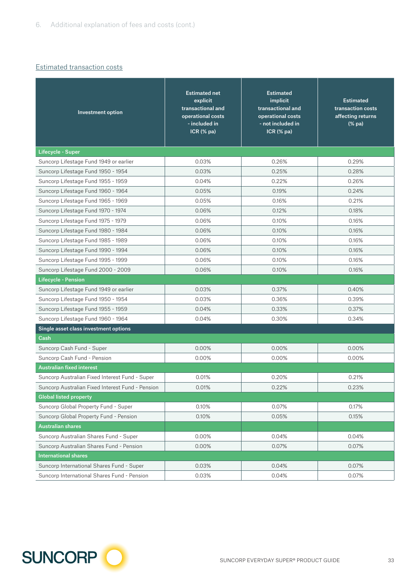#### Estimated transaction costs

| <b>Investment option</b>                         | <b>Estimated net</b><br>explicit<br>transactional and<br>operational costs<br>- included in<br>$ICR$ (% pa) | <b>Estimated</b><br>implicit<br>transactional and<br>operational costs<br>- not included in<br>ICR (% pa) | <b>Estimated</b><br>transaction costs<br>affecting returns<br>(% pa) |
|--------------------------------------------------|-------------------------------------------------------------------------------------------------------------|-----------------------------------------------------------------------------------------------------------|----------------------------------------------------------------------|
| <b>Lifecycle - Super</b>                         |                                                                                                             |                                                                                                           |                                                                      |
| Suncorp Lifestage Fund 1949 or earlier           | 0.03%                                                                                                       | 0.26%                                                                                                     | 0.29%                                                                |
| Suncorp Lifestage Fund 1950 - 1954               | 0.03%                                                                                                       | 0.25%                                                                                                     | 0.28%                                                                |
| Suncorp Lifestage Fund 1955 - 1959               | 0.04%                                                                                                       | 0.22%                                                                                                     | 0.26%                                                                |
| Suncorp Lifestage Fund 1960 - 1964               | 0.05%                                                                                                       | 0.19%                                                                                                     | 0.24%                                                                |
| Suncorp Lifestage Fund 1965 - 1969               | 0.05%                                                                                                       | 0.16%                                                                                                     | 0.21%                                                                |
| Suncorp Lifestage Fund 1970 - 1974               | 0.06%                                                                                                       | 0.12%                                                                                                     | 0.18%                                                                |
| Suncorp Lifestage Fund 1975 - 1979               | 0.06%                                                                                                       | 0.10%                                                                                                     | 0.16%                                                                |
| Suncorp Lifestage Fund 1980 - 1984               | 0.06%                                                                                                       | 0.10%                                                                                                     | 0.16%                                                                |
| Suncorp Lifestage Fund 1985 - 1989               | 0.06%                                                                                                       | 0.10%                                                                                                     | 0.16%                                                                |
| Suncorp Lifestage Fund 1990 - 1994               | 0.06%                                                                                                       | 0.10%                                                                                                     | 0.16%                                                                |
| Suncorp Lifestage Fund 1995 - 1999               | 0.06%                                                                                                       | 0.10%                                                                                                     | 0.16%                                                                |
| Suncorp Lifestage Fund 2000 - 2009               | 0.06%                                                                                                       | 0.10%                                                                                                     | 0.16%                                                                |
| <b>Lifecycle - Pension</b>                       |                                                                                                             |                                                                                                           |                                                                      |
| Suncorp Lifestage Fund 1949 or earlier           | 0.03%                                                                                                       | 0.37%                                                                                                     | 0.40%                                                                |
| Suncorp Lifestage Fund 1950 - 1954               | 0.03%                                                                                                       | 0.36%                                                                                                     | 0.39%                                                                |
| Suncorp Lifestage Fund 1955 - 1959               | 0.04%                                                                                                       | 0.33%                                                                                                     | 0.37%                                                                |
| Suncorp Lifestage Fund 1960 - 1964               | 0.04%                                                                                                       | 0.30%                                                                                                     | 0.34%                                                                |
| Single asset class investment options            |                                                                                                             |                                                                                                           |                                                                      |
| Cash                                             |                                                                                                             |                                                                                                           |                                                                      |
| Suncorp Cash Fund - Super                        | 0.00%                                                                                                       | 0.00%                                                                                                     | 0.00%                                                                |
| Suncorp Cash Fund - Pension                      | 0.00%                                                                                                       | 0.00%                                                                                                     | 0.00%                                                                |
| <b>Australian fixed interest</b>                 |                                                                                                             |                                                                                                           |                                                                      |
| Suncorp Australian Fixed Interest Fund - Super   | 0.01%                                                                                                       | 0.20%                                                                                                     | 0.21%                                                                |
| Suncorp Australian Fixed Interest Fund - Pension | 0.01%                                                                                                       | 0.22%                                                                                                     | 0.23%                                                                |
| <b>Global listed property</b>                    |                                                                                                             |                                                                                                           |                                                                      |
| Suncorp Global Property Fund - Super             | 0.10%                                                                                                       | 0.07%                                                                                                     | 0.17%                                                                |
| Suncorp Global Property Fund - Pension           | 0.10%                                                                                                       | 0.05%                                                                                                     | 0.15%                                                                |
| <b>Australian shares</b>                         |                                                                                                             |                                                                                                           |                                                                      |
| Suncorp Australian Shares Fund - Super           | 0.00%                                                                                                       | 0.04%                                                                                                     | 0.04%                                                                |
| Suncorp Australian Shares Fund - Pension         | 0.00%                                                                                                       | 0.07%                                                                                                     | 0.07%                                                                |
| <b>International shares</b>                      |                                                                                                             |                                                                                                           |                                                                      |
| Suncorp International Shares Fund - Super        | 0.03%                                                                                                       | 0.04%                                                                                                     | 0.07%                                                                |
| Suncorp International Shares Fund - Pension      | 0.03%                                                                                                       | 0.04%                                                                                                     | 0.07%                                                                |

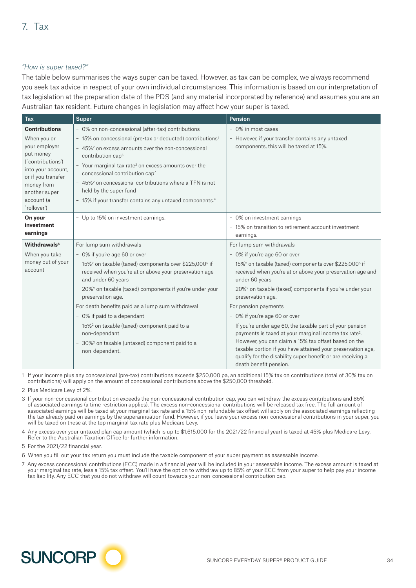#### *"How is super taxed?"*

The table below summarises the ways super can be taxed. However, as tax can be complex, we always recommend you seek tax advice in respect of your own individual circumstances. This information is based on our interpretation of tax legislation at the preparation date of the PDS (and any material incorporated by reference) and assumes you are an Australian tax resident. Future changes in legislation may affect how your super is taxed.

| <b>Tax</b>                                                    | <b>Super</b>                                                                                                                                                    | <b>Pension</b>                                                                                                                                                                                               |
|---------------------------------------------------------------|-----------------------------------------------------------------------------------------------------------------------------------------------------------------|--------------------------------------------------------------------------------------------------------------------------------------------------------------------------------------------------------------|
| <b>Contributions</b>                                          | - 0% on non-concessional (after-tax) contributions                                                                                                              | - 0% in most cases                                                                                                                                                                                           |
| When you or                                                   | - 15% on concessional (pre-tax or deducted) contributions <sup>1</sup>                                                                                          | - However, if your transfer contains any untaxed                                                                                                                                                             |
| your employer<br>put money                                    | - 45% <sup>2</sup> on excess amounts over the non-concessional<br>contribution cap <sup>3</sup>                                                                 | components, this will be taxed at 15%.                                                                                                                                                                       |
| ('contributions')<br>into your account,<br>or if you transfer | - Your marginal tax rate <sup>2</sup> on excess amounts over the<br>concessional contribution cap7                                                              |                                                                                                                                                                                                              |
| money from<br>another super                                   | - 45% <sup>2</sup> on concessional contributions where a TFN is not<br>held by the super fund                                                                   |                                                                                                                                                                                                              |
| account (a<br>'rollover')                                     | - 15% if your transfer contains any untaxed components. <sup>4</sup>                                                                                            |                                                                                                                                                                                                              |
| On your                                                       | - Up to 15% on investment earnings.                                                                                                                             | - 0% on investment earnings                                                                                                                                                                                  |
| investment<br>earnings                                        |                                                                                                                                                                 | - 15% on transition to retirement account investment<br>earnings.                                                                                                                                            |
| Withdrawals <sup>6</sup>                                      | For lump sum withdrawals                                                                                                                                        | For lump sum withdrawals                                                                                                                                                                                     |
| When you take                                                 | - 0% if you're age 60 or over                                                                                                                                   | - 0% if you're age 60 or over                                                                                                                                                                                |
| money out of your<br>account                                  | - 15% <sup>2</sup> on taxable (taxed) components over \$225,000 <sup>5</sup> if<br>received when you're at or above your preservation age<br>and under 60 years | - 15% <sup>2</sup> on taxable (taxed) components over \$225,000 <sup>5</sup> if<br>received when you're at or above your preservation age and<br>under 60 years                                              |
|                                                               | - 20% <sup>2</sup> on taxable (taxed) components if you're under your<br>preservation age.                                                                      | - 20% <sup>2</sup> on taxable (taxed) components if you're under your<br>preservation age.                                                                                                                   |
|                                                               | For death benefits paid as a lump sum withdrawal                                                                                                                | For pension payments                                                                                                                                                                                         |
|                                                               | - 0% if paid to a dependant                                                                                                                                     | - 0% if you're age 60 or over                                                                                                                                                                                |
|                                                               | - 15% <sup>2</sup> on taxable (taxed) component paid to a<br>non-dependant                                                                                      | - If you're under age 60, the taxable part of your pension<br>payments is taxed at your marginal income tax rate <sup>2</sup> .                                                                              |
|                                                               | - 30% <sup>2</sup> on taxable (untaxed) component paid to a<br>non-dependant.                                                                                   | However, you can claim a 15% tax offset based on the<br>taxable portion if you have attained your preservation age,<br>qualify for the disability super benefit or are receiving a<br>death benefit pension. |

1 If your income plus any concessional (pre-tax) contributions exceeds \$250,000 pa, an additional 15% tax on contributions (total of 30% tax on contributions) will apply on the amount of concessional contributions above the \$250,000 threshold.

2 Plus Medicare Levy of 2%.

3 If your non-concessional contribution exceeds the non-concessional contribution cap, you can withdraw the excess contributions and 85% of associated earnings (a time restriction applies). The excess non-concessional contributions will be released tax free. The full amount of associated earnings will be taxed at your marginal tax rate and a 15% non-refundable tax offset will apply on the associated earnings reflecting the tax already paid on earnings by the superannuation fund. However, if you leave your excess non-concessional contributions in your super, you will be taxed on these at the top marginal tax rate plus Medicare Levy.

4 Any excess over your untaxed plan cap amount (which is up to \$1,615,000 for the 2021/22 financial year) is taxed at 45% plus Medicare Levy. Refer to the Australian Taxation Office for further information.

5 For the 2021/22 financial year.

6 When you fill out your tax return you must include the taxable component of your super payment as assessable income.

7 Any excess concessional contributions (ECC) made in a financial year will be included in your assessable income. The excess amount is taxed at your marginal tax rate, less a 15% tax offset. You'll have the option to withdraw up to 85% of your ECC from your super to help pay your income tax liability. Any ECC that you do not withdraw will count towards your non-concessional contribution cap.

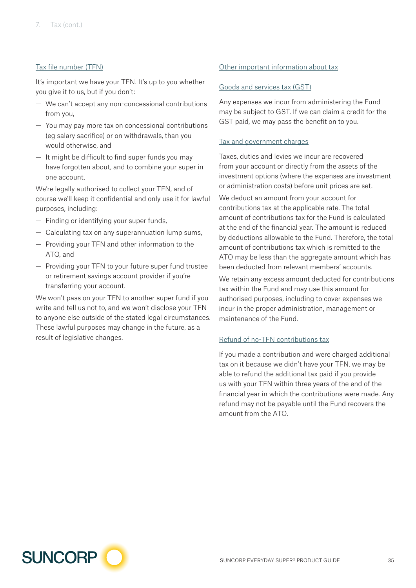#### Tax file number (TFN)

It's important we have your TFN. It's up to you whether you give it to us, but if you don't:

- We can't accept any non-concessional contributions from you,
- You may pay more tax on concessional contributions (eg salary sacrifice) or on withdrawals, than you would otherwise, and
- It might be difficult to find super funds you may have forgotten about, and to combine your super in one account.

We're legally authorised to collect your TFN, and of course we'll keep it confidential and only use it for lawful purposes, including:

- Finding or identifying your super funds,
- Calculating tax on any superannuation lump sums,
- Providing your TFN and other information to the ATO, and
- Providing your TFN to your future super fund trustee or retirement savings account provider if you're transferring your account.

We won't pass on your TFN to another super fund if you write and tell us not to, and we won't disclose your TFN to anyone else outside of the stated legal circumstances. These lawful purposes may change in the future, as a result of legislative changes.

#### Other important information about tax

#### Goods and services tax (GST)

Any expenses we incur from administering the Fund may be subject to GST. If we can claim a credit for the GST paid, we may pass the benefit on to you.

#### Tax and government charges

Taxes, duties and levies we incur are recovered from your account or directly from the assets of the investment options (where the expenses are investment or administration costs) before unit prices are set.

We deduct an amount from your account for contributions tax at the applicable rate. The total amount of contributions tax for the Fund is calculated at the end of the financial year. The amount is reduced by deductions allowable to the Fund. Therefore, the total amount of contributions tax which is remitted to the ATO may be less than the aggregate amount which has been deducted from relevant members' accounts.

We retain any excess amount deducted for contributions tax within the Fund and may use this amount for authorised purposes, including to cover expenses we incur in the proper administration, management or maintenance of the Fund.

#### Refund of no-TFN contributions tax

If you made a contribution and were charged additional tax on it because we didn't have your TFN, we may be able to refund the additional tax paid if you provide us with your TFN within three years of the end of the financial year in which the contributions were made. Any refund may not be payable until the Fund recovers the amount from the ATO.

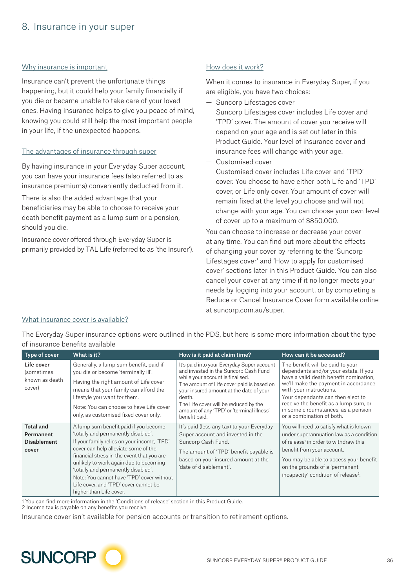#### Why insurance is important

Insurance can't prevent the unfortunate things happening, but it could help your family financially if you die or became unable to take care of your loved ones. Having insurance helps to give you peace of mind, knowing you could still help the most important people in your life, if the unexpected happens.

#### The advantages of insurance through super

By having insurance in your Everyday Super account, you can have your insurance fees (also referred to as insurance premiums) conveniently deducted from it.

There is also the added advantage that your beneficiaries may be able to choose to receive your death benefit payment as a lump sum or a pension, should you die.

Insurance cover offered through Everyday Super is primarily provided by TAL Life (referred to as 'the Insurer').

#### How does it work?

When it comes to insurance in Everyday Super, if you are eligible, you have two choices:

— Suncorp Lifestages cover

Suncorp Lifestages cover includes Life cover and 'TPD' cover. The amount of cover you receive will depend on your age and is set out later in this Product Guide. Your level of insurance cover and insurance fees will change with your age.

— Customised cover

Customised cover includes Life cover and 'TPD' cover. You choose to have either both Life and 'TPD' cover, or Life only cover. Your amount of cover will remain fixed at the level you choose and will not change with your age. You can choose your own level of cover up to a maximum of \$850,000.

You can choose to increase or decrease your cover at any time. You can find out more about the effects of changing your cover by referring to the 'Suncorp Lifestages cover' and 'How to apply for customised cover' sections later in this Product Guide. You can also cancel your cover at any time if it no longer meets your needs by logging into your account, or by completing a Reduce or Cancel Insurance Cover form available online at suncorp.com.au/super.

#### What insurance cover is available?

The Everyday Super insurance options were outlined in the PDS, but here is some more information about the type of insurance benefits available

| Type of cover                                                       | What is it?                                                                                                                                                                                                                                                                                                                                                                                                         | How is it paid at claim time?                                                                                                                                                                                                                                                                                                    | How can it be accessed?                                                                                                                                                                                                                                                                                                                  |
|---------------------------------------------------------------------|---------------------------------------------------------------------------------------------------------------------------------------------------------------------------------------------------------------------------------------------------------------------------------------------------------------------------------------------------------------------------------------------------------------------|----------------------------------------------------------------------------------------------------------------------------------------------------------------------------------------------------------------------------------------------------------------------------------------------------------------------------------|------------------------------------------------------------------------------------------------------------------------------------------------------------------------------------------------------------------------------------------------------------------------------------------------------------------------------------------|
| Life cover<br>(sometimes<br>known as death<br>cover)                | Generally, a lump sum benefit, paid if<br>you die or become 'terminally ill'.<br>Having the right amount of Life cover<br>means that your family can afford the<br>lifestyle you want for them.<br>Note: You can choose to have Life cover<br>only, as customised fixed cover only.                                                                                                                                 | It's paid into your Everyday Super account<br>and invested in the Suncorp Cash Fund<br>while your account is finalised.<br>The amount of Life cover paid is based on<br>your insured amount at the date of your<br>death.<br>The Life cover will be reduced by the<br>amount of any 'TPD' or 'terminal illness'<br>benefit paid. | The benefit will be paid to your<br>dependants and/or your estate. If you<br>have a valid death benefit nomination,<br>we'll make the payment in accordance<br>with your instructions.<br>Your dependants can then elect to<br>receive the benefit as a lump sum, or<br>in some circumstances, as a pension<br>or a combination of both. |
| <b>Total and</b><br><b>Permanent</b><br><b>Disablement</b><br>cover | A lump sum benefit paid if you become<br>'totally and permanently disabled'.<br>If your family relies on your income, 'TPD'<br>cover can help alleviate some of the<br>financial stress in the event that you are<br>unlikely to work again due to becoming<br>'totally and permanently disabled'.<br>Note: You cannot have 'TPD' cover without<br>Life cover, and 'TPD' cover cannot be<br>higher than Life cover. | It's paid (less any tax) to your Everyday<br>Super account and invested in the<br>Suncorp Cash Fund.<br>The amount of 'TPD' benefit payable is<br>based on your insured amount at the<br>'date of disablement'.                                                                                                                  | You will need to satisfy what is known<br>under superannuation law as a condition<br>of release <sup>1</sup> in order to withdraw this<br>benefit from your account.<br>You may be able to access your benefit<br>on the grounds of a 'permanent<br>incapacity' condition of release <sup>2</sup> .                                      |

1 You can find more information in the 'Conditions of release' section in this Product Guide.

2 Income tax is payable on any benefits you receive.

Insurance cover isn't available for pension accounts or transition to retirement options.

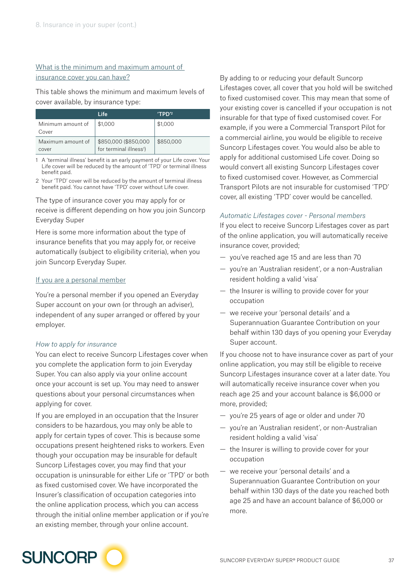#### What is the minimum and maximum amount of insurance cover you can have?

This table shows the minimum and maximum levels of cover available, by insurance type:

|                            | Life                                                        | $'TPD'^2$ |
|----------------------------|-------------------------------------------------------------|-----------|
| Minimum amount of<br>Cover | \$1,000                                                     | \$1,000   |
| Maximum amount of<br>cover | \$850,000 (\$850,000<br>for terminal illness <sup>1</sup> ) | \$850,000 |

1 A 'terminal illness' benefit is an early payment of your Life cover. Your Life cover will be reduced by the amount of 'TPD' or terminal illness benefit paid.

2 Your 'TPD' cover will be reduced by the amount of terminal illness benefit paid. You cannot have 'TPD' cover without Life cover.

The type of insurance cover you may apply for or receive is different depending on how you join Suncorp Everyday Super

Here is some more information about the type of insurance benefits that you may apply for, or receive automatically (subject to eligibility criteria), when you join Suncorp Everyday Super.

#### If you are a personal member

You're a personal member if you opened an Everyday Super account on your own (or through an adviser), independent of any super arranged or offered by your employer.

#### *How to apply for insurance*

You can elect to receive Suncorp Lifestages cover when you complete the application form to join Everyday Super. You can also apply via your online account once your account is set up. You may need to answer questions about your personal circumstances when applying for cover.

If you are employed in an occupation that the Insurer considers to be hazardous, you may only be able to apply for certain types of cover. This is because some occupations present heightened risks to workers. Even though your occupation may be insurable for default Suncorp Lifestages cover, you may find that your occupation is uninsurable for either Life or 'TPD' or both as fixed customised cover. We have incorporated the Insurer's classification of occupation categories into the online application process, which you can access through the initial online member application or if you're an existing member, through your online account.

By adding to or reducing your default Suncorp Lifestages cover, all cover that you hold will be switched to fixed customised cover. This may mean that some of your existing cover is cancelled if your occupation is not insurable for that type of fixed customised cover. For example, if you were a Commercial Transport Pilot for a commercial airline, you would be eligible to receive Suncorp Lifestages cover. You would also be able to apply for additional customised Life cover. Doing so would convert all existing Suncorp Lifestages cover to fixed customised cover. However, as Commercial Transport Pilots are not insurable for customised 'TPD' cover, all existing 'TPD' cover would be cancelled.

#### *Automatic Lifestages cover - Personal members*

If you elect to receive Suncorp Lifestages cover as part of the online application, you will automatically receive insurance cover, provided;

- you've reached age 15 and are less than 70
- you're an 'Australian resident', or a non-Australian resident holding a valid 'visa'
- the Insurer is willing to provide cover for your occupation
- we receive your 'personal details' and a Superannuation Guarantee Contribution on your behalf within 130 days of you opening your Everyday Super account.

If you choose not to have insurance cover as part of your online application, you may still be eligible to receive Suncorp Lifestages insurance cover at a later date. You will automatically receive insurance cover when you reach age 25 and your account balance is \$6,000 or more, provided;

- you're 25 years of age or older and under 70
- you're an 'Australian resident', or non-Australian resident holding a valid 'visa'
- the Insurer is willing to provide cover for your occupation
- we receive your 'personal details' and a Superannuation Guarantee Contribution on your behalf within 130 days of the date you reached both age 25 and have an account balance of \$6,000 or more.

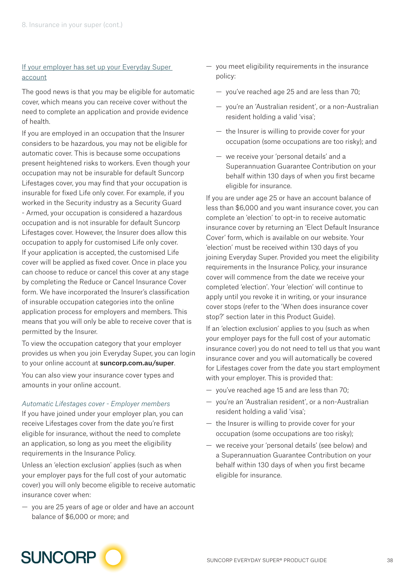#### If your employer has set up your Everyday Super account

The good news is that you may be eligible for automatic cover, which means you can receive cover without the need to complete an application and provide evidence of health.

If you are employed in an occupation that the Insurer considers to be hazardous, you may not be eligible for automatic cover. This is because some occupations present heightened risks to workers. Even though your occupation may not be insurable for default Suncorp Lifestages cover, you may find that your occupation is insurable for fixed Life only cover. For example, if you worked in the Security industry as a Security Guard - Armed, your occupation is considered a hazardous occupation and is not insurable for default Suncorp Lifestages cover. However, the Insurer does allow this occupation to apply for customised Life only cover. If your application is accepted, the customised Life cover will be applied as fixed cover. Once in place you can choose to reduce or cancel this cover at any stage by completing the Reduce or Cancel Insurance Cover form. We have incorporated the Insurer's classification of insurable occupation categories into the online application process for employers and members. This means that you will only be able to receive cover that is permitted by the Insurer.

To view the occupation category that your employer provides us when you join Everyday Super, you can login to your online account at suncorp.com.au/super.

You can also view your insurance cover types and amounts in your online account.

#### *Automatic Lifestages cover - Employer members*

If you have joined under your employer plan, you can receive Lifestages cover from the date you're first eligible for insurance, without the need to complete an application, so long as you meet the eligibility requirements in the Insurance Policy.

Unless an 'election exclusion' applies (such as when your employer pays for the full cost of your automatic cover) you will only become eligible to receive automatic insurance cover when:

— you are 25 years of age or older and have an account balance of \$6,000 or more; and

- you meet eligibility requirements in the insurance policy:
	- you've reached age 25 and are less than 70;
	- you're an 'Australian resident', or a non-Australian resident holding a valid 'visa';
	- the Insurer is willing to provide cover for your occupation (some occupations are too risky); and
	- we receive your 'personal details' and a Superannuation Guarantee Contribution on your behalf within 130 days of when you first became eligible for insurance.

If you are under age 25 or have an account balance of less than \$6,000 and you want insurance cover, you can complete an 'election' to opt-in to receive automatic insurance cover by returning an 'Elect Default Insurance Cover' form, which is available on our website. Your 'election' must be received within 130 days of you joining Everyday Super. Provided you meet the eligibility requirements in the Insurance Policy, your insurance cover will commence from the date we receive your completed 'election'. Your 'election' will continue to apply until you revoke it in writing, or your insurance cover stops (refer to the 'When does insurance cover stop?' section later in this Product Guide).

If an 'election exclusion' applies to you (such as when your employer pays for the full cost of your automatic insurance cover) you do not need to tell us that you want insurance cover and you will automatically be covered for Lifestages cover from the date you start employment with your employer. This is provided that:

- you've reached age 15 and are less than 70;
- you're an 'Australian resident', or a non-Australian resident holding a valid 'visa';
- the Insurer is willing to provide cover for your occupation (some occupations are too risky);
- we receive your 'personal details' (see below) and a Superannuation Guarantee Contribution on your behalf within 130 days of when you first became eligible for insurance.

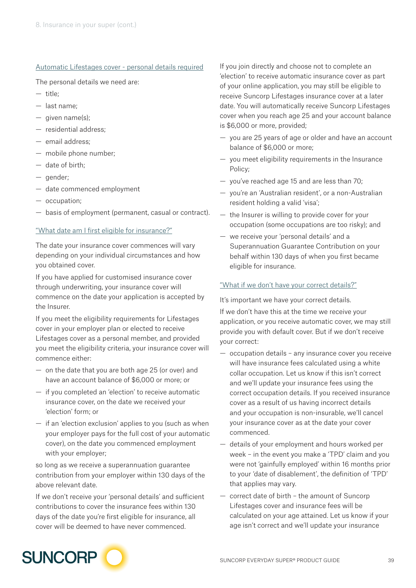#### Automatic Lifestages cover - personal details required

The personal details we need are:

- title;
- last name;
- given name(s);
- residential address;
- email address;
- mobile phone number;
- date of birth;
- gender;
- date commenced employment
- occupation;
- basis of employment (permanent, casual or contract).

#### "What date am I first eligible for insurance?"

The date your insurance cover commences will vary depending on your individual circumstances and how you obtained cover.

If you have applied for customised insurance cover through underwriting, your insurance cover will commence on the date your application is accepted by the Insurer.

If you meet the eligibility requirements for Lifestages cover in your employer plan or elected to receive Lifestages cover as a personal member, and provided you meet the eligibility criteria, your insurance cover will commence either:

- on the date that you are both age 25 (or over) and have an account balance of \$6,000 or more; or
- if you completed an 'election' to receive automatic insurance cover, on the date we received your 'election' form; or
- if an 'election exclusion' applies to you (such as when your employer pays for the full cost of your automatic cover), on the date you commenced employment with your employer;

so long as we receive a superannuation guarantee contribution from your employer within 130 days of the above relevant date.

If we don't receive your 'personal details' and sufficient contributions to cover the insurance fees within 130 days of the date you're first eligible for insurance, all cover will be deemed to have never commenced.

If you join directly and choose not to complete an 'election' to receive automatic insurance cover as part of your online application, you may still be eligible to receive Suncorp Lifestages insurance cover at a later date. You will automatically receive Suncorp Lifestages cover when you reach age 25 and your account balance is \$6,000 or more, provided;

- you are 25 years of age or older and have an account balance of \$6,000 or more;
- you meet eligibility requirements in the Insurance Policy;
- you've reached age 15 and are less than 70;
- you're an 'Australian resident', or a non-Australian resident holding a valid 'visa';
- the Insurer is willing to provide cover for your occupation (some occupations are too risky); and
- we receive your 'personal details' and a Superannuation Guarantee Contribution on your behalf within 130 days of when you first became eligible for insurance.

#### "What if we don't have your correct details?"

It's important we have your correct details.

If we don't have this at the time we receive your application, or you receive automatic cover, we may still provide you with default cover. But if we don't receive your correct:

- occupation details any insurance cover you receive will have insurance fees calculated using a white collar occupation. Let us know if this isn't correct and we'll update your insurance fees using the correct occupation details. If you received insurance cover as a result of us having incorrect details and your occupation is non-insurable, we'll cancel your insurance cover as at the date your cover commenced.
- details of your employment and hours worked per week – in the event you make a 'TPD' claim and you were not 'gainfully employed' within 16 months prior to your 'date of disablement', the definition of 'TPD' that applies may vary.
- correct date of birth the amount of Suncorp Lifestages cover and insurance fees will be calculated on your age attained. Let us know if your age isn't correct and we'll update your insurance

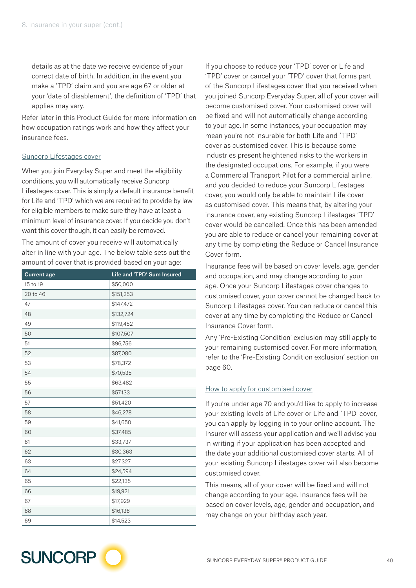details as at the date we receive evidence of your correct date of birth. In addition, in the event you make a 'TPD' claim and you are age 67 or older at your 'date of disablement', the definition of 'TPD' that applies may vary.

Refer later in this Product Guide for more information on how occupation ratings work and how they affect your insurance fees.

#### Suncorp Lifestages cover

When you join Everyday Super and meet the eligibility conditions, you will automatically receive Suncorp Lifestages cover. This is simply a default insurance benefit for Life and 'TPD' which we are required to provide by law for eligible members to make sure they have at least a minimum level of insurance cover. If you decide you don't want this cover though, it can easily be removed.

The amount of cover you receive will automatically alter in line with your age. The below table sets out the amount of cover that is provided based on your age:

| <b>Current age</b> | Life and 'TPD' Sum Insured |
|--------------------|----------------------------|
| 15 to 19           | \$50,000                   |
| 20 to 46           | \$151,253                  |
| 47                 | \$147,472                  |
| 48                 | \$132,724                  |
| 49                 | \$119,452                  |
| 50                 | \$107,507                  |
| 51                 | \$96,756                   |
| 52                 | \$87,080                   |
| 53                 | \$78,372                   |
| 54                 | \$70,535                   |
| 55                 | \$63,482                   |
| 56                 | \$57,133                   |
| 57                 | \$51,420                   |
| 58                 | \$46,278                   |
| 59                 | \$41,650                   |
| 60                 | \$37,485                   |
| 61                 | \$33,737                   |
| 62                 | \$30,363                   |
| 63                 | \$27,327                   |
| 64                 | \$24,594                   |
| 65                 | \$22,135                   |
| 66                 | \$19,921                   |
| 67                 | \$17,929                   |
| 68                 | \$16,136                   |
| 69                 | \$14,523                   |

If you choose to reduce your 'TPD' cover or Life and 'TPD' cover or cancel your 'TPD' cover that forms part of the Suncorp Lifestages cover that you received when you joined Suncorp Everyday Super, all of your cover will become customised cover. Your customised cover will be fixed and will not automatically change according to your age. In some instances, your occupation may mean you're not insurable for both Life and `TPD' cover as customised cover. This is because some industries present heightened risks to the workers in the designated occupations. For example, if you were a Commercial Transport Pilot for a commercial airline, and you decided to reduce your Suncorp Lifestages cover, you would only be able to maintain Life cover as customised cover. This means that, by altering your insurance cover, any existing Suncorp Lifestages 'TPD' cover would be cancelled. Once this has been amended you are able to reduce or cancel your remaining cover at any time by completing the Reduce or Cancel Insurance Cover form.

Insurance fees will be based on cover levels, age, gender and occupation, and may change according to your age. Once your Suncorp Lifestages cover changes to customised cover, your cover cannot be changed back to Suncorp Lifestages cover. You can reduce or cancel this cover at any time by completing the Reduce or Cancel Insurance Cover form.

Any 'Pre-Existing Condition' exclusion may still apply to your remaining customised cover. For more information, refer to the 'Pre-Existing Condition exclusion' section on page 60.

#### How to apply for customised cover

If you're under age 70 and you'd like to apply to increase your existing levels of Life cover or Life and `TPD' cover, you can apply by logging in to your online account. The Insurer will assess your application and we'll advise you in writing if your application has been accepted and the date your additional customised cover starts. All of your existing Suncorp Lifestages cover will also become customised cover.

This means, all of your cover will be fixed and will not change according to your age. Insurance fees will be based on cover levels, age, gender and occupation, and may change on your birthday each year.

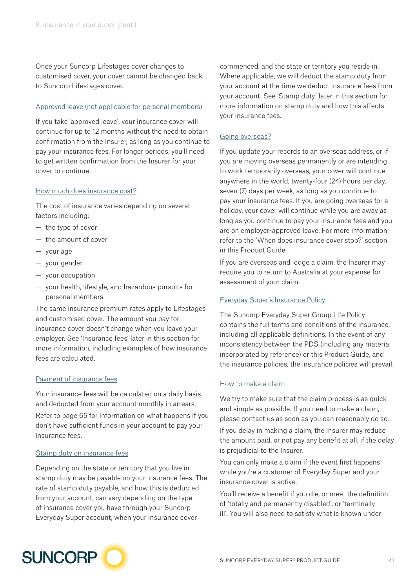Once your Suncorp Lifestages cover changes to customised cover, your cover cannot be changed back to Suncorp Lifestages cover.

#### Approved leave (not applicable for personal members)

If you take 'approved leave', your insurance cover will continue for up to 12 months without the need to obtain confirmation from the Insurer, as long as you continue to pay your insurance fees. For longer periods, you'll need to get written confirmation from the Insurer for your cover to continue.

#### How much does insurance cost?

The cost of insurance varies depending on several factors including:

- the type of cover
- the amount of cover
- your age
- your gender
- your occupation
- your health, lifestyle, and hazardous pursuits for personal members.

The same insurance premium rates apply to Lifestages and customised cover. The amount you pay for insurance cover doesn't change when you leave your employer. See 'Insurance fees' later in this section for more information, including examples of how insurance fees are calculated.

#### Payment of insurance fees

Your insurance fees will be calculated on a daily basis and deducted from your account monthly in arrears. Refer to page 65 for information on what happens if you

don't have sufficient funds in your account to pay your insurance fees.

#### Stamp duty on insurance fees

Depending on the state or territory that you live in, stamp duty may be payable on your insurance fees. The rate of stamp duty payable, and how this is deducted from your account, can vary depending on the type of insurance cover you have through your Suncorp Everyday Super account, when your insurance cover

commenced, and the state or territory you reside in. Where applicable, we will deduct the stamp duty from your account at the time we deduct insurance fees from your account. See 'Stamp duty' later in this section for more information on stamp duty and how this affects your insurance fees.

#### Going overseas?

If you update your records to an overseas address, or if you are moving overseas permanently or are intending to work temporarily overseas, your cover will continue anywhere in the world, twenty-four (24) hours per day, seven (7) days per week, as long as you continue to pay your insurance fees. If you are going overseas for a holiday, your cover will continue while you are away as long as you continue to pay your insurance fees and you are on employer-approved leave. For more information refer to the 'When does insurance cover stop?' section in this Product Guide.

If you are overseas and lodge a claim, the Insurer may require you to return to Australia at your expense for assessment of your claim.

#### Everyday Super's Insurance Policy

The Suncorp Everyday Super Group Life Policy contains the full terms and conditions of the insurance, including all applicable definitions. In the event of any inconsistency between the PDS (including any material incorporated by reference) or this Product Guide, and the insurance policies, the insurance policies will prevail.

#### How to make a claim

We try to make sure that the claim process is as quick and simple as possible. If you need to make a claim, please contact us as soon as you can reasonably do so.

If you delay in making a claim, the Insurer may reduce the amount paid, or not pay any benefit at all, if the delay is prejudicial to the Insurer.

You can only make a claim if the event first happens while you're a customer of Everyday Super and your insurance cover is active.

You'll receive a benefit if you die, or meet the definition of 'totally and permanently disabled', or 'terminally ill'. You will also need to satisfy what is known under

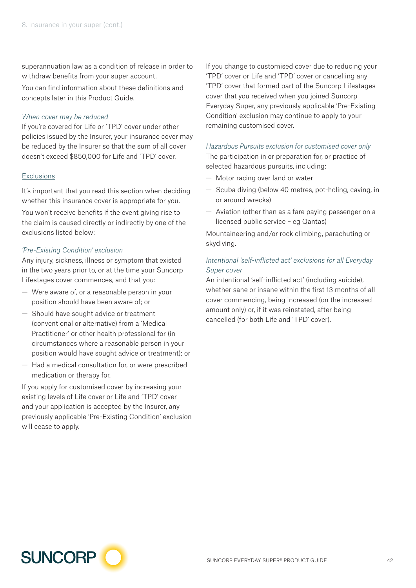superannuation law as a condition of release in order to withdraw benefits from your super account.

You can find information about these definitions and concepts later in this Product Guide.

#### *When cover may be reduced*

If you're covered for Life or 'TPD' cover under other policies issued by the Insurer, your insurance cover may be reduced by the Insurer so that the sum of all cover doesn't exceed \$850,000 for Life and 'TPD' cover.

#### **Exclusions**

It's important that you read this section when deciding whether this insurance cover is appropriate for you.

You won't receive benefits if the event giving rise to the claim is caused directly or indirectly by one of the exclusions listed below:

#### *'Pre-Existing Condition' exclusion*

Any injury, sickness, illness or symptom that existed in the two years prior to, or at the time your Suncorp Lifestages cover commences, and that you:

- Were aware of, or a reasonable person in your position should have been aware of; or
- Should have sought advice or treatment (conventional or alternative) from a 'Medical Practitioner' or other health professional for (in circumstances where a reasonable person in your position would have sought advice or treatment); or
- Had a medical consultation for, or were prescribed medication or therapy for.

If you apply for customised cover by increasing your existing levels of Life cover or Life and 'TPD' cover and your application is accepted by the Insurer, any previously applicable 'Pre-Existing Condition' exclusion will cease to apply.

If you change to customised cover due to reducing your 'TPD' cover or Life and 'TPD' cover or cancelling any 'TPD' cover that formed part of the Suncorp Lifestages cover that you received when you joined Suncorp Everyday Super, any previously applicable 'Pre-Existing Condition' exclusion may continue to apply to your remaining customised cover.

#### *Hazardous Pursuits exclusion for customised cover only* The participation in or preparation for, or practice of selected hazardous pursuits, including:

- Motor racing over land or water
- Scuba diving (below 40 metres, pot-holing, caving, in or around wrecks)
- Aviation (other than as a fare paying passenger on a licensed public service – eg Qantas)

Mountaineering and/or rock climbing, parachuting or skydiving.

#### *Intentional 'self-inflicted act' exclusions for all Everyday Super cover*

An intentional 'self-inflicted act' (including suicide), whether sane or insane within the first 13 months of all cover commencing, being increased (on the increased amount only) or, if it was reinstated, after being cancelled (for both Life and 'TPD' cover).

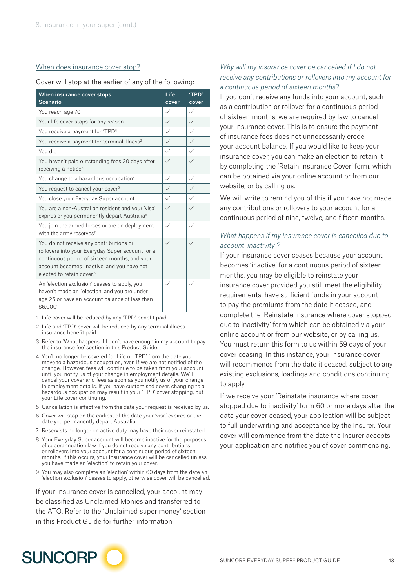#### When does insurance cover stop?

Cover will stop at the earlier of any of the following:

| When insurance cover stops<br><b>Scenario</b>                                                                                                                                                                                        | Life<br>cover | 'TPD'<br>cover |
|--------------------------------------------------------------------------------------------------------------------------------------------------------------------------------------------------------------------------------------|---------------|----------------|
| You reach age 70                                                                                                                                                                                                                     | $\checkmark$  | $\checkmark$   |
| Your life cover stops for any reason                                                                                                                                                                                                 | $\checkmark$  | $\checkmark$   |
| You receive a payment for 'TPD"                                                                                                                                                                                                      | $\checkmark$  | $\checkmark$   |
| You receive a payment for terminal illness <sup>2</sup>                                                                                                                                                                              | $\checkmark$  | $\checkmark$   |
| You die                                                                                                                                                                                                                              | $\checkmark$  | $\checkmark$   |
| You haven't paid outstanding fees 30 days after<br>receiving a notice <sup>3</sup>                                                                                                                                                   | $\checkmark$  | $\checkmark$   |
| You change to a hazardous occupation <sup>4</sup>                                                                                                                                                                                    | $\checkmark$  | $\checkmark$   |
| You request to cancel your cover <sup>5</sup>                                                                                                                                                                                        | $\checkmark$  | $\sqrt{}$      |
| You close your Everyday Super account                                                                                                                                                                                                | $\checkmark$  | $\checkmark$   |
| You are a non-Australian resident and your 'visa'<br>expires or you permanently depart Australia <sup>6</sup>                                                                                                                        | $\checkmark$  | $\checkmark$   |
| You join the armed forces or are on deployment<br>with the army reserves <sup>7</sup>                                                                                                                                                | $\checkmark$  | $\sqrt{}$      |
| You do not receive any contributions or<br>rollovers into your Everyday Super account for a<br>continuous period of sixteen months, and your<br>account becomes 'inactive' and you have not<br>elected to retain cover. <sup>8</sup> | $\checkmark$  | $\checkmark$   |
| An 'election exclusion' ceases to apply, you<br>haven't made an `election' and you are under<br>age 25 or have an account balance of less than<br>\$6,000 <sup>9</sup>                                                               | $\checkmark$  | $\checkmark$   |

1 Life cover will be reduced by any 'TPD' benefit paid.

- 2 Life and 'TPD' cover will be reduced by any terminal illness insurance benefit paid.
- 3 Refer to 'What happens if I don't have enough in my account to pay the insurance fee' section in this Product Guide.
- 4 You'll no longer be covered for Life or 'TPD' from the date you move to a hazardous occupation, even if we are not notified of the change. However, fees will continue to be taken from your account until you notify us of your change in employment details. We'll cancel your cover and fees as soon as you notify us of your change in employment details. If you have customised cover, changing to a hazardous occupation may result in your 'TPD' cover stopping, but your Life cover continuing.
- 5 Cancellation is effective from the date your request is received by us.
- 6 Cover will stop on the earliest of the date your 'visa' expires or the date you permanently depart Australia.
- 7 Reservists no longer on active duty may have their cover reinstated.
- 8 Your Everyday Super account will become inactive for the purposes of superannuation law if you do not receive any contributions or rollovers into your account for a continuous period of sixteen months. If this occurs, your insurance cover will be cancelled unless you have made an 'election' to retain your cover.
- 9 You may also complete an 'election' within 60 days from the date an 'election exclusion' ceases to apply, otherwise cover will be cancelled.

If your insurance cover is cancelled, your account may be classified as Unclaimed Monies and transferred to the ATO. Refer to the 'Unclaimed super money' section in this Product Guide for further information.

#### *Why will my insurance cover be cancelled if I do not receive any contributions or rollovers into my account for a continuous period of sixteen months?*

If you don't receive any funds into your account, such as a contribution or rollover for a continuous period of sixteen months, we are required by law to cancel your insurance cover. This is to ensure the payment of insurance fees does not unnecessarily erode your account balance. If you would like to keep your insurance cover, you can make an election to retain it by completing the 'Retain Insurance Cover' form, which can be obtained via your online account or from our website, or by calling us.

We will write to remind you of this if you have not made any contributions or rollovers to your account for a continuous period of nine, twelve, and fifteen months.

#### *What happens if my insurance cover is cancelled due to account 'inactivity'?*

If your insurance cover ceases because your account becomes 'inactive' for a continuous period of sixteen months, you may be eligible to reinstate your insurance cover provided you still meet the eligibility requirements, have sufficient funds in your account to pay the premiums from the date it ceased, and complete the 'Reinstate insurance where cover stopped due to inactivity' form which can be obtained via your online account or from our website, or by calling us. You must return this form to us within 59 days of your cover ceasing. In this instance, your insurance cover will recommence from the date it ceased, subject to any existing exclusions, loadings and conditions continuing to apply.

If we receive your 'Reinstate insurance where cover stopped due to inactivity' form 60 or more days after the date your cover ceased, your application will be subject to full underwriting and acceptance by the Insurer. Your cover will commence from the date the Insurer accepts your application and notifies you of cover commencing.

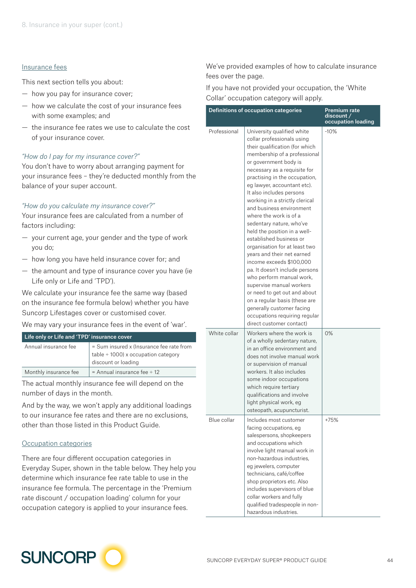#### Insurance fees

This next section tells you about:

- how you pay for insurance cover;
- how we calculate the cost of your insurance fees with some examples; and
- the insurance fee rates we use to calculate the cost of your insurance cover.

#### *"How do I pay for my insurance cover?"*

You don't have to worry about arranging payment for your insurance fees – they're deducted monthly from the balance of your super account.

#### *"How do you calculate my insurance cover?"*

Your insurance fees are calculated from a number of factors including:

- your current age, your gender and the type of work you do;
- how long you have held insurance cover for; and
- the amount and type of insurance cover you have (ie Life only or Life and 'TPD').

We calculate your insurance fee the same way (based on the insurance fee formula below) whether you have Suncorp Lifestages cover or customised cover.

We may vary your insurance fees in the event of 'war'.

| Life only or Life and 'TPD' insurance cover |                                                                                                              |  |
|---------------------------------------------|--------------------------------------------------------------------------------------------------------------|--|
| Annual insurance fee                        | = Sum insured x (Insurance fee rate from<br>$table \div 1000$ ) x occupation category<br>discount or loading |  |
| Monthly insurance fee                       | $=$ Annual insurance fee $\div$ 12                                                                           |  |

The actual monthly insurance fee will depend on the number of days in the month.

And by the way, we won't apply any additional loadings to our insurance fee rates and there are no exclusions, other than those listed in this Product Guide.

#### Occupation categories

There are four different occupation categories in Everyday Super, shown in the table below. They help you determine which insurance fee rate table to use in the insurance fee formula. The percentage in the 'Premium rate discount / occupation loading' column for your occupation category is applied to your insurance fees.

We've provided examples of how to calculate insurance fees over the page.

If you have not provided your occupation, the 'White Collar' occupation category will apply.

|              | <b>Definitions of occupation categories</b>                                                                                                                                                                                                                                                                                                                                                                                                                                                                                                                                                                                                                                                                                                                                                                    | Premium rate<br>discount /<br>occupation loading |
|--------------|----------------------------------------------------------------------------------------------------------------------------------------------------------------------------------------------------------------------------------------------------------------------------------------------------------------------------------------------------------------------------------------------------------------------------------------------------------------------------------------------------------------------------------------------------------------------------------------------------------------------------------------------------------------------------------------------------------------------------------------------------------------------------------------------------------------|--------------------------------------------------|
| Professional | University qualified white<br>collar professionals using<br>their qualification (for which<br>membership of a professional<br>or government body is<br>necessary as a requisite for<br>practising in the occupation,<br>eg lawyer, accountant etc).<br>It also includes persons<br>working in a strictly clerical<br>and business environment<br>where the work is of a<br>sedentary nature, who've<br>held the position in a well-<br>established business or<br>organisation for at least two<br>vears and their net earned<br>income exceeds \$100,000<br>pa. It doesn't include persons<br>who perform manual work,<br>supervise manual workers<br>or need to get out and about<br>on a regular basis (these are<br>generally customer facing<br>occupations requiring regular<br>direct customer contact) | $-10%$                                           |
| White collar | Workers where the work is<br>of a wholly sedentary nature,<br>in an office environment and<br>does not involve manual work<br>or supervision of manual<br>workers. It also includes<br>some indoor occupations<br>which require tertiary<br>qualifications and involve<br>light physical work, eg<br>osteopath, acupuncturist.                                                                                                                                                                                                                                                                                                                                                                                                                                                                                 | 0%                                               |
| Blue collar  | Includes most customer<br>facing occupations, eg<br>salespersons, shopkeepers<br>and occupations which<br>involve light manual work in<br>non-hazardous industries.<br>eg jewelers, computer<br>technicians, café/coffee<br>shop proprietors etc. Also<br>includes supervisors of blue<br>collar workers and fully<br>qualified tradespeople in non-<br>hazardous industries.                                                                                                                                                                                                                                                                                                                                                                                                                                  | +75%                                             |

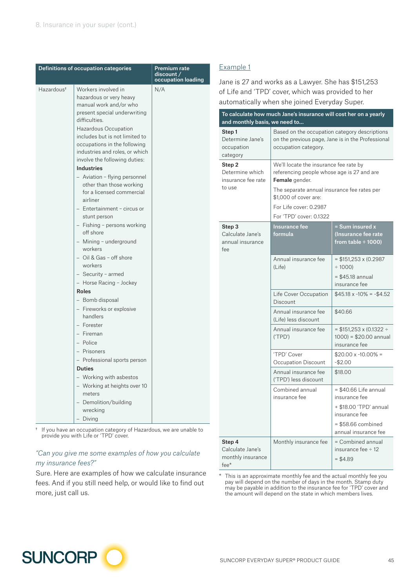|                        | Definitions of occupation categories                                                                                                                                                                                                                                                                                                                                                                                                                                                                                                                                                                                                                                                                                                                                                                                                                                                                                                | Premium rate<br>discount /<br>occupation loading | <u>Example</u>                                                                                                                                                                                          |
|------------------------|-------------------------------------------------------------------------------------------------------------------------------------------------------------------------------------------------------------------------------------------------------------------------------------------------------------------------------------------------------------------------------------------------------------------------------------------------------------------------------------------------------------------------------------------------------------------------------------------------------------------------------------------------------------------------------------------------------------------------------------------------------------------------------------------------------------------------------------------------------------------------------------------------------------------------------------|--------------------------------------------------|---------------------------------------------------------------------------------------------------------------------------------------------------------------------------------------------------------|
| Hazardous <sup>t</sup> | Workers involved in<br>hazardous or very heavy<br>manual work and/or who<br>present special underwriting<br>difficulties.<br>Hazardous Occupation<br>includes but is not limited to<br>occupations in the following<br>industries and roles, or which<br>involve the following duties:<br><b>Industries</b><br>- Aviation - flying personnel<br>other than those working<br>for a licensed commercial<br>airliner<br>- Entertainment - circus or<br>stunt person<br>- Fishing - persons working<br>off shore<br>- Mining - underground<br>workers<br>- Oil & Gas - off shore<br>workers<br>- Security - armed<br>- Horse Racing - Jockey<br>Roles<br>- Bomb disposal<br>- Fireworks or explosive<br>handlers<br>- Forester<br>Fireman<br>Police<br>Prisoners<br>- Professional sports person<br><b>Duties</b><br>- Working with asbestos<br>- Working at heights over 10<br>meters<br>- Demolition/building<br>wrecking<br>- Diving | N/A                                              | Jane is 2<br>of Life a<br>automat<br><b>To calcul</b><br>and mon<br>Step 1<br>Determin<br>occupatio<br>category<br>Step 2<br>Determin<br>insurance<br>to use<br>Step 3<br>Calculate<br>annual in<br>fee |
|                        | stogene of Hozardous w                                                                                                                                                                                                                                                                                                                                                                                                                                                                                                                                                                                                                                                                                                                                                                                                                                                                                                              |                                                  |                                                                                                                                                                                                         |

† If you have an occupation category of Hazardous, we are unable to provide you with Life or 'TPD' cover.

#### *"Can you give me some examples of how you calculate my insurance fees?"*

Sure. Here are examples of how we calculate insurance fees. And if you still need help, or would like to find out more, just call us.

#### $e<sub>1</sub>$

 $27$  and works as a Lawyer. She has  $$151.253$ nd 'TPD' cover, which was provided to her tically when she joined Everyday Super.

| To calculate how much Jane's insurance will cost her on a yearly<br>and monthly basis, we need to |                                                                                                                            |                                                                                                                                  |
|---------------------------------------------------------------------------------------------------|----------------------------------------------------------------------------------------------------------------------------|----------------------------------------------------------------------------------------------------------------------------------|
| Step 1<br>Determine Jane's<br>occupation<br>category                                              | Based on the occupation category descriptions<br>on the previous page, Jane is in the Professional<br>occupation category. |                                                                                                                                  |
| Step 2<br>Determine which<br>insurance fee rate                                                   | We'll locate the insurance fee rate by<br>referencing people whose age is 27 and are<br>Female gender.                     |                                                                                                                                  |
| to use                                                                                            | The separate annual insurance fee rates per<br>\$1,000 of cover are:<br>For Life cover: 0.2987<br>For 'TPD' cover: 0.1322  |                                                                                                                                  |
| Step 3<br>Calculate Jane's<br>annual insurance<br>fee                                             | <b>Insurance fee</b><br>formula                                                                                            | = Sum insured x<br>(Insurance fee rate<br>from table $\div$ 1000)                                                                |
|                                                                                                   | Annual insurance fee<br>(Life)                                                                                             | $=$ \$151,253 x (0.2987<br>$\div$ 1000)<br>$= $45.18$ annual<br>insurance fee                                                    |
|                                                                                                   | Life Cover Occupation<br>Discount                                                                                          | $$45.18 \times -10\% = -\$4.52$                                                                                                  |
|                                                                                                   | Annual insurance fee<br>(Life) less discount                                                                               | \$40.66                                                                                                                          |
|                                                                                                   | Annual insurance fee<br>('TPD')                                                                                            | $=$ \$151,253 x (0.1322 ÷<br>$1000$ ) = \$20.00 annual<br>insurance fee                                                          |
|                                                                                                   | 'TPD' Cover<br>Occupation Discount                                                                                         | $$20.00 \times -10.00\% =$<br>$-$2.00$                                                                                           |
|                                                                                                   | Annual insurance fee<br>('TPD') less discount                                                                              | \$18.00                                                                                                                          |
|                                                                                                   | Combined annual<br>insurance fee                                                                                           | = \$40.66 Life annual<br>insurance fee<br>+ \$18.00 'TPD' annual<br>insurance fee<br>$= $58.66$ combined<br>annual insurance fee |
| Step 4<br>Calculate Jane's<br>monthly insurance<br>$fee*$                                         | Monthly insurance fee                                                                                                      | = Combined annual<br>insurance fee $\div$ 12<br>$= $4.89$                                                                        |

\* This is an approximate monthly fee and the actual monthly fee you pay will depend on the number of days in the month. Stamp duty may be payable in addition to the insurance fee for 'TPD' cover and the amount will depend on the state in which members lives.

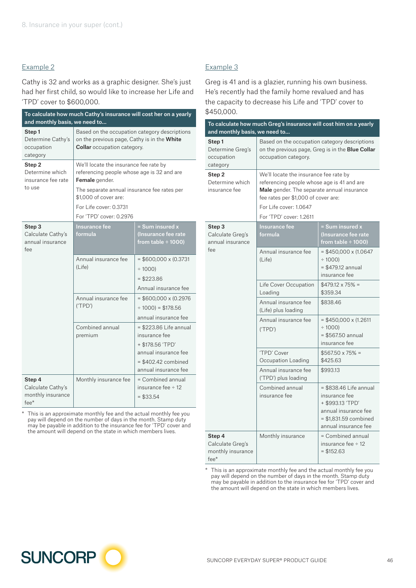#### Example 2

Cathy is 32 and works as a graphic designer. She's just had her first child, so would like to increase her Life and 'TPD' cover to \$600,000.

| To calculate how much Cathy's insurance will cost her on a yearly<br>and monthly basis, we need to |                                                                                                                                                                                                                                     |                                                                                                                                      |  |
|----------------------------------------------------------------------------------------------------|-------------------------------------------------------------------------------------------------------------------------------------------------------------------------------------------------------------------------------------|--------------------------------------------------------------------------------------------------------------------------------------|--|
| Step1<br>Determine Cathy's<br>occupation<br>category                                               | Based on the occupation category descriptions<br>on the previous page, Cathy is in the White<br><b>Collar</b> occupation category.                                                                                                  |                                                                                                                                      |  |
| Step 2<br>Determine which<br>insurance fee rate<br>to use                                          | We'll locate the insurance fee rate by<br>referencing people whose age is 32 and are<br>Female gender.<br>The separate annual insurance fee rates per<br>\$1,000 of cover are:<br>For Life cover: 0.3731<br>For 'TPD' cover: 0.2976 |                                                                                                                                      |  |
| Step <sub>3</sub><br>Calculate Cathy's<br>annual insurance<br>fee                                  | <b>Insurance fee</b><br>formula                                                                                                                                                                                                     | = Sum insured x<br>(Insurance fee rate<br>from table $\div$ 1000)                                                                    |  |
|                                                                                                    | Annual insurance fee<br>(Life)                                                                                                                                                                                                      | $= $600,000 \times (0.3731)$<br>± 1000<br>$= $223.86$<br>Annual insurance fee                                                        |  |
|                                                                                                    | Annual insurance fee<br>('TPD')                                                                                                                                                                                                     | $= $600,000 \times (0.2976)$<br>$\div$ 1000) = \$178.56<br>annual insurance fee                                                      |  |
|                                                                                                    | Combined annual<br>premium                                                                                                                                                                                                          | $= $223.86$ Life annual<br>insurance fee<br>+ \$178.56 'TPD'<br>annual insurance fee<br>$= $402.42$ combined<br>annual insurance fee |  |
| Step 4<br>Calculate Cathy's<br>monthly insurance<br>fee*                                           | Monthly insurance fee                                                                                                                                                                                                               | = Combined annual<br>insurance fee $\div$ 12<br>$= $33.54$                                                                           |  |

\* This is an approximate monthly fee and the actual monthly fee you pay will depend on the number of days in the month. Stamp duty may be payable in addition to the insurance fee for 'TPD' cover and the amount will depend on the state in which members lives.

#### Example 3

Greg is 41 and is a glazier, running his own business. He's recently had the family home revalued and has the capacity to decrease his Life and 'TPD' cover to \$450,000.

| To calculate how much Greg's insurance will cost him on a yearly<br>and monthly basis, we need to |                                                                                                                                                                                                                                |                                                                                                                                        |
|---------------------------------------------------------------------------------------------------|--------------------------------------------------------------------------------------------------------------------------------------------------------------------------------------------------------------------------------|----------------------------------------------------------------------------------------------------------------------------------------|
| Step1<br>Determine Greg's<br>occupation<br>category                                               | Based on the occupation category descriptions<br>on the previous page, Greg is in the <b>Blue Collar</b><br>occupation category.                                                                                               |                                                                                                                                        |
| Step 2<br>Determine which<br>insurance fee                                                        | We'll locate the insurance fee rate by<br>referencing people whose age is 41 and are<br>Male gender. The separate annual insurance<br>fee rates per \$1,000 of cover are:<br>For Life cover: 1.0647<br>For 'TPD' cover: 1.2611 |                                                                                                                                        |
| Step 3<br>Calculate Greg's<br>annual insurance                                                    | Insurance fee<br>formula                                                                                                                                                                                                       | = Sum insured x<br>(Insurance fee rate<br>from table $\div$ 1000)                                                                      |
| fee                                                                                               | Annual insurance fee<br>(Life)                                                                                                                                                                                                 | $= $450,000 \times (1.0647)$<br>± 1000<br>= \$479.12 annual<br>insurance fee                                                           |
|                                                                                                   | Life Cover Occupation<br>Loading                                                                                                                                                                                               | $$479.12 \times 75\% =$<br>\$359.34                                                                                                    |
|                                                                                                   | Annual insurance fee<br>(Life) plus loading                                                                                                                                                                                    | \$838.46                                                                                                                               |
|                                                                                                   | Annual insurance fee<br>('TPD')                                                                                                                                                                                                | $=$ \$450,000 x (1.2611<br>± 1000<br>$= $567.50$ annual<br>insurance fee                                                               |
|                                                                                                   | 'TPD' Cover<br>Occupation Loading                                                                                                                                                                                              | $$567.50 \times 75\% =$<br>\$425.63                                                                                                    |
|                                                                                                   | Annual insurance fee<br>('TPD') plus loading                                                                                                                                                                                   | \$993.13                                                                                                                               |
|                                                                                                   | Combined annual<br>insurance fee                                                                                                                                                                                               | $=$ \$838.46 Life annual<br>insurance fee<br>+ \$993.13 'TPD'<br>annual insurance fee<br>= \$1.831.59 combined<br>annual insurance fee |
| Step 4<br>Calculate Greg's<br>monthly insurance<br>$fee*$                                         | Monthly insurance                                                                                                                                                                                                              | = Combined annual<br>insurance fee $\div$ 12<br>$=$ \$152.63                                                                           |

This is an approximate monthly fee and the actual monthly fee you pay will depend on the number of days in the month. Stamp duty may be payable in addition to the insurance fee for 'TPD' cover and the amount will depend on the state in which members lives.

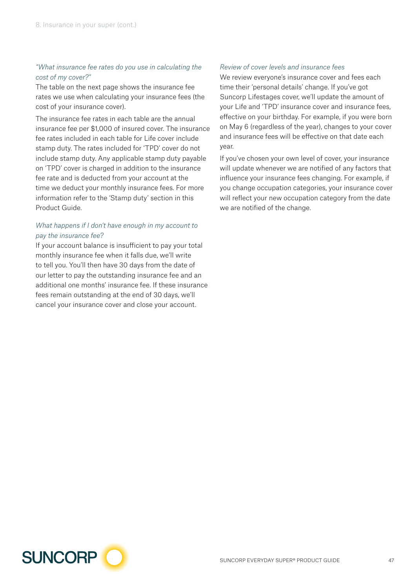#### *"What insurance fee rates do you use in calculating the cost of my cover?"*

The table on the next page shows the insurance fee rates we use when calculating your insurance fees (the cost of your insurance cover).

The insurance fee rates in each table are the annual insurance fee per \$1,000 of insured cover. The insurance fee rates included in each table for Life cover include stamp duty. The rates included for 'TPD' cover do not include stamp duty. Any applicable stamp duty payable on 'TPD' cover is charged in addition to the insurance fee rate and is deducted from your account at the time we deduct your monthly insurance fees. For more information refer to the 'Stamp duty' section in this Product Guide.

#### *What happens if I don't have enough in my account to pay the insurance fee?*

If your account balance is insufficient to pay your total monthly insurance fee when it falls due, we'll write to tell you. You'll then have 30 days from the date of our letter to pay the outstanding insurance fee and an additional one months' insurance fee. If these insurance fees remain outstanding at the end of 30 days, we'll cancel your insurance cover and close your account.

#### *Review of cover levels and insurance fees*

We review everyone's insurance cover and fees each time their 'personal details' change. If you've got Suncorp Lifestages cover, we'll update the amount of your Life and 'TPD' insurance cover and insurance fees, effective on your birthday. For example, if you were born on May 6 (regardless of the year), changes to your cover and insurance fees will be effective on that date each year.

If you've chosen your own level of cover, your insurance will update whenever we are notified of any factors that influence your insurance fees changing. For example, if you change occupation categories, your insurance cover will reflect your new occupation category from the date we are notified of the change.

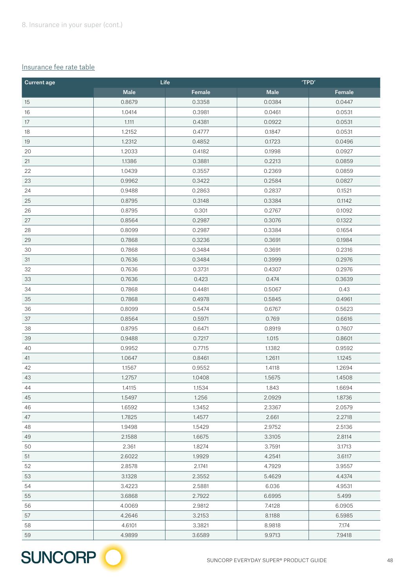#### Insurance fee rate table

| <b>Current</b> age | Life        |        | 'TPD'       |        |
|--------------------|-------------|--------|-------------|--------|
|                    | <b>Male</b> | Female | <b>Male</b> | Female |
| 15                 | 0.8679      | 0.3358 | 0.0384      | 0.0447 |
| 16                 | 1.0414      | 0.3981 | 0.0461      | 0.0531 |
| 17                 | 1.111       | 0.4381 | 0.0922      | 0.0531 |
| 18                 | 1.2152      | 0.4777 | 0.1847      | 0.0531 |
| 19                 | 1.2312      | 0.4852 | 0.1723      | 0.0496 |
| 20                 | 1.2033      | 0.4182 | 0.1998      | 0.0927 |
| 21                 | 1.1386      | 0.3881 | 0.2213      | 0.0859 |
| 22                 | 1.0439      | 0.3557 | 0.2369      | 0.0859 |
| 23                 | 0.9962      | 0.3422 | 0.2584      | 0.0827 |
| 24                 | 0.9488      | 0.2863 | 0.2837      | 0.1521 |
| 25                 | 0.8795      | 0.3148 | 0.3384      | 0.1142 |
| 26                 | 0.8795      | 0.301  | 0.2767      | 0.1092 |
| 27                 | 0.8564      | 0.2987 | 0.3076      | 0.1322 |
| 28                 | 0.8099      | 0.2987 | 0.3384      | 0.1654 |
| 29                 | 0.7868      | 0.3236 | 0.3691      | 0.1984 |
| 30                 | 0.7868      | 0.3484 | 0.3691      | 0.2316 |
| 31                 | 0.7636      | 0.3484 | 0.3999      | 0.2976 |
| 32                 | 0.7636      | 0.3731 | 0.4307      | 0.2976 |
| 33                 | 0.7636      | 0.423  | 0.474       | 0.3639 |
| 34                 | 0.7868      | 0.4481 | 0.5067      | 0.43   |
| 35                 | 0.7868      | 0.4978 | 0.5845      | 0.4961 |
| 36                 | 0.8099      | 0.5474 | 0.6767      | 0.5623 |
| 37                 | 0.8564      | 0.5971 | 0.769       | 0.6616 |
| 38                 | 0.8795      | 0.6471 | 0.8919      | 0.7607 |
| 39                 | 0.9488      | 0.7217 | 1.015       | 0.8601 |
| 40                 | 0.9952      | 0.7715 | 1.1382      | 0.9592 |
| 41                 | 1.0647      | 0.8461 | 1.2611      | 1.1245 |
| 42                 | 1.1567      | 0.9552 | 1.4118      | 1.2694 |
| 43                 | 1.2757      | 1.0408 | 1.5675      | 1.4508 |
| 44                 | 1.4115      | 1.1534 | 1.843       | 1.6694 |
| 45                 | 1.5497      | 1.256  | 2.0929      | 1.8736 |
| 46                 | 1.6592      | 1.3452 | 2.3367      | 2.0579 |
| 47                 | 1.7825      | 1.4577 | 2.661       | 2.2718 |
| 48                 | 1.9498      | 1.5429 | 2.9752      | 2.5136 |
| 49                 | 2.1588      | 1.6675 | 3.3105      | 2.8114 |
| 50                 | 2.361       | 1.8274 | 3.7591      | 3.1713 |
| 51                 | 2.6022      | 1.9929 | 4.2541      | 3.6117 |
| 52                 | 2.8578      | 2.1741 | 4.7929      | 3.9557 |
| 53                 | 3.1328      | 2.3552 | 5.4629      | 4.4374 |
| 54                 | 3.4223      | 2.5881 | 6.036       | 4.9531 |
| 55                 | 3.6868      | 2.7922 | 6.6995      | 5.499  |
| 56                 | 4.0069      | 2.9812 | 7.4128      | 6.0905 |
| 57                 | 4.2646      | 3.2153 | 8.1188      | 6.5985 |
| 58                 | 4.6101      | 3.3821 | 8.9818      | 7.174  |
| 59                 | 4.9899      | 3.6589 | 9.9713      | 7.9418 |

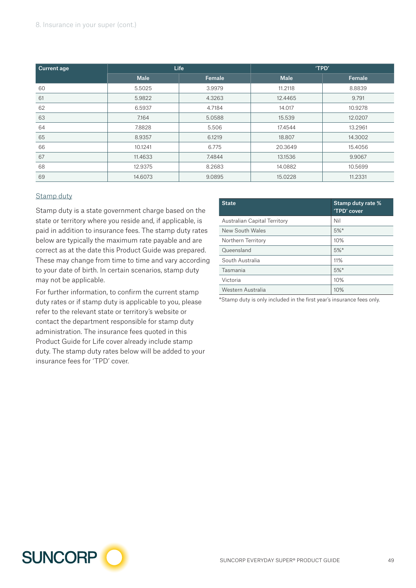| <b>Current age</b> | <b>Life</b> |        | 'TPD'       |         |
|--------------------|-------------|--------|-------------|---------|
|                    | <b>Male</b> | Female | <b>Male</b> | Female  |
| 60                 | 5.5025      | 3.9979 | 11.2118     | 8.8839  |
| 61                 | 5.9822      | 4.3263 | 12.4465     | 9.791   |
| 62                 | 6.5937      | 4.7184 | 14.017      | 10.9278 |
| 63                 | 7.164       | 5.0588 | 15.539      | 12.0207 |
| 64                 | 7.8828      | 5.506  | 17.4544     | 13.2961 |
| 65                 | 8.9357      | 6.1219 | 18.807      | 14.3002 |
| 66                 | 10.1241     | 6.775  | 20.3649     | 15.4056 |
| 67                 | 11.4633     | 7.4844 | 13.1536     | 9.9067  |
| 68                 | 12.9375     | 8.2683 | 14.0882     | 10.5699 |
| 69                 | 14.6073     | 9.0895 | 15.0228     | 11.2331 |

#### Stamp duty

Stamp duty is a state government charge based on the state or territory where you reside and, if applicable, is paid in addition to insurance fees. The stamp duty rates below are typically the maximum rate payable and are correct as at the date this Product Guide was prepared. These may change from time to time and vary according to your date of birth. In certain scenarios, stamp duty may not be applicable.

For further information, to confirm the current stamp duty rates or if stamp duty is applicable to you, please refer to the relevant state or territory's website or contact the department responsible for stamp duty administration. The insurance fees quoted in this Product Guide for Life cover already include stamp duty. The stamp duty rates below will be added to your insurance fees for 'TPD' cover.

| <b>State</b>                 | Stamp duty rate %<br>'TPD' cover |
|------------------------------|----------------------------------|
| Australian Capital Territory | Nil                              |
| New South Wales              | $5%$ *                           |
| Northern Territory           | 10%                              |
| Queensland                   | $5%$ *                           |
| South Australia              | 11%                              |
| Tasmania                     | $5%$ *                           |
| Victoria                     | 10%                              |
| Western Australia            | 10%                              |

\*Stamp duty is only included in the first year's insurance fees only.

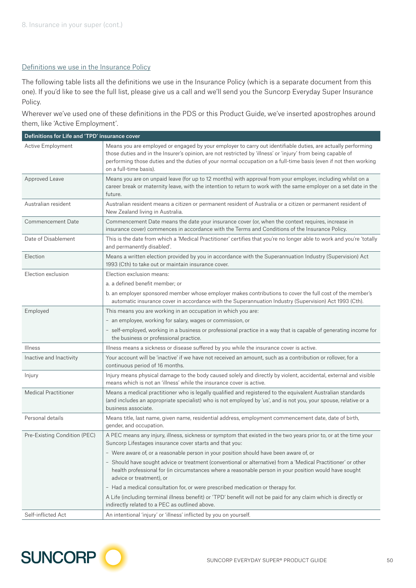#### Definitions we use in the Insurance Policy

The following table lists all the definitions we use in the Insurance Policy (which is a separate document from this one). If you'd like to see the full list, please give us a call and we'll send you the Suncorp Everyday Super Insurance Policy.

Wherever we've used one of these definitions in the PDS or this Product Guide, we've inserted apostrophes around them, like 'Active Employment'.

| Definitions for Life and 'TPD' insurance cover |                                                                                                                                                                                                                                                                                                                                                                           |  |
|------------------------------------------------|---------------------------------------------------------------------------------------------------------------------------------------------------------------------------------------------------------------------------------------------------------------------------------------------------------------------------------------------------------------------------|--|
| Active Employment                              | Means you are employed or engaged by your employer to carry out identifiable duties, are actually performing<br>those duties and in the Insurer's opinion, are not restricted by 'illness' or 'injury' from being capable of<br>performing those duties and the duties of your normal occupation on a full-time basis (even if not then working<br>on a full-time basis). |  |
| Approved Leave                                 | Means you are on unpaid leave (for up to 12 months) with approval from your employer, including whilst on a<br>career break or maternity leave, with the intention to return to work with the same employer on a set date in the<br>future.                                                                                                                               |  |
| Australian resident                            | Australian resident means a citizen or permanent resident of Australia or a citizen or permanent resident of<br>New Zealand living in Australia.                                                                                                                                                                                                                          |  |
| Commencement Date                              | Commencement Date means the date your insurance cover (or, when the context requires, increase in<br>insurance cover) commences in accordance with the Terms and Conditions of the Insurance Policy.                                                                                                                                                                      |  |
| Date of Disablement                            | This is the date from which a 'Medical Practitioner' certifies that you're no longer able to work and you're 'totally<br>and permanently disabled'.                                                                                                                                                                                                                       |  |
| Election                                       | Means a written election provided by you in accordance with the Superannuation Industry (Supervision) Act<br>1993 (Cth) to take out or maintain insurance cover.                                                                                                                                                                                                          |  |
| Election exclusion                             | Election exclusion means:                                                                                                                                                                                                                                                                                                                                                 |  |
|                                                | a. a defined benefit member; or                                                                                                                                                                                                                                                                                                                                           |  |
|                                                | b. an employer sponsored member whose employer makes contributions to cover the full cost of the member's<br>automatic insurance cover in accordance with the Superannuation Industry (Supervision) Act 1993 (Cth).                                                                                                                                                       |  |
| Employed                                       | This means you are working in an occupation in which you are:                                                                                                                                                                                                                                                                                                             |  |
|                                                | - an employee, working for salary, wages or commission, or                                                                                                                                                                                                                                                                                                                |  |
|                                                | - self-employed, working in a business or professional practice in a way that is capable of generating income for<br>the business or professional practice.                                                                                                                                                                                                               |  |
| <b>Illness</b>                                 | Illness means a sickness or disease suffered by you while the insurance cover is active.                                                                                                                                                                                                                                                                                  |  |
| Inactive and Inactivity                        | Your account will be 'inactive' if we have not received an amount, such as a contribution or rollover, for a<br>continuous period of 16 months.                                                                                                                                                                                                                           |  |
| Injury                                         | Injury means physical damage to the body caused solely and directly by violent, accidental, external and visible<br>means which is not an 'illness' while the insurance cover is active.                                                                                                                                                                                  |  |
| <b>Medical Practitioner</b>                    | Means a medical practitioner who is legally qualified and registered to the equivalent Australian standards<br>(and includes an appropriate specialist) who is not employed by 'us', and is not you, your spouse, relative or a<br>business associate.                                                                                                                    |  |
| Personal details                               | Means title, last name, given name, residential address, employment commencement date, date of birth,<br>gender, and occupation.                                                                                                                                                                                                                                          |  |
| Pre-Existing Condition (PEC)                   | A PEC means any injury, illness, sickness or symptom that existed in the two years prior to, or at the time your<br>Suncorp Lifestages insurance cover starts and that you:                                                                                                                                                                                               |  |
|                                                | - Were aware of, or a reasonable person in your position should have been aware of, or                                                                                                                                                                                                                                                                                    |  |
|                                                | - Should have sought advice or treatment (conventional or alternative) from a 'Medical Practitioner' or other<br>health professional for (in circumstances where a reasonable person in your position would have sought<br>advice or treatment), or                                                                                                                       |  |
|                                                | - Had a medical consultation for, or were prescribed medication or therapy for.                                                                                                                                                                                                                                                                                           |  |
|                                                | A Life (including terminal illness benefit) or 'TPD' benefit will not be paid for any claim which is directly or<br>indirectly related to a PEC as outlined above.                                                                                                                                                                                                        |  |
| Self-inflicted Act                             | An intentional 'injury' or 'illness' inflicted by you on yourself.                                                                                                                                                                                                                                                                                                        |  |

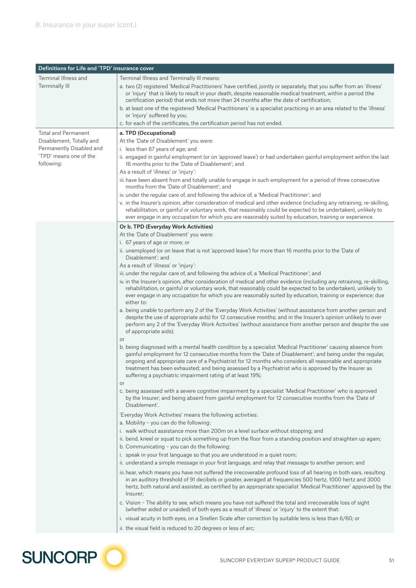| Definitions for Life and 'TPD' insurance cover                                                                             |                                                                                                                                                                                                                                                                                                                                                                                                                                                                                                                                                                                                                                                                                                                                                                                                                                                                                                                                                                                                                                                                                                                                                                                                                                                                                                                                                                                                                                                                                                                                                                                                                                                                                                                                                                                                                                                                                                                                                                                                                                                                                                                                                                                                                                                                                                                                                                                                                                                                                                                                                                                                                                                                                                                                                                                                                                                                                                                                                                                                                                                                                                                                                                                                                                                    |  |
|----------------------------------------------------------------------------------------------------------------------------|----------------------------------------------------------------------------------------------------------------------------------------------------------------------------------------------------------------------------------------------------------------------------------------------------------------------------------------------------------------------------------------------------------------------------------------------------------------------------------------------------------------------------------------------------------------------------------------------------------------------------------------------------------------------------------------------------------------------------------------------------------------------------------------------------------------------------------------------------------------------------------------------------------------------------------------------------------------------------------------------------------------------------------------------------------------------------------------------------------------------------------------------------------------------------------------------------------------------------------------------------------------------------------------------------------------------------------------------------------------------------------------------------------------------------------------------------------------------------------------------------------------------------------------------------------------------------------------------------------------------------------------------------------------------------------------------------------------------------------------------------------------------------------------------------------------------------------------------------------------------------------------------------------------------------------------------------------------------------------------------------------------------------------------------------------------------------------------------------------------------------------------------------------------------------------------------------------------------------------------------------------------------------------------------------------------------------------------------------------------------------------------------------------------------------------------------------------------------------------------------------------------------------------------------------------------------------------------------------------------------------------------------------------------------------------------------------------------------------------------------------------------------------------------------------------------------------------------------------------------------------------------------------------------------------------------------------------------------------------------------------------------------------------------------------------------------------------------------------------------------------------------------------------------------------------------------------------------------------------------------------|--|
| Terminal Illness and<br>Terminally III                                                                                     | Terminal Illness and Terminally III means:<br>a. two (2) registered 'Medical Practitioners' have certified, jointly or separately, that you suffer from an 'illness'<br>or 'injury' that is likely to result in your death, despite reasonable medical treatment, within a period (the<br>certification period) that ends not more than 24 months after the date of certification;<br>b. at least one of the registered 'Medical Practitioners' is a specialist practicing in an area related to the 'illness'<br>or 'injury' suffered by you;<br>c. for each of the certificates, the certification period has not ended.                                                                                                                                                                                                                                                                                                                                                                                                                                                                                                                                                                                                                                                                                                                                                                                                                                                                                                                                                                                                                                                                                                                                                                                                                                                                                                                                                                                                                                                                                                                                                                                                                                                                                                                                                                                                                                                                                                                                                                                                                                                                                                                                                                                                                                                                                                                                                                                                                                                                                                                                                                                                                         |  |
| <b>Total and Permanent</b><br>Disablement, Totally and<br>Permanently Disabled and<br>'TPD' means one of the<br>following: | a. TPD (Occupational)<br>At the 'Date of Disablement' you were:<br>i. less than 67 years of age; and<br>ii. engaged in gainful employment (or on 'approved leave') or had undertaken gainful employment within the last<br>16 months prior to the 'Date of Disablement'; and<br>As a result of 'illness' or 'injury':<br>iii. have been absent from and totally unable to engage in such employment for a period of three consecutive<br>months from the 'Date of Disablement'; and<br>iv. under the regular care of, and following the advice of, a 'Medical Practitioner'; and<br>v. in the Insurer's opinion, after consideration of medical and other evidence (including any retraining, re-skilling,<br>rehabilitation, or gainful or voluntary work, that reasonably could be expected to be undertaken), unlikely to<br>ever engage in any occupation for which you are reasonably suited by education, training or experience.                                                                                                                                                                                                                                                                                                                                                                                                                                                                                                                                                                                                                                                                                                                                                                                                                                                                                                                                                                                                                                                                                                                                                                                                                                                                                                                                                                                                                                                                                                                                                                                                                                                                                                                                                                                                                                                                                                                                                                                                                                                                                                                                                                                                                                                                                                            |  |
|                                                                                                                            | Or b. TPD (Everyday Work Activities)<br>At the 'Date of Disablement' you were:<br>i. 67 years of age or more; or<br>ii. unemployed (or on leave that is not 'approved leave') for more than 16 months prior to the 'Date of<br>Disablement'; and<br>As a result of 'illness' or 'injury':<br>iii. under the regular care of, and following the advice of, a 'Medical Practitioner'; and<br>iv. in the Insurer's opinion, after consideration of medical and other evidence (including any retraining, re-skilling,<br>rehabilitation, or gainful or voluntary work, that reasonably could be expected to be undertaken), unlikely to<br>ever engage in any occupation for which you are reasonably suited by education, training or experience; due<br>either to:<br>a. being unable to perform any 2 of the 'Everyday Work Activities' (without assistance from another person and<br>despite the use of appropriate aids) for 12 consecutive months; and in the Insurer's opinion unlikely to ever<br>perform any 2 of the 'Everyday Work Activities' (without assistance from another person and despite the use<br>of appropriate aids);<br>or<br>b. being diagnosed with a mental health condition by a specialist 'Medical Practitioner' causing absence from<br>gainful employment for 12 consecutive months from the 'Date of Disablement'; and being under the regular,<br>ongoing and appropriate care of a Psychiatrist for 12 months who considers all reasonable and appropriate<br>treatment has been exhausted; and being assessed by a Psychiatrist who is approved by the Insurer as<br>suffering a psychiatric impairment rating of at least 19%;<br>or<br>c. being assessed with a severe cognitive impairment by a specialist 'Medical Practitioner' who is approved<br>by the Insurer; and being absent from gainful employment for 12 consecutive months from the 'Date of<br>Disablement'.<br>'Everyday Work Activities' means the following activities:<br>a. Mobility - you can do the following:<br>i. walk without assistance more than 200m on a level surface without stopping; and<br>ii. bend, kneel or squat to pick something up from the floor from a standing position and straighten up again;<br>b. Communicating - you can do the following:<br>i. speak in your first language so that you are understood in a quiet room;<br>ii. understand a simple message in your first language, and relay that message to another person; and<br>iii. hear, which means you have not suffered the irrecoverable profound loss of all hearing in both ears, resulting<br>in an auditory threshold of 91 decibels or greater, averaged at frequencies 500 hertz, 1000 hertz and 3000<br>hertz, both natural and assisted, as certified by an appropriate specialist 'Medical Practitioner' approved by the<br>Insurer;<br>c. Vision - The ability to see, which means you have not suffered the total and irrecoverable loss of sight<br>(whether aided or unaided) of both eyes as a result of 'illness' or 'injury' to the extent that:<br>i. visual acuity in both eyes, on a Snellen Scale after correction by suitable lens is less than 6/60; or<br>ii. the visual field is reduced to 20 degrees or less of arc; |  |

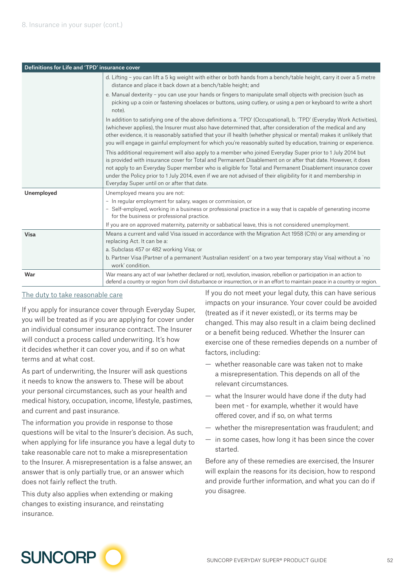| Definitions for Life and 'TPD' insurance cover |                                                                                                                                                                                                                                                                                                                                                                                                                                                                                                           |  |
|------------------------------------------------|-----------------------------------------------------------------------------------------------------------------------------------------------------------------------------------------------------------------------------------------------------------------------------------------------------------------------------------------------------------------------------------------------------------------------------------------------------------------------------------------------------------|--|
|                                                | d. Lifting - you can lift a 5 kg weight with either or both hands from a bench/table height, carry it over a 5 metre<br>distance and place it back down at a bench/table height; and                                                                                                                                                                                                                                                                                                                      |  |
|                                                | e. Manual dexterity - you can use your hands or fingers to manipulate small objects with precision (such as<br>picking up a coin or fastening shoelaces or buttons, using cutlery, or using a pen or keyboard to write a short<br>note).                                                                                                                                                                                                                                                                  |  |
|                                                | In addition to satisfying one of the above definitions a. 'TPD' (Occupational), b. 'TPD' (Everyday Work Activities),<br>(whichever applies), the Insurer must also have determined that, after consideration of the medical and any<br>other evidence, it is reasonably satisfied that your ill health (whether physical or mental) makes it unlikely that<br>you will engage in gainful employment for which you're reasonably suited by education, training or experience.                              |  |
|                                                | This additional requirement will also apply to a member who joined Everyday Super prior to 1 July 2014 but<br>is provided with insurance cover for Total and Permanent Disablement on or after that date. However, it does<br>not apply to an Everyday Super member who is eligible for Total and Permanent Disablement insurance cover<br>under the Policy prior to 1 July 2014, even if we are not advised of their eligibility for it and membership in<br>Everyday Super until on or after that date. |  |
| Unemployed                                     | Unemployed means you are not:<br>- In regular employment for salary, wages or commission, or<br>- Self-employed, working in a business or professional practice in a way that is capable of generating income<br>for the business or professional practice.<br>If you are on approved maternity, paternity or sabbatical leave, this is not considered unemployment.                                                                                                                                      |  |
| Visa                                           | Means a current and valid Visa issued in accordance with the Migration Act 1958 (Cth) or any amending or<br>replacing Act. It can be a:<br>a. Subclass 457 or 482 working Visa; or<br>b. Partner Visa (Partner of a permanent 'Australian resident' on a two year temporary stay Visa) without a 'no<br>work' condition.                                                                                                                                                                                  |  |
| War                                            | War means any act of war (whether declared or not), revolution, invasion, rebellion or participation in an action to<br>defend a country or region from civil disturbance or insurrection, or in an effort to maintain peace in a country or region.                                                                                                                                                                                                                                                      |  |

#### The duty to take reasonable care

If you apply for insurance cover through Everyday Super, you will be treated as if you are applying for cover under an individual consumer insurance contract. The Insurer will conduct a process called underwriting. It's how it decides whether it can cover you, and if so on what terms and at what cost.

As part of underwriting, the Insurer will ask questions it needs to know the answers to. These will be about your personal circumstances, such as your health and medical history, occupation, income, lifestyle, pastimes, and current and past insurance.

The information you provide in response to those questions will be vital to the Insurer's decision. As such, when applying for life insurance you have a legal duty to take reasonable care not to make a misrepresentation to the Insurer. A misrepresentation is a false answer, an answer that is only partially true, or an answer which does not fairly reflect the truth.

This duty also applies when extending or making changes to existing insurance, and reinstating insurance.

If you do not meet your legal duty, this can have serious impacts on your insurance. Your cover could be avoided (treated as if it never existed), or its terms may be changed. This may also result in a claim being declined or a benefit being reduced. Whether the Insurer can exercise one of these remedies depends on a number of factors, including:

- whether reasonable care was taken not to make a misrepresentation. This depends on all of the relevant circumstances.
- what the Insurer would have done if the duty had been met - for example, whether it would have offered cover, and if so, on what terms
- whether the misrepresentation was fraudulent; and
- in some cases, how long it has been since the cover started.

Before any of these remedies are exercised, the Insurer will explain the reasons for its decision, how to respond and provide further information, and what you can do if you disagree.

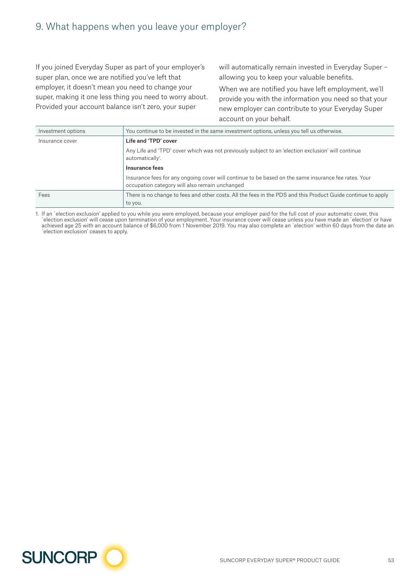If you joined Everyday Super as part of your employer's super plan, once we are notified you've left that employer, it doesn't mean you need to change your super, making it one less thing you need to worry about. Provided your account balance isn't zero, your super

will automatically remain invested in Everyday Super – allowing you to keep your valuable benefits.

When we are notified you have left employment, we'll provide you with the information you need so that your new employer can contribute to your Everyday Super account on your behalf.

| Investment options | You continue to be invested in the same investment options, unless you tell us otherwise.                                                              |  |
|--------------------|--------------------------------------------------------------------------------------------------------------------------------------------------------|--|
| Insurance cover    | Life and 'TPD' cover                                                                                                                                   |  |
|                    | Any Life and 'TPD' cover which was not previously subject to an 'election exclusion' will continue<br>automatically <sup>1</sup> .                     |  |
| Insurance fees     |                                                                                                                                                        |  |
|                    | Insurance fees for any ongoing cover will continue to be based on the same insurance fee rates. Your<br>occupation category will also remain unchanged |  |
| Fees               | There is no change to fees and other costs. All the fees in the PDS and this Product Guide continue to apply<br>to you.                                |  |

1. If an `election exclusion' applied to you while you were employed, because your employer paid for the full cost of your automatic cover, this `election exclusion' will cease upon termination of your employment. Your insurance cover will cease unless you have made an `election' or have achieved age 25 with an account balance of \$6,000 from 1 November 2019. You may also complete an `election' within 60 days from the date an `election exclusion' ceases to apply.

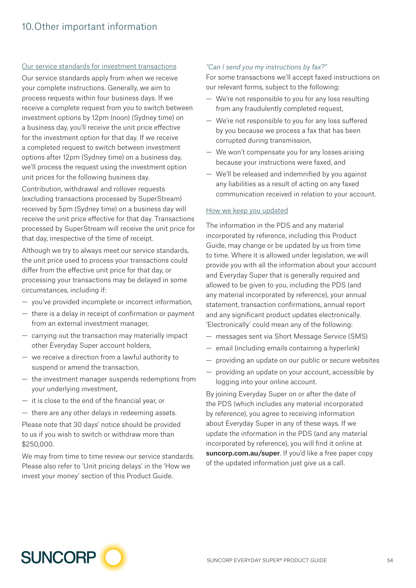#### Our service standards for investment transactions

Our service standards apply from when we receive your complete instructions. Generally, we aim to process requests within four business days. If we receive a complete request from you to switch between investment options by 12pm (noon) (Sydney time) on a business day, you'll receive the unit price effective for the investment option for that day. If we receive a completed request to switch between investment options after 12pm (Sydney time) on a business day, we'll process the request using the investment option unit prices for the following business day.

Contribution, withdrawal and rollover requests (excluding transactions processed by SuperStream) received by 5pm (Sydney time) on a business day will receive the unit price effective for that day. Transactions processed by SuperStream will receive the unit price for that day, irrespective of the time of receipt.

Although we try to always meet our service standards, the unit price used to process your transactions could differ from the effective unit price for that day, or processing your transactions may be delayed in some circumstances, including if:

- you've provided incomplete or incorrect information,
- there is a delay in receipt of confirmation or payment from an external investment manager,
- carrying out the transaction may materially impact other Everyday Super account holders,
- we receive a direction from a lawful authority to suspend or amend the transaction,
- the investment manager suspends redemptions from your underlying investment,
- it is close to the end of the financial year, or
- there are any other delays in redeeming assets.

Please note that 30 days' notice should be provided to us if you wish to switch or withdraw more than \$250,000.

We may from time to time review our service standards. Please also refer to 'Unit pricing delays' in the 'How we invest your money' section of this Product Guide.

#### *"Can I send you my instructions by fax?"*

For some transactions we'll accept faxed instructions on our relevant forms, subject to the following:

- We're not responsible to you for any loss resulting from any fraudulently completed request,
- We're not responsible to you for any loss suffered by you because we process a fax that has been corrupted during transmission,
- We won't compensate you for any losses arising because your instructions were faxed, and
- We'll be released and indemnified by you against any liabilities as a result of acting on any faxed communication received in relation to your account.

#### How we keep you updated

The information in the PDS and any material incorporated by reference, including this Product Guide, may change or be updated by us from time to time. Where it is allowed under legislation, we will provide you with all the information about your account and Everyday Super that is generally required and allowed to be given to you, including the PDS (and any material incorporated by reference), your annual statement, transaction confirmations, annual report and any significant product updates electronically. 'Electronically' could mean any of the following:

- messages sent via Short Message Service (SMS)
- email (including emails containing a hyperlink)
- providing an update on our public or secure websites
- providing an update on your account, accessible by logging into your online account.

By joining Everyday Super on or after the date of the PDS (which includes any material incorporated by reference), you agree to receiving information about Everyday Super in any of these ways. If we update the information in the PDS (and any material incorporated by reference), you will find it online at suncorp.com.au/super. If you'd like a free paper copy of the updated information just give us a call.

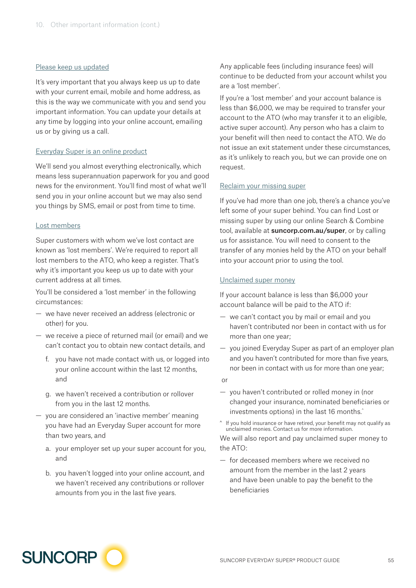#### Please keep us updated

It's very important that you always keep us up to date with your current email, mobile and home address, as this is the way we communicate with you and send you important information. You can update your details at any time by logging into your online account, emailing us or by giving us a call.

#### Everyday Super is an online product

We'll send you almost everything electronically, which means less superannuation paperwork for you and good news for the environment. You'll find most of what we'll send you in your online account but we may also send you things by SMS, email or post from time to time.

#### Lost members

Super customers with whom we've lost contact are known as 'lost members'. We're required to report all lost members to the ATO, who keep a register. That's why it's important you keep us up to date with your current address at all times.

You'll be considered a 'lost member' in the following circumstances:

- we have never received an address (electronic or other) for you.
- we receive a piece of returned mail (or email) and we can't contact you to obtain new contact details, and
	- f. you have not made contact with us, or logged into your online account within the last 12 months, and
	- g. we haven't received a contribution or rollover from you in the last 12 months.
- you are considered an 'inactive member' meaning you have had an Everyday Super account for more than two years, and
	- a. your employer set up your super account for you, and
	- b. you haven't logged into your online account, and we haven't received any contributions or rollover amounts from you in the last five years.

Any applicable fees (including insurance fees) will continue to be deducted from your account whilst you are a 'lost member'.

If you're a 'lost member' and your account balance is less than \$6,000, we may be required to transfer your account to the ATO (who may transfer it to an eligible, active super account). Any person who has a claim to your benefit will then need to contact the ATO. We do not issue an exit statement under these circumstances, as it's unlikely to reach you, but we can provide one on request.

#### Reclaim your missing super

If you've had more than one job, there's a chance you've left some of your super behind. You can find Lost or missing super by using our online Search & Combine tool, available at **suncorp.com.au/super**, or by calling us for assistance. You will need to consent to the transfer of any monies held by the ATO on your behalf into your account prior to using the tool.

#### Unclaimed super money

If your account balance is less than \$6,000 your account balance will be paid to the ATO if:

- we can't contact you by mail or email and you haven't contributed nor been in contact with us for more than one year;
- you joined Everyday Super as part of an employer plan and you haven't contributed for more than five years, nor been in contact with us for more than one year;
- or
- you haven't contributed or rolled money in (nor changed your insurance, nominated beneficiaries or investments options) in the last 16 months.<sup>2</sup>
- ^ If you hold insurance or have retired, your benefit may not qualify as unclaimed monies. Contact us for more information.

We will also report and pay unclaimed super money to the ATO:

— for deceased members where we received no amount from the member in the last 2 years and have been unable to pay the benefit to the beneficiaries

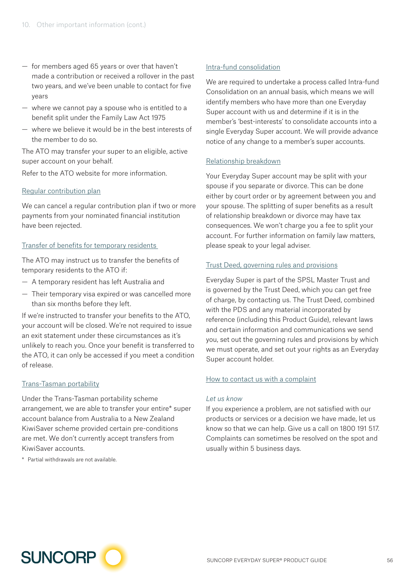- for members aged 65 years or over that haven't made a contribution or received a rollover in the past two years, and we've been unable to contact for five years
- where we cannot pay a spouse who is entitled to a benefit split under the Family Law Act 1975
- where we believe it would be in the best interests of the member to do so.

The ATO may transfer your super to an eligible, active super account on your behalf.

Refer to the ATO website for more information.

#### Regular contribution plan

We can cancel a regular contribution plan if two or more payments from your nominated financial institution have been rejected.

#### Transfer of benefits for temporary residents

The ATO may instruct us to transfer the benefits of temporary residents to the ATO if:

- A temporary resident has left Australia and
- Their temporary visa expired or was cancelled more than six months before they left.

If we're instructed to transfer your benefits to the ATO, your account will be closed. We're not required to issue an exit statement under these circumstances as it's unlikely to reach you. Once your benefit is transferred to the ATO, it can only be accessed if you meet a condition of release.

#### Trans-Tasman portability

Under the Trans-Tasman portability scheme arrangement, we are able to transfer your entire\* super account balance from Australia to a New Zealand KiwiSaver scheme provided certain pre-conditions are met. We don't currently accept transfers from KiwiSaver accounts.

\* Partial withdrawals are not available.

#### Intra-fund consolidation

We are required to undertake a process called Intra-fund Consolidation on an annual basis, which means we will identify members who have more than one Everyday Super account with us and determine if it is in the member's 'best-interests' to consolidate accounts into a single Everyday Super account. We will provide advance notice of any change to a member's super accounts.

#### Relationship breakdown

Your Everyday Super account may be split with your spouse if you separate or divorce. This can be done either by court order or by agreement between you and your spouse. The splitting of super benefits as a result of relationship breakdown or divorce may have tax consequences. We won't charge you a fee to split your account. For further information on family law matters, please speak to your legal adviser.

#### Trust Deed, governing rules and provisions

Everyday Super is part of the SPSL Master Trust and is governed by the Trust Deed, which you can get free of charge, by contacting us. The Trust Deed, combined with the PDS and any material incorporated by reference (including this Product Guide), relevant laws and certain information and communications we send you, set out the governing rules and provisions by which we must operate, and set out your rights as an Everyday Super account holder.

#### How to contact us with a complaint

#### *Let us know*

If you experience a problem, are not satisfied with our products or services or a decision we have made, let us know so that we can help. Give us a call on 1800 191 517. Complaints can sometimes be resolved on the spot and usually within 5 business days.

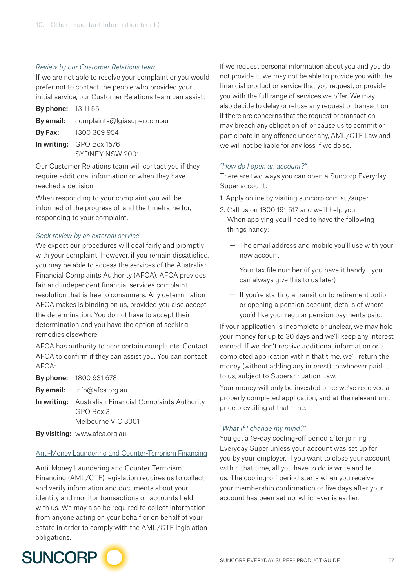#### *Review by our Customer Relations team*

If we are not able to resolve your complaint or you would prefer not to contact the people who provided your initial service, our Customer Relations team can assist:

| <b>By phone: 13 11 55</b> |                                              |
|---------------------------|----------------------------------------------|
|                           | <b>By email:</b> complaints@lgiasuper.com.au |
|                           | <b>By Fax:</b> 1300 369 954                  |
|                           | In writing: GPO Box 1576                     |
|                           | SYDNEY NSW 2001                              |

Our Customer Relations team will contact you if they require additional information or when they have reached a decision.

When responding to your complaint you will be informed of the progress of, and the timeframe for, responding to your complaint.

#### *Seek review by an external service*

We expect our procedures will deal fairly and promptly with your complaint. However, if you remain dissatisfied, you may be able to access the services of the Australian Financial Complaints Authority (AFCA). AFCA provides fair and independent financial services complaint resolution that is free to consumers. Any determination AFCA makes is binding on us, provided you also accept the determination. You do not have to accept their determination and you have the option of seeking remedies elsewhere.

AFCA has authority to hear certain complaints. Contact AFCA to confirm if they can assist you. You can contact AFCA:

- By phone: 1800 931 678
- By email: info@afca.org.au
- In writing: Australian Financial Complaints Authority GPO Box 3 Melbourne VIC 3001

By visiting: www.afca.org.au

#### Anti-Money Laundering and Counter-Terrorism Financing

Anti-Money Laundering and Counter-Terrorism Financing (AML/CTF) legislation requires us to collect and verify information and documents about your identity and monitor transactions on accounts held with us. We may also be required to collect information from anyone acting on your behalf or on behalf of your estate in order to comply with the AML/CTF legislation obligations.

If we request personal information about you and you do not provide it, we may not be able to provide you with the financial product or service that you request, or provide you with the full range of services we offer. We may also decide to delay or refuse any request or transaction if there are concerns that the request or transaction may breach any obligation of, or cause us to commit or participate in any offence under any, AML/CTF Law and we will not be liable for any loss if we do so.

#### *"How do I open an account?"*

There are two ways you can open a Suncorp Everyday Super account:

- 1. Apply online by visiting suncorp.com.au/super
- 2. Call us on 1800 191 517 and we'll help you. When applying you'll need to have the following things handy:
	- The email address and mobile you'll use with your new account
	- Your tax file number (if you have it handy you can always give this to us later)
	- If you're starting a transition to retirement option or opening a pension account, details of where you'd like your regular pension payments paid.

If your application is incomplete or unclear, we may hold your money for up to 30 days and we'll keep any interest earned. If we don't receive additional information or a completed application within that time, we'll return the money (without adding any interest) to whoever paid it to us, subject to Superannuation Law.

Your money will only be invested once we've received a properly completed application, and at the relevant unit price prevailing at that time.

#### *"What if I change my mind?"*

You get a 19-day cooling-off period after joining Everyday Super unless your account was set up for you by your employer. If you want to close your account within that time, all you have to do is write and tell us. The cooling-off period starts when you receive your membership confirmation or five days after your account has been set up, whichever is earlier.

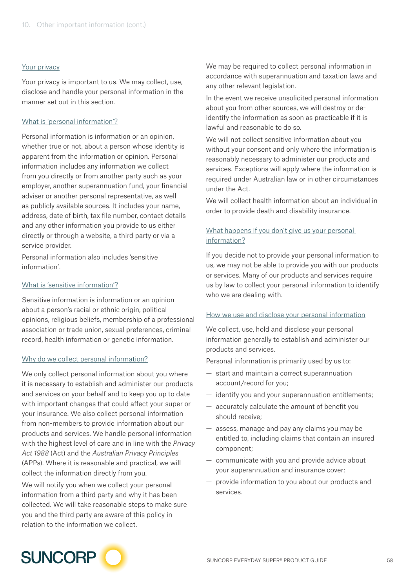#### Your privacy

Your privacy is important to us. We may collect, use, disclose and handle your personal information in the manner set out in this section.

#### What is 'personal information'?

Personal information is information or an opinion, whether true or not, about a person whose identity is apparent from the information or opinion. Personal information includes any information we collect from you directly or from another party such as your employer, another superannuation fund, your financial adviser or another personal representative, as well as publicly available sources. It includes your name, address, date of birth, tax file number, contact details and any other information you provide to us either directly or through a website, a third party or via a service provider.

Personal information also includes 'sensitive information'.

#### What is 'sensitive information'?

Sensitive information is information or an opinion about a person's racial or ethnic origin, political opinions, religious beliefs, membership of a professional association or trade union, sexual preferences, criminal record, health information or genetic information.

#### Why do we collect personal information?

We only collect personal information about you where it is necessary to establish and administer our products and services on your behalf and to keep you up to date with important changes that could affect your super or your insurance. We also collect personal information from non-members to provide information about our products and services. We handle personal information with the highest level of care and in line with the *Privacy Act 1988* (Act) and the *Australian Privacy Principles* (APPs). Where it is reasonable and practical, we will collect the information directly from you.

We will notify you when we collect your personal information from a third party and why it has been collected. We will take reasonable steps to make sure you and the third party are aware of this policy in relation to the information we collect.

We may be required to collect personal information in accordance with superannuation and taxation laws and any other relevant legislation.

In the event we receive unsolicited personal information about you from other sources, we will destroy or deidentify the information as soon as practicable if it is lawful and reasonable to do so.

We will not collect sensitive information about you without your consent and only where the information is reasonably necessary to administer our products and services. Exceptions will apply where the information is required under Australian law or in other circumstances under the Act.

We will collect health information about an individual in order to provide death and disability insurance.

#### What happens if you don't give us your personal information?

If you decide not to provide your personal information to us, we may not be able to provide you with our products or services. Many of our products and services require us by law to collect your personal information to identify who we are dealing with.

#### How we use and disclose your personal information

We collect, use, hold and disclose your personal information generally to establish and administer our products and services.

Personal information is primarily used by us to:

- start and maintain a correct superannuation account/record for you;
- identify you and your superannuation entitlements;
- accurately calculate the amount of benefit you should receive;
- assess, manage and pay any claims you may be entitled to, including claims that contain an insured component;
- communicate with you and provide advice about your superannuation and insurance cover;
- provide information to you about our products and services.

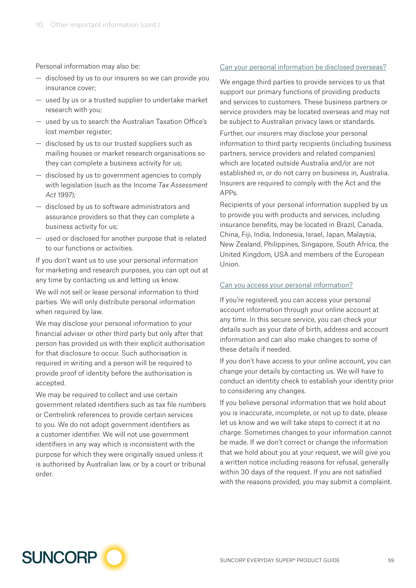Personal information may also be:

- disclosed by us to our insurers so we can provide you insurance cover;
- used by us or a trusted supplier to undertake market research with you;
- used by us to search the Australian Taxation Office's lost member register;
- disclosed by us to our trusted suppliers such as mailing houses or market research organisations so they can complete a business activity for us;
- disclosed by us to government agencies to comply with legislation (such as the Income *Tax Assessment Act* 1997);
- disclosed by us to software administrators and assurance providers so that they can complete a business activity for us;
- used or disclosed for another purpose that is related to our functions or activities.

If you don't want us to use your personal information for marketing and research purposes, you can opt out at any time by contacting us and letting us know.

We will not sell or lease personal information to third parties. We will only distribute personal information when required by law.

We may disclose your personal information to your financial adviser or other third party but only after that person has provided us with their explicit authorisation for that disclosure to occur. Such authorisation is required in writing and a person will be required to provide proof of identity before the authorisation is accepted.

We may be required to collect and use certain government related identifiers such as tax file numbers or Centrelink references to provide certain services to you. We do not adopt government identifiers as a customer identifier. We will not use government identifiers in any way which is inconsistent with the purpose for which they were originally issued unless it is authorised by Australian law, or by a court or tribunal order.

#### Can your personal information be disclosed overseas?

We engage third parties to provide services to us that support our primary functions of providing products and services to customers. These business partners or service providers may be located overseas and may not be subject to Australian privacy laws or standards.

Further, our insurers may disclose your personal information to third party recipients (including business partners, service providers and related companies) which are located outside Australia and/or are not established in, or do not carry on business in, Australia. Insurers are required to comply with the Act and the APPs.

Recipients of your personal information supplied by us to provide you with products and services, including insurance benefits, may be located in Brazil, Canada, China, Fiji, India, Indonesia, Israel, Japan, Malaysia, New Zealand, Philippines, Singapore, South Africa, the United Kingdom, USA and members of the European Union.

#### Can you access your personal information?

If you're registered, you can access your personal account information through your online account at any time. In this secure service, you can check your details such as your date of birth, address and account information and can also make changes to some of these details if needed.

If you don't have access to your online account, you can change your details by contacting us. We will have to conduct an identity check to establish your identity prior to considering any changes.

If you believe personal information that we hold about you is inaccurate, incomplete, or not up to date, please let us know and we will take steps to correct it at no charge. Sometimes changes to your information cannot be made. If we don't correct or change the information that we hold about you at your request, we will give you a written notice including reasons for refusal, generally within 30 days of the request. If you are not satisfied with the reasons provided, you may submit a complaint.

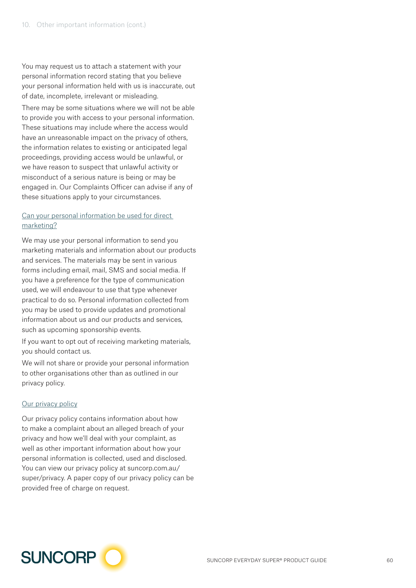You may request us to attach a statement with your personal information record stating that you believe your personal information held with us is inaccurate, out of date, incomplete, irrelevant or misleading.

There may be some situations where we will not be able to provide you with access to your personal information. These situations may include where the access would have an unreasonable impact on the privacy of others, the information relates to existing or anticipated legal proceedings, providing access would be unlawful, or we have reason to suspect that unlawful activity or misconduct of a serious nature is being or may be engaged in. Our Complaints Officer can advise if any of these situations apply to your circumstances.

#### Can your personal information be used for direct marketing?

We may use your personal information to send you marketing materials and information about our products and services. The materials may be sent in various forms including email, mail, SMS and social media. If you have a preference for the type of communication used, we will endeavour to use that type whenever practical to do so. Personal information collected from you may be used to provide updates and promotional information about us and our products and services, such as upcoming sponsorship events.

If you want to opt out of receiving marketing materials, you should contact us.

We will not share or provide your personal information to other organisations other than as outlined in our privacy policy.

#### Our privacy policy

Our privacy policy contains information about how to make a complaint about an alleged breach of your privacy and how we'll deal with your complaint, as well as other important information about how your personal information is collected, used and disclosed. You can view our privacy policy at suncorp.com.au/ super/privacy. A paper copy of our privacy policy can be provided free of charge on request.

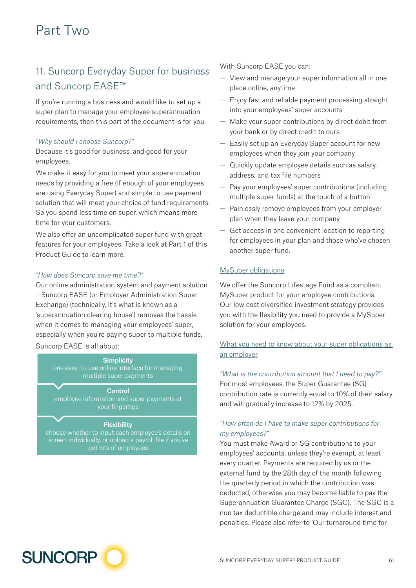# 11. Suncorp Everyday Super for business and Suncorp EASE™

If you're running a business and would like to set up a super plan to manage your employee superannuation requirements, then this part of the document is for you.

#### *"Why should I choose Suncorp?"*

Because it's good for business, and good for your employees.

We make it easy for you to meet your superannuation needs by providing a free (if enough of your employees are using Everyday Super) and simple to use payment solution that will meet your choice of fund requirements. So you spend less time on super, which means more time for your customers.

We also offer an uncomplicated super fund with great features for your employees. Take a look at Part 1 of this Product Guide to learn more.

#### *"How does Suncorp save me time?"*

Our online administration system and payment solution – Suncorp EASE (or Employer Administration Super Exchange) (technically, it's what is known as a 'superannuation clearing house') removes the hassle when it comes to managing your employees' super, especially when you're paying super to multiple funds. Suncorp EASE is all about:



screen individually, or upload a payroll file if you've got lots of employees

With Suncorp EASE you can:

- View and manage your super information all in one place online, anytime
- Enjoy fast and reliable payment processing straight into your employees' super accounts
- Make your super contributions by direct debit from your bank or by direct credit to ours
- Easily set up an Everyday Super account for new employees when they join your company
- Quickly update employee details such as salary, address, and tax file numbers
- Pay your employees' super contributions (including multiple super funds) at the touch of a button
- Painlessly remove employees from your employer plan when they leave your company
- Get access in one convenient location to reporting for employees in your plan and those who've chosen another super fund.

#### MySuper obligations

We offer the Suncorp Lifestage Fund as a compliant MySuper product for your employee contributions. Our low cost diversified investment strategy provides you with the flexibility you need to provide a MySuper solution for your employees.

#### What you need to know about your super obligations as an employer

#### *"What is the contribution amount that I need to pay?"*

For most employees, the Super Guarantee (SG) contribution rate is currently equal to 10% of their salary and will gradually increase to 12% by 2025.

#### *"How often do I have to make super contributions for my employees?"*

You must make Award or SG contributions to your employees' accounts, unless they're exempt, at least every quarter. Payments are required by us or the external fund by the 28th day of the month following the quarterly period in which the contribution was deducted, otherwise you may become liable to pay the Superannuation Guarantee Charge (SGC). The SGC is a non tax deductible charge and may include interest and penalties. Please also refer to 'Our turnaround time for

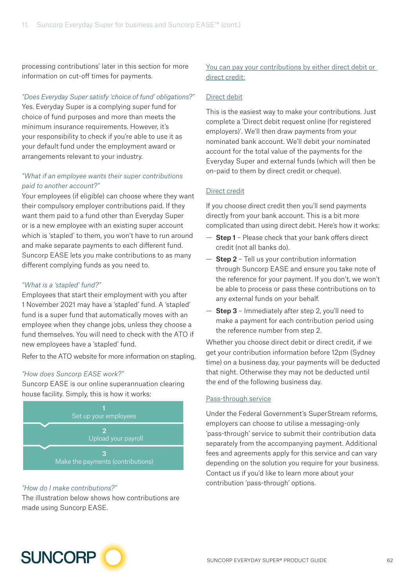processing contributions' later in this section for more information on cut-off times for payments.

#### *"Does Everyday Super satisfy 'choice of fund' obligations?"*

Yes. Everyday Super is a complying super fund for choice of fund purposes and more than meets the minimum insurance requirements. However, it's your responsibility to check if you're able to use it as your default fund under the employment award or arrangements relevant to your industry.

#### *"What if an employee wants their super contributions paid to another account?"*

Your employees (if eligible) can choose where they want their compulsory employer contributions paid. If they want them paid to a fund other than Everyday Super or is a new employee with an existing super account which is 'stapled' to them, you won't have to run around and make separate payments to each different fund. Suncorp EASE lets you make contributions to as many different complying funds as you need to.

#### *"What is a 'stapled' fund?"*

Employees that start their employment with you after 1 November 2021 may have a 'stapled' fund. A 'stapled' fund is a super fund that automatically moves with an employee when they change jobs, unless they choose a fund themselves. You will need to check with the ATO if new employees have a 'stapled' fund.

Refer to the ATO website for more information on stapling.

#### *"How does Suncorp EASE work?"*

Suncorp EASE is our online superannuation clearing house facility. Simply, this is how it works:



#### *"How do I make contributions?"*

The illustration below shows how contributions are made using Suncorp EASE.

#### You can pay your contributions by either direct debit or direct credit:

#### Direct debit

This is the easiest way to make your contributions. Just complete a 'Direct debit request online (for registered employers)'. We'll then draw payments from your nominated bank account. We'll debit your nominated account for the total value of the payments for the Everyday Super and external funds (which will then be on-paid to them by direct credit or cheque).

#### Direct credit

If you choose direct credit then you'll send payments directly from your bank account. This is a bit more complicated than using direct debit. Here's how it works:

- Step 1 Please check that your bank offers direct credit (not all banks do).
- Step 2 Tell us your contribution information through Suncorp EASE and ensure you take note of the reference for your payment. If you don't, we won't be able to process or pass these contributions on to any external funds on your behalf.
- $-$  Step 3 Immediately after step 2, you'll need to make a payment for each contribution period using the reference number from step 2.

Whether you choose direct debit or direct credit, if we get your contribution information before 12pm (Sydney time) on a business day, your payments will be deducted that night. Otherwise they may not be deducted until the end of the following business day.

#### Pass-through service

Under the Federal Government's SuperStream reforms, employers can choose to utilise a messaging-only 'pass-through' service to submit their contribution data separately from the accompanying payment. Additional fees and agreements apply for this service and can vary depending on the solution you require for your business. Contact us if you'd like to learn more about your contribution 'pass-through' options.

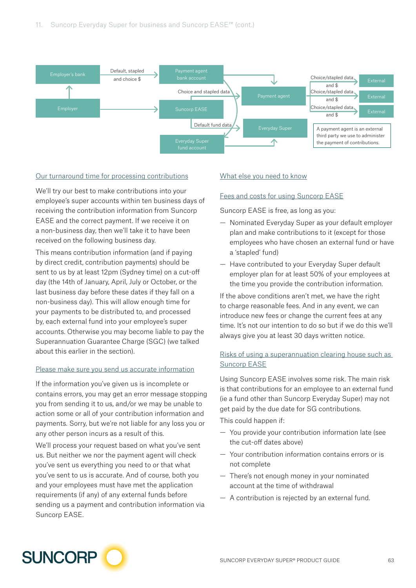

#### Our turnaround time for processing contributions

We'll try our best to make contributions into your employee's super accounts within ten business days of receiving the contribution information from Suncorp EASE and the correct payment. If we receive it on a non-business day, then we'll take it to have been received on the following business day.

This means contribution information (and if paying by direct credit, contribution payments) should be sent to us by at least 12pm (Sydney time) on a cut-off day (the 14th of January, April, July or October, or the last business day before these dates if they fall on a non-business day). This will allow enough time for your payments to be distributed to, and processed by, each external fund into your employee's super accounts. Otherwise you may become liable to pay the Superannuation Guarantee Charge (SGC) (we talked about this earlier in the section).

#### Please make sure you send us accurate information

If the information you've given us is incomplete or contains errors, you may get an error message stopping you from sending it to us, and/or we may be unable to action some or all of your contribution information and payments. Sorry, but we're not liable for any loss you or any other person incurs as a result of this.

We'll process your request based on what you've sent us. But neither we nor the payment agent will check you've sent us everything you need to or that what you've sent to us is accurate. And of course, both you and your employees must have met the application requirements (if any) of any external funds before sending us a payment and contribution information via Suncorp EASE.

#### What else you need to know

#### Fees and costs for using Suncorp EASE

Suncorp EASE is free, as long as you:

- Nominated Everyday Super as your default employer plan and make contributions to it (except for those employees who have chosen an external fund or have a 'stapled' fund)
- Have contributed to your Everyday Super default employer plan for at least 50% of your employees at the time you provide the contribution information.

If the above conditions aren't met, we have the right to charge reasonable fees. And in any event, we can introduce new fees or change the current fees at any time. It's not our intention to do so but if we do this we'll always give you at least 30 days written notice.

#### Risks of using a superannuation clearing house such as Suncorp EASE

Using Suncorp EASE involves some risk. The main risk is that contributions for an employee to an external fund (ie a fund other than Suncorp Everyday Super) may not get paid by the due date for SG contributions.

This could happen if:

- You provide your contribution information late (see the cut-off dates above)
- Your contribution information contains errors or is not complete
- There's not enough money in your nominated account at the time of withdrawal
- A contribution is rejected by an external fund.

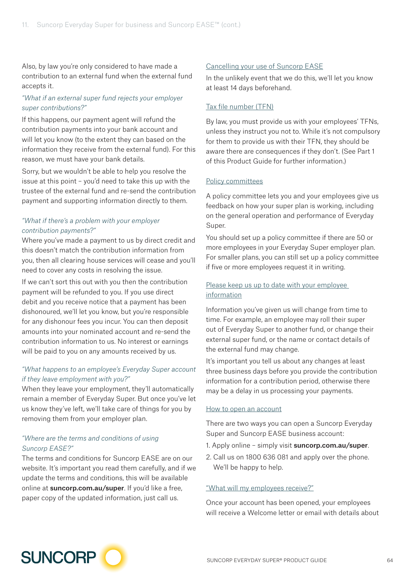Also, by law you're only considered to have made a contribution to an external fund when the external fund accepts it.

#### *"What if an external super fund rejects your employer super contributions?"*

If this happens, our payment agent will refund the contribution payments into your bank account and will let you know (to the extent they can based on the information they receive from the external fund). For this reason, we must have your bank details.

Sorry, but we wouldn't be able to help you resolve the issue at this point – you'd need to take this up with the trustee of the external fund and re-send the contribution payment and supporting information directly to them.

#### *"What if there's a problem with your employer contribution payments?"*

Where you've made a payment to us by direct credit and this doesn't match the contribution information from you, then all clearing house services will cease and you'll need to cover any costs in resolving the issue.

If we can't sort this out with you then the contribution payment will be refunded to you. If you use direct debit and you receive notice that a payment has been dishonoured, we'll let you know, but you're responsible for any dishonour fees you incur. You can then deposit amounts into your nominated account and re-send the contribution information to us. No interest or earnings will be paid to you on any amounts received by us.

#### *"What happens to an employee's Everyday Super account if they leave employment with you?"*

When they leave your employment, they'll automatically remain a member of Everyday Super. But once you've let us know they've left, we'll take care of things for you by removing them from your employer plan.

#### *"Where are the terms and conditions of using Suncorp EASE?"*

The terms and conditions for Suncorp EASE are on our website. It's important you read them carefully, and if we update the terms and conditions, this will be available online at suncorp.com.au/super. If you'd like a free, paper copy of the updated information, just call us.

#### Cancelling your use of Suncorp EASE

In the unlikely event that we do this, we'll let you know at least 14 days beforehand.

#### Tax file number (TFN)

By law, you must provide us with your employees' TFNs, unless they instruct you not to. While it's not compulsory for them to provide us with their TFN, they should be aware there are consequences if they don't. (See Part 1 of this Product Guide for further information.)

#### Policy committees

A policy committee lets you and your employees give us feedback on how your super plan is working, including on the general operation and performance of Everyday Super.

You should set up a policy committee if there are 50 or more employees in your Everyday Super employer plan. For smaller plans, you can still set up a policy committee if five or more employees request it in writing.

#### Please keep us up to date with your employee information

Information you've given us will change from time to time. For example, an employee may roll their super out of Everyday Super to another fund, or change their external super fund, or the name or contact details of the external fund may change.

It's important you tell us about any changes at least three business days before you provide the contribution information for a contribution period, otherwise there may be a delay in us processing your payments.

#### How to open an account

There are two ways you can open a Suncorp Everyday Super and Suncorp EASE business account:

- 1. Apply online simply visit suncorp.com.au/super.
- 2. Call us on 1800 636 081 and apply over the phone. We'll be happy to help.

#### "What will my employees receive?"

Once your account has been opened, your employees will receive a Welcome letter or email with details about

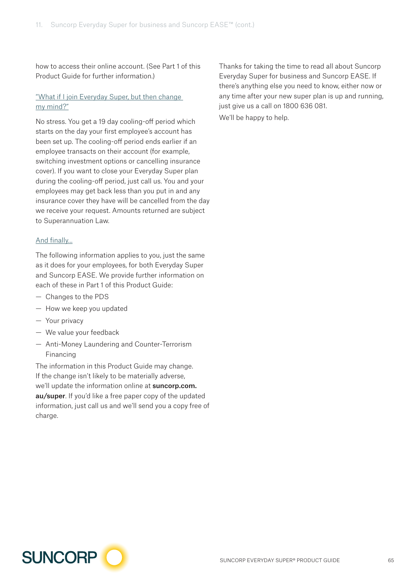how to access their online account. (See Part 1 of this Product Guide for further information.)

#### "What if I join Everyday Super, but then change my mind?"

No stress. You get a 19 day cooling-off period which starts on the day your first employee's account has been set up. The cooling-off period ends earlier if an employee transacts on their account (for example, switching investment options or cancelling insurance cover). If you want to close your Everyday Super plan during the cooling-off period, just call us. You and your employees may get back less than you put in and any insurance cover they have will be cancelled from the day we receive your request. Amounts returned are subject to Superannuation Law.

#### And finally...

The following information applies to you, just the same as it does for your employees, for both Everyday Super and Suncorp EASE. We provide further information on each of these in Part 1 of this Product Guide:

- Changes to the PDS
- How we keep you updated
- Your privacy
- We value your feedback
- Anti-Money Laundering and Counter-Terrorism Financing

The information in this Product Guide may change. If the change isn't likely to be materially adverse, we'll update the information online at **suncorp.com.** au/super. If you'd like a free paper copy of the updated information, just call us and we'll send you a copy free of charge.

Thanks for taking the time to read all about Suncorp Everyday Super for business and Suncorp EASE. If there's anything else you need to know, either now or any time after your new super plan is up and running, just give us a call on 1800 636 081.

We'll be happy to help.

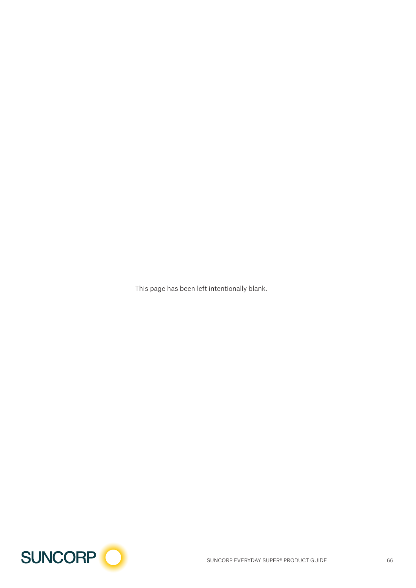This page has been left intentionally blank.

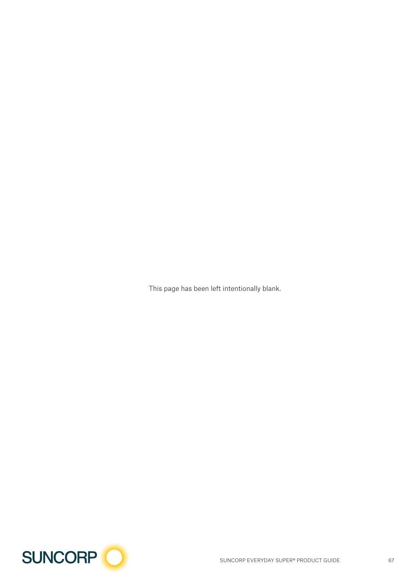This page has been left intentionally blank.